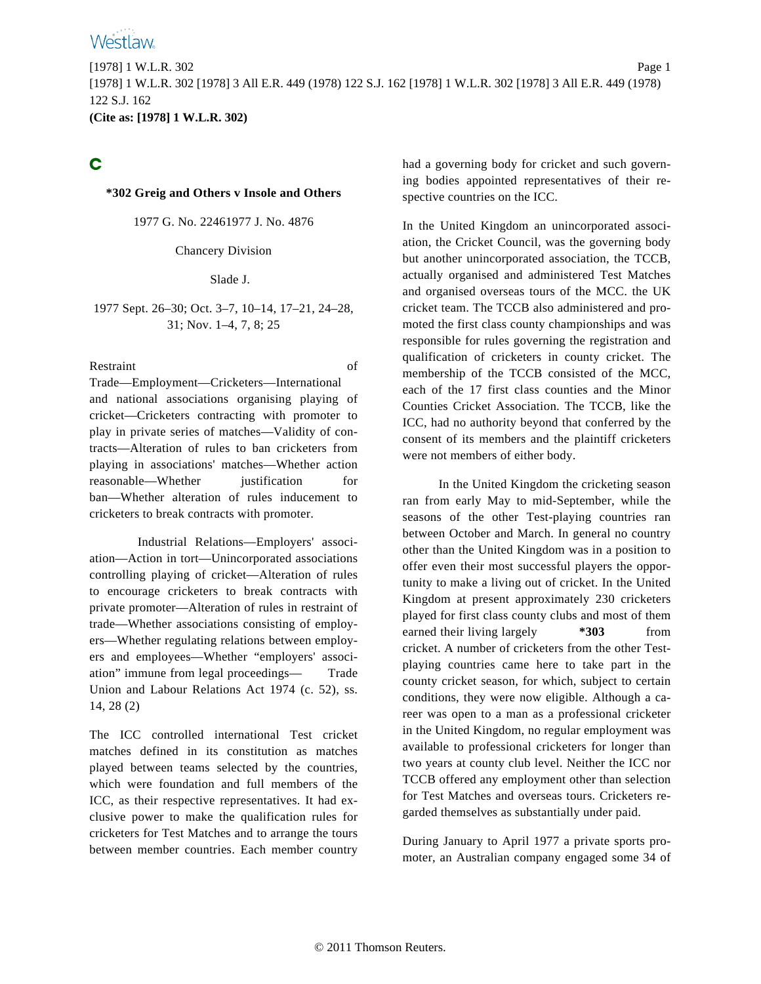

C

#### **\*302 Greig and Others v Insole and Others**

1977 G. No. 22461977 J. No. 4876

Chancery Division

#### Slade J.

#### 1977 Sept. 26–30; Oct. 3–7, 10–14, 17–21, 24–28, 31; Nov. 1–4, 7, 8; 25

Restraint of

Trade—Employment—Cricketers—International and national associations organising playing of cricket—Cricketers contracting with promoter to play in private series of matches—Validity of contracts—Alteration of rules to ban cricketers from playing in associations' matches—Whether action reasonable—Whether justification for ban—Whether alteration of rules inducement to cricketers to break contracts with promoter.

Industrial Relations—Employers' association—Action in tort—Unincorporated associations controlling playing of cricket—Alteration of rules to encourage cricketers to break contracts with private promoter—Alteration of rules in restraint of trade—Whether associations consisting of employers—Whether regulating relations between employers and employees—Whether "employers' association" immune from legal proceedings— Trade Union and Labour Relations Act 1974 (c. 52), ss. 14, 28 (2)

The ICC controlled international Test cricket matches defined in its constitution as matches played between teams selected by the countries, which were foundation and full members of the ICC, as their respective representatives. It had exclusive power to make the qualification rules for cricketers for Test Matches and to arrange the tours between member countries. Each member country had a governing body for cricket and such governing bodies appointed representatives of their respective countries on the ICC.

In the United Kingdom an unincorporated association, the Cricket Council, was the governing body but another unincorporated association, the TCCB, actually organised and administered Test Matches and organised overseas tours of the MCC. the UK cricket team. The TCCB also administered and promoted the first class county championships and was responsible for rules governing the registration and qualification of cricketers in county cricket. The membership of the TCCB consisted of the MCC, each of the 17 first class counties and the Minor Counties Cricket Association. The TCCB, like the ICC, had no authority beyond that conferred by the consent of its members and the plaintiff cricketers were not members of either body.

In the United Kingdom the cricketing season ran from early May to mid-September, while the seasons of the other Test-playing countries ran between October and March. In general no country other than the United Kingdom was in a position to offer even their most successful players the opportunity to make a living out of cricket. In the United Kingdom at present approximately 230 cricketers played for first class county clubs and most of them earned their living largely  $*303$  from cricket. A number of cricketers from the other Testplaying countries came here to take part in the county cricket season, for which, subject to certain conditions, they were now eligible. Although a career was open to a man as a professional cricketer in the United Kingdom, no regular employment was available to professional cricketers for longer than two years at county club level. Neither the ICC nor TCCB offered any employment other than selection for Test Matches and overseas tours. Cricketers regarded themselves as substantially under paid.

During January to April 1977 a private sports promoter, an Australian company engaged some 34 of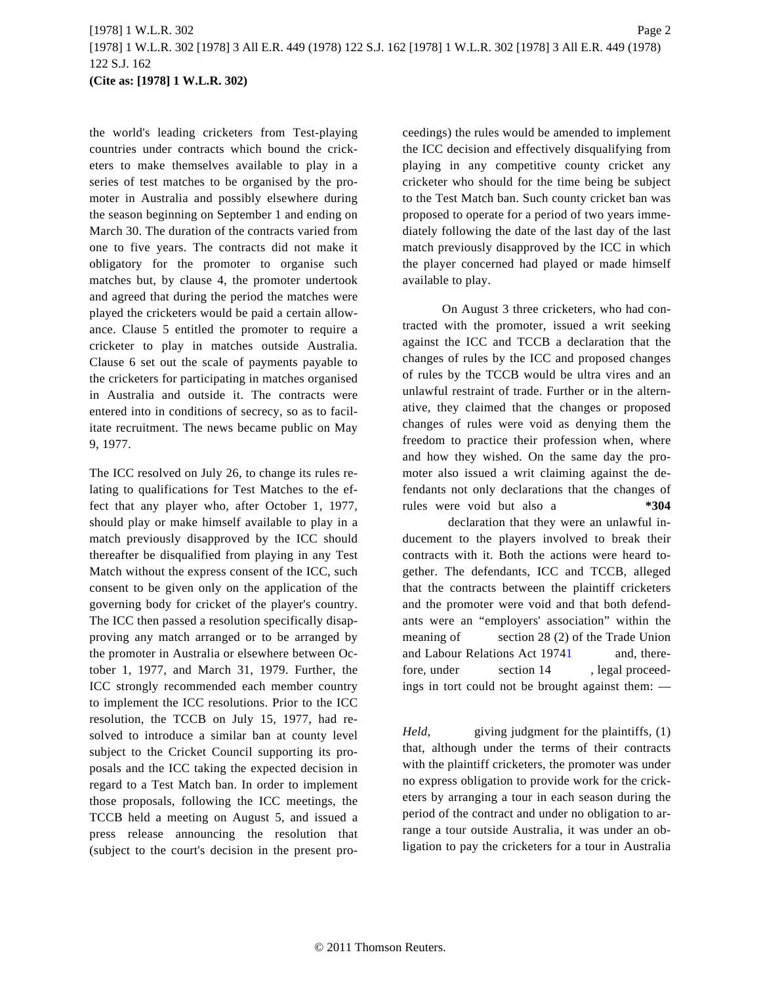# [1978] 1 W.L.R. 302 Page 2 [1978] 1 W.L.R. 302 [1978] 3 All E.R. 449 (1978) 122 S.J. 162 [1978] 1 W.L.R. 302 [1978] 3 All E.R. 449 (1978) 122 S.J. 162 **(Cite as: [1978] 1 W.L.R. 302)**

the world's leading cricketers from Test-playing countries under contracts which bound the cricketers to make themselves available to play in a series of test matches to be organised by the promoter in Australia and possibly elsewhere during the season beginning on September 1 and ending on March 30. The duration of the contracts varied from one to five years. The contracts did not make it obligatory for the promoter to organise such matches but, by clause 4, the promoter undertook and agreed that during the period the matches were played the cricketers would be paid a certain allowance. Clause 5 entitled the promoter to require a cricketer to play in matches outside Australia. Clause 6 set out the scale of payments payable to the cricketers for participating in matches organised in Australia and outside it. The contracts were entered into in conditions of secrecy, so as to facilitate recruitment. The news became public on May 9, 1977.

<span id="page-1-0"></span>The ICC resolved on July 26, to change its rules relating to qualifications for Test Matches to the effect that any player who, after October 1, 1977, should play or make himself available to play in a match previously disapproved by the ICC should thereafter be disqualified from playing in any Test Match without the express consent of the ICC, such consent to be given only on the application of the governing body for cricket of the player's country. The ICC then passed a resolution specifically disapproving any match arranged or to be arranged by the promoter in Australia or elsewhere between October 1, 1977, and March 31, 1979. Further, the ICC strongly recommended each member country to implement the ICC resolutions. Prior to the ICC resolution, the TCCB on July 15, 1977, had resolved to introduce a similar ban at county level subject to the Cricket Council supporting its proposals and the ICC taking the expected decision in regard to a Test Match ban. In order to implement those proposals, following the ICC meetings, the TCCB held a meeting on August 5, and issued a press release announcing the resolution that (subject to the court's decision in the present proceedings) the rules would be amended to implement the ICC decision and effectively disqualifying from playing in any competitive county cricket any cricketer who should for the time being be subject to the Test Match ban. Such county cricket ban was proposed to operate for a period of two years immediately following the date of the last day of the last match previously disapproved by the ICC in which the player concerned had played or made himself available to play.

On August 3 three cricketers, who had contracted with the promoter, issued a writ seeking against the ICC and TCCB a declaration that the changes of rules by the ICC and proposed changes of rules by the TCCB would be ultra vires and an unlawful restraint of trade. Further or in the alternative, they claimed that the changes or proposed changes of rules were void as denying them the freedom to practice their profession when, where and how they wished. On the same day the promoter also issued a writ claiming against the defendants not only declarations that the changes of rules were void but also a **\*304**

declaration that they were an unlawful inducement to the players involved to break their contracts with it. Both the actions were heard together. The defendants, ICC and TCCB, alleged that the contracts between the plaintiff cricketers and the promoter were void and that both defendants were an "employers' association" within the meaning of section 28 (2) of the Trade Union and Labour Relations Act [19741](#page-56-0) and, therefore, under section 14, legal proceedings in tort could not be brought against them: —

*Held,* giving judgment for the plaintiffs, (1) that, although under the terms of their contracts with the plaintiff cricketers, the promoter was under no express obligation to provide work for the cricketers by arranging a tour in each season during the period of the contract and under no obligation to arrange a tour outside Australia, it was under an obligation to pay the cricketers for a tour in Australia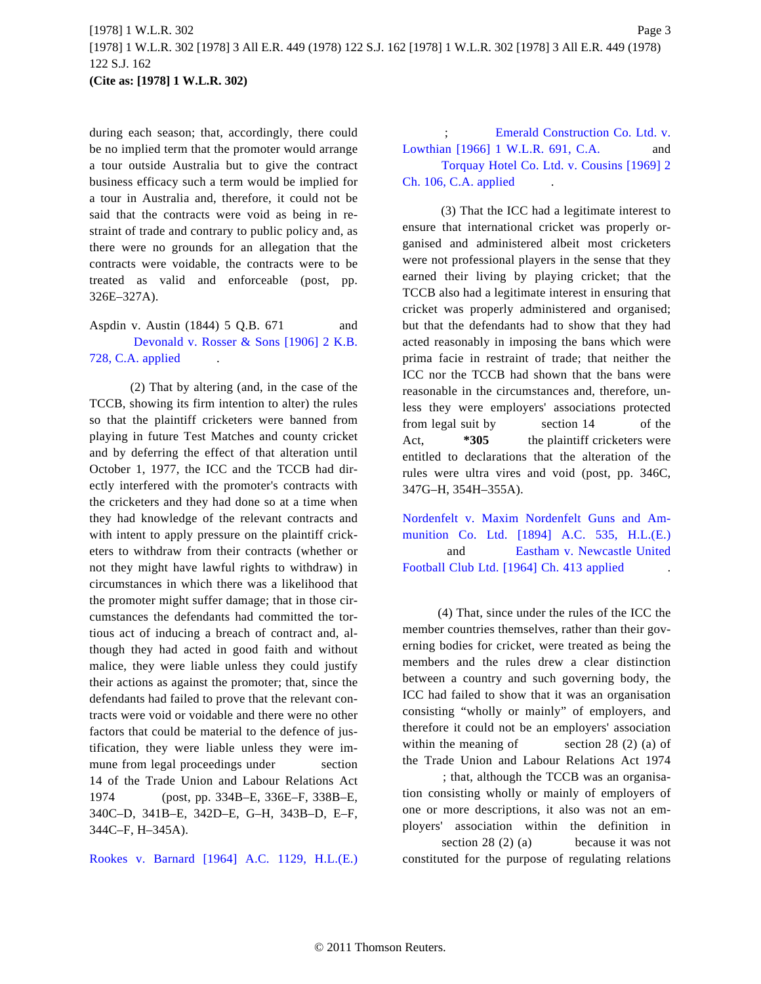during each season; that, accordingly, there could be no implied term that the promoter would arrange a tour outside Australia but to give the contract business efficacy such a term would be implied for a tour in Australia and, therefore, it could not be said that the contracts were void as being in restraint of trade and contrary to public policy and, as there were no grounds for an allegation that the contracts were voidable, the contracts were to be treated as valid and enforceable (post, pp. 326E–327A).

# Aspdin v. Austin (1844) 5 Q.B. 671 and [Devonald v. Rosser & Sons \[1906\] 2 K.B](http://www.westlaw.com/Find/Default.wl?rs=dfa1.0&vr=2.0&DB=999&FindType=Y&SerialNum=1906035957). [728, C.A. applied](http://www.westlaw.com/Find/Default.wl?rs=dfa1.0&vr=2.0&DB=999&FindType=Y&SerialNum=1906035957) .

(2) That by altering (and, in the case of the TCCB, showing its firm intention to alter) the rules so that the plaintiff cricketers were banned from playing in future Test Matches and county cricket and by deferring the effect of that alteration until October 1, 1977, the ICC and the TCCB had directly interfered with the promoter's contracts with the cricketers and they had done so at a time when they had knowledge of the relevant contracts and with intent to apply pressure on the plaintiff cricketers to withdraw from their contracts (whether or not they might have lawful rights to withdraw) in circumstances in which there was a likelihood that the promoter might suffer damage; that in those circumstances the defendants had committed the tortious act of inducing a breach of contract and, although they had acted in good faith and without malice, they were liable unless they could justify their actions as against the promoter; that, since the defendants had failed to prove that the relevant contracts were void or voidable and there were no other factors that could be material to the defence of justification, they were liable unless they were immune from legal proceedings under section 14 of the Trade Union and Labour Relations Act 1974 (post, pp. 334B–E, 336E–F, 338B–E, 340C–D, 341B–E, 342D–E, G–H, 343B–D, E–F, 344C–F, H–345A).

[Rookes v. Barnard \[1964\] A.C. 1129, H.](http://www.westlaw.com/Find/Default.wl?rs=dfa1.0&vr=2.0&DB=999&FindType=Y&SerialNum=1964014875)L.(E.)

[Emerald Construction Co. Ltd. v](http://www.westlaw.com/Find/Default.wl?rs=dfa1.0&vr=2.0&DB=999&FindType=Y&SerialNum=1966015931). [Lowthian \[1966\] 1 W.L.R. 691, C.A](http://www.westlaw.com/Find/Default.wl?rs=dfa1.0&vr=2.0&DB=999&FindType=Y&SerialNum=1966015931). and [Torquay Hotel Co. Ltd. v. Cousins \[1969\] 2](http://www.westlaw.com/Find/Default.wl?rs=dfa1.0&vr=2.0&DB=999&FindType=Y&SerialNum=1968017681) [Ch. 106, C.A. applied](http://www.westlaw.com/Find/Default.wl?rs=dfa1.0&vr=2.0&DB=999&FindType=Y&SerialNum=1968017681) .

(3) That the ICC had a legitimate interest to ensure that international cricket was properly organised and administered albeit most cricketers were not professional players in the sense that they earned their living by playing cricket; that the TCCB also had a legitimate interest in ensuring that cricket was properly administered and organised; but that the defendants had to show that they had acted reasonably in imposing the bans which were prima facie in restraint of trade; that neither the ICC nor the TCCB had shown that the bans were reasonable in the circumstances and, therefore, unless they were employers' associations protected from legal suit by section 14 of the Act, **\*305** the plaintiff cricketers were entitled to declarations that the alteration of the rules were ultra vires and void (post, pp. 346C, 347G–H, 354H–355A).

[Nordenfelt v. Maxim Nordenfelt Guns and A](http://www.westlaw.com/Find/Default.wl?rs=dfa1.0&vr=2.0&DB=999&FindType=Y&SerialNum=1894413527)m[munition Co. Ltd. \[1894\] A.C. 535, H](http://www.westlaw.com/Find/Default.wl?rs=dfa1.0&vr=2.0&DB=999&FindType=Y&SerialNum=1894413527).L.(E.) and [Eastham v. Newcastle United](http://www.westlaw.com/Find/Default.wl?rs=dfa1.0&vr=2.0&DB=999&FindType=Y&SerialNum=1963016142) [Football Club Ltd. \[1964\] Ch. 413 applie](http://www.westlaw.com/Find/Default.wl?rs=dfa1.0&vr=2.0&DB=999&FindType=Y&SerialNum=1963016142)d .

(4) That, since under the rules of the ICC the member countries themselves, rather than their governing bodies for cricket, were treated as being the members and the rules drew a clear distinction between a country and such governing body, the ICC had failed to show that it was an organisation consisting "wholly or mainly" of employers, and therefore it could not be an employers' association within the meaning of section  $28(2)$  (a) of the Trade Union and Labour Relations Act 1974

; that, although the TCCB was an organisation consisting wholly or mainly of employers of one or more descriptions, it also was not an employers' association within the definition in section 28 (2) (a) because it was not constituted for the purpose of regulating relations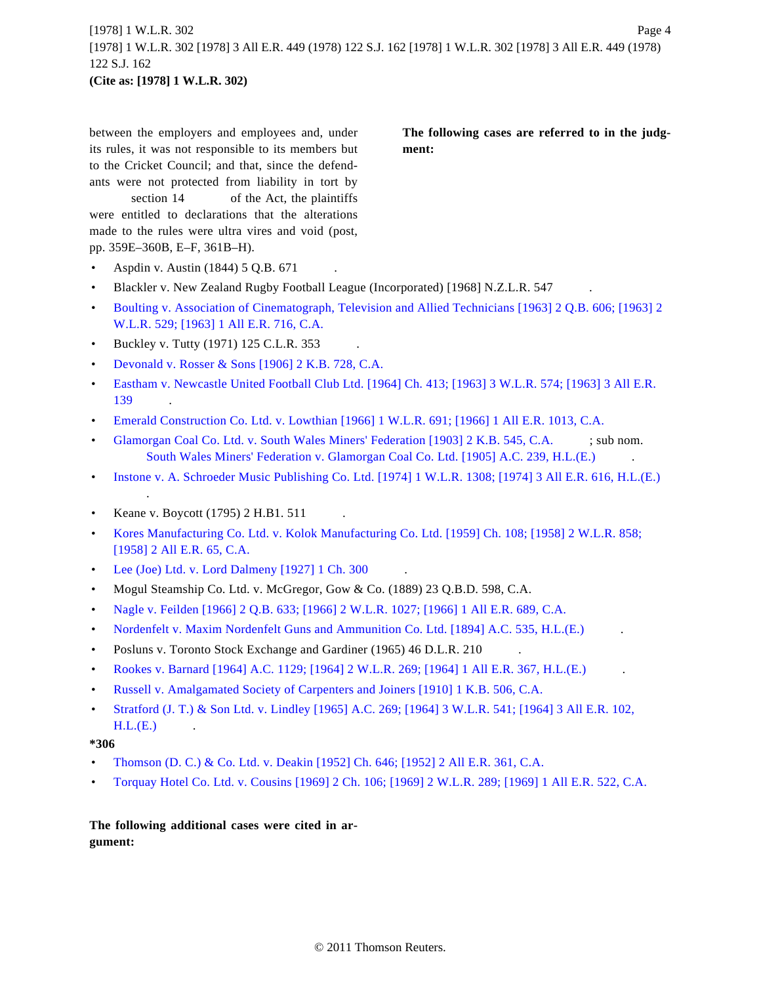between the employers and employees and, under its rules, it was not responsible to its members but to the Cricket Council; and that, since the defendants were not protected from liability in tort by

section 14 of the Act, the plaintiffs were entitled to declarations that the alterations made to the rules were ultra vires and void (post, pp. 359E–360B, E–F, 361B–H).

- Aspdin v. Austin (1844) 5 Q.B. 671 .
- Blackler v. New Zealand Rugby Football League (Incorporated) [1968] N.Z.L.R. 547
- [Boulting v. Association of Cinematograph, Television and Allied Technicians \[1963\] 2 Q.B. 606; \[1963\] 2](http://www.westlaw.com/Find/Default.wl?rs=dfa1.0&vr=2.0&DB=999&FindType=Y&SerialNum=1963016750) [W.L.R. 529; \[1963\] 1 All E.R. 716, C.A.](http://www.westlaw.com/Find/Default.wl?rs=dfa1.0&vr=2.0&DB=999&FindType=Y&SerialNum=1963016750)
- Buckley v. Tutty  $(1971)$  125 C.L.R. 353
- [Devonald v. Rosser & Sons \[1906\] 2 K.B. 728, C.A.](http://www.westlaw.com/Find/Default.wl?rs=dfa1.0&vr=2.0&DB=999&FindType=Y&SerialNum=1906035957)
- [Eastham v. Newcastle United Football Club Ltd. \[1964\] Ch. 413; \[1963\] 3 W.L.R. 574; \[1963\] 3 All E.R.](http://www.westlaw.com/Find/Default.wl?rs=dfa1.0&vr=2.0&DB=999&FindType=Y&SerialNum=1963016142) [139](http://www.westlaw.com/Find/Default.wl?rs=dfa1.0&vr=2.0&DB=999&FindType=Y&SerialNum=1963016142)
- [Emerald Construction Co. Ltd. v. Lowthian \[1966\] 1 W.L.R. 691; \[1966\] 1 All E.R. 1013, C.A.](http://www.westlaw.com/Find/Default.wl?rs=dfa1.0&vr=2.0&DB=999&FindType=Y&SerialNum=1966015931)
- [Glamorgan Coal Co. Ltd. v. South Wales Miners' Federation \[1903\] 2 K.B. 545, C.A.](http://www.westlaw.com/Find/Default.wl?rs=dfa1.0&vr=2.0&DB=999&FindType=Y&SerialNum=1902032122) ; sub nom. [South Wales Miners' Federation v. Glamorgan Coal Co. Ltd. \[1905\] A.C. 239, H.L.\(E.\)](http://www.westlaw.com/Find/Default.wl?rs=dfa1.0&vr=2.0&DB=999&FindType=Y&SerialNum=1905035267) .
- [Instone v. A. Schroeder Music Publishing Co. Ltd. \[1974\] 1 W.L.R. 1308; \[1974\] 3 All E.R. 616, H.L.\(E.\)](http://www.westlaw.com/Find/Default.wl?rs=dfa1.0&vr=2.0&DB=999&FindType=Y&SerialNum=1974027099) .
- Keane v. Boycott (1795) 2 H.B1. 511
- [Kores Manufacturing Co. Ltd. v. Kolok Manufacturing Co. Ltd. \[1959\] Ch. 108; \[1958\] 2 W.L.R. 858;](http://www.westlaw.com/Find/Default.wl?rs=dfa1.0&vr=2.0&DB=999&FindType=Y&SerialNum=1958018056) [\[1958\] 2 All E.R. 65, C.A.](http://www.westlaw.com/Find/Default.wl?rs=dfa1.0&vr=2.0&DB=999&FindType=Y&SerialNum=1958018056)
- [Lee \(Joe\) Ltd. v. Lord Dalmeny \[1927\] 1 Ch. 300](http://www.westlaw.com/Find/Default.wl?rs=dfa1.0&vr=2.0&DB=999&FindType=Y&SerialNum=1926023503)
- Mogul Steamship Co. Ltd. v. McGregor, Gow & Co. (1889) 23 Q.B.D. 598, C.A.
- [Nagle v. Feilden \[1966\] 2 Q.B. 633; \[1966\] 2 W.L.R. 1027; \[1966\] 1 All E.R. 689, C.A](http://www.westlaw.com/Find/Default.wl?rs=dfa1.0&vr=2.0&DB=999&FindType=Y&SerialNum=1966015840).
- [Nordenfelt v. Maxim Nordenfelt Guns and Ammunition Co. Ltd. \[1894\] A.C. 535, H.L.\(E.\)](http://www.westlaw.com/Find/Default.wl?rs=dfa1.0&vr=2.0&DB=999&FindType=Y&SerialNum=1894413527) .
- Posluns v. Toronto Stock Exchange and Gardiner (1965) 46 D.L.R. 210
- [Rookes v. Barnard \[1964\] A.C. 1129; \[1964\] 2 W.L.R. 269; \[1964\] 1 All E.R. 367, H.L.\(E.\)](http://www.westlaw.com/Find/Default.wl?rs=dfa1.0&vr=2.0&DB=999&FindType=Y&SerialNum=1964014875)
- [Russell v. Amalgamated Society of Carpenters and Joiners \[1910\] 1 K.B. 506, C.A](http://www.westlaw.com/Find/Default.wl?rs=dfa1.0&vr=2.0&DB=999&FindType=Y&SerialNum=1910040863).
- [Stratford \(J. T.\) & Son Ltd. v. Lindley \[1965\] A.C. 269; \[1964\] 3 W.L.R. 541; \[1964\] 3 All E.R. 102,](http://www.westlaw.com/Find/Default.wl?rs=dfa1.0&vr=2.0&DB=999&FindType=Y&SerialNum=1964014750)  $H.L.(E.)$

#### **\*306**

- [Thomson \(D. C.\) & Co. Ltd. v. Deakin \[1952\] Ch. 646; \[1952\] 2 All E.R. 361, C.A](http://www.westlaw.com/Find/Default.wl?rs=dfa1.0&vr=2.0&DB=999&FindType=Y&SerialNum=1952014236).
- [Torquay Hotel Co. Ltd. v. Cousins \[1969\] 2 Ch. 106; \[1969\] 2 W.L.R. 289; \[1969\] 1 All E.R. 522, C.A](http://www.westlaw.com/Find/Default.wl?rs=dfa1.0&vr=2.0&DB=999&FindType=Y&SerialNum=1968017681).

**The following additional cases were cited in argument:**

**The following cases are referred to in the judgment:**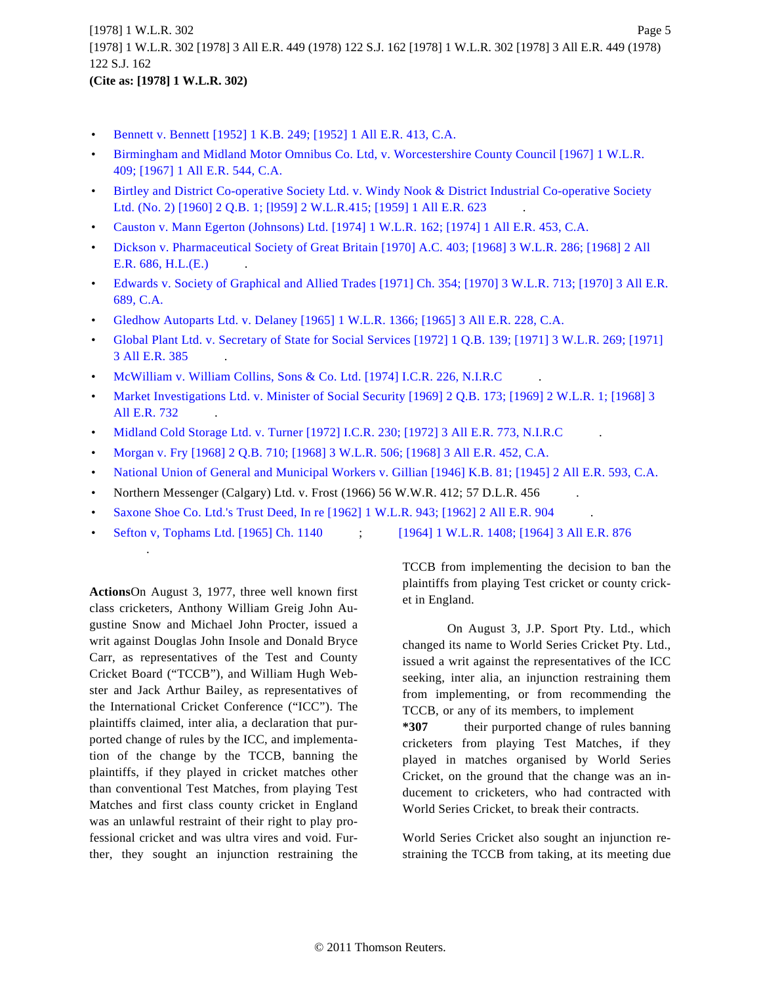- [Bennett v. Bennett \[1952\] 1 K.B. 249; \[1952\] 1 All E.R. 413, C.A.](http://www.westlaw.com/Find/Default.wl?rs=dfa1.0&vr=2.0&DB=999&FindType=Y&SerialNum=1952014914)
- [Birmingham and Midland Motor Omnibus Co. Ltd, v. Worcestershire County Council \[1967\] 1 W.L.R.](http://www.westlaw.com/Find/Default.wl?rs=dfa1.0&vr=2.0&DB=999&FindType=Y&SerialNum=1966015903) [409; \[1967\] 1 All E.R. 544, C.A.](http://www.westlaw.com/Find/Default.wl?rs=dfa1.0&vr=2.0&DB=999&FindType=Y&SerialNum=1966015903)
- [Birtley and District Co-operative Society Ltd. v. Windy Nook & District Industrial Co-operative Society](http://www.westlaw.com/Find/Default.wl?rs=dfa1.0&vr=2.0&DB=999&FindType=Y&SerialNum=1958018173) [Ltd. \(No. 2\) \[1960\] 2 Q.B. 1; \[l959\] 2 W.L.R.415; \[1959\] 1 All E.R. 623](http://www.westlaw.com/Find/Default.wl?rs=dfa1.0&vr=2.0&DB=999&FindType=Y&SerialNum=1958018173) .
- [Causton v. Mann Egerton \(Johnsons\) Ltd. \[1974\] 1 W.L.R. 162; \[1974\] 1 All E.R. 453, C.A](http://www.westlaw.com/Find/Default.wl?rs=dfa1.0&vr=2.0&DB=999&FindType=Y&SerialNum=1974026277).
- [Dickson v. Pharmaceutical Society of Great Britain \[1970\] A.C. 403; \[1968\] 3 W.L.R. 286; \[1968\] 2 All](http://www.westlaw.com/Find/Default.wl?rs=dfa1.0&vr=2.0&DB=999&FindType=Y&SerialNum=1968017847) [E.R. 686, H.L.\(E.\)](http://www.westlaw.com/Find/Default.wl?rs=dfa1.0&vr=2.0&DB=999&FindType=Y&SerialNum=1968017847) .
- [Edwards v. Society of Graphical and Allied Trades \[1971\] Ch. 354; \[1970\] 3 W.L.R. 713; \[1970\] 3 All E.R.](http://www.westlaw.com/Find/Default.wl?rs=dfa1.0&vr=2.0&DB=999&FindType=Y&SerialNum=1970020482) [689, C.A.](http://www.westlaw.com/Find/Default.wl?rs=dfa1.0&vr=2.0&DB=999&FindType=Y&SerialNum=1970020482)
- [Gledhow Autoparts Ltd. v. Delaney \[1965\] 1 W.L.R. 1366; \[1965\] 3 All E.R. 228, C.A.](http://www.westlaw.com/Find/Default.wl?rs=dfa1.0&vr=2.0&DB=999&FindType=Y&SerialNum=1965015066)
- [Global Plant Ltd. v. Secretary of State for Social Services \[1972\] 1 Q.B. 139; \[1971\] 3 W.L.R. 269; \[1971\]](http://www.westlaw.com/Find/Default.wl?rs=dfa1.0&vr=2.0&DB=999&FindType=Y&SerialNum=1971023322) [3 All E.R. 385](http://www.westlaw.com/Find/Default.wl?rs=dfa1.0&vr=2.0&DB=999&FindType=Y&SerialNum=1971023322) .
- [McWilliam v. William Collins, Sons & Co. Ltd. \[1974\] I.C.R. 226, N.I.R.C](http://www.westlaw.com/Find/Default.wl?rs=dfa1.0&vr=2.0&DB=999&FindType=Y&SerialNum=1974027417)
- [Market Investigations Ltd. v. Minister of Social Security \[1969\] 2 Q.B. 173; \[1969\] 2 W.L.R. 1; \[1968\] 3](http://www.westlaw.com/Find/Default.wl?rs=dfa1.0&vr=2.0&DB=999&FindType=Y&SerialNum=1968017895) [All E.R. 732](http://www.westlaw.com/Find/Default.wl?rs=dfa1.0&vr=2.0&DB=999&FindType=Y&SerialNum=1968017895) .
- [Midland Cold Storage Ltd. v. Turner \[1972\] I.C.R. 230; \[1972\] 3 All E.R. 773, N.I.R.C](http://www.westlaw.com/Find/Default.wl?rs=dfa1.0&vr=2.0&DB=999&FindType=Y&SerialNum=1972023220) .
- [Morgan v. Fry \[1968\] 2 Q.B. 710; \[1968\] 3 W.L.R. 506; \[1968\] 3 All E.R. 452, C.A](http://www.westlaw.com/Find/Default.wl?rs=dfa1.0&vr=2.0&DB=999&FindType=Y&SerialNum=1968017758).
- [National Union of General and Municipal Workers v. Gillian \[1946\] K.B. 81; \[1945\] 2 All E.R. 593, C.A](http://www.westlaw.com/Find/Default.wl?rs=dfa1.0&vr=2.0&DB=999&FindType=Y&SerialNum=1946011546).
- Northern Messenger (Calgary) Ltd. v. Frost (1966) 56 W.W.R. 412; 57 D.L.R. 456
- [Saxone Shoe Co. Ltd.'s Trust Deed, In re \[1962\] 1 W.L.R. 943; \[1962\] 2 All E.R. 904](http://www.westlaw.com/Find/Default.wl?rs=dfa1.0&vr=2.0&DB=999&FindType=Y&SerialNum=1962018031) .
- [Sefton v, Tophams Ltd. \[1965\] Ch. 1140](http://www.westlaw.com/Find/Default.wl?rs=dfa1.0&vr=2.0&DB=999&FindType=Y&SerialNum=1965015176) ; [\[1964\] 1 W.L.R. 1408; \[1964\] 3 All E.R. 876](http://www.westlaw.com/Find/Default.wl?rs=dfa1.0&vr=2.0&DB=999&FindType=Y&SerialNum=1964015418)

**Actions**On August 3, 1977, three well known first class cricketers, Anthony William Greig John Augustine Snow and Michael John Procter, issued a writ against Douglas John Insole and Donald Bryce Carr, as representatives of the Test and County Cricket Board ("TCCB"), and William Hugh Webster and Jack Arthur Bailey, as representatives of the International Cricket Conference ("ICC"). The plaintiffs claimed, inter alia, a declaration that purported change of rules by the ICC, and implementation of the change by the TCCB, banning the plaintiffs, if they played in cricket matches other than conventional Test Matches, from playing Test Matches and first class county cricket in England was an unlawful restraint of their right to play professional cricket and was ultra vires and void. Further, they sought an injunction restraining the

.

TCCB from implementing the decision to ban the plaintiffs from playing Test cricket or county cricket in England.

On August 3, J.P. Sport Pty. Ltd., which changed its name to World Series Cricket Pty. Ltd., issued a writ against the representatives of the ICC seeking, inter alia, an injunction restraining them from implementing, or from recommending the TCCB, or any of its members, to implement

**\*307** their purported change of rules banning cricketers from playing Test Matches, if they played in matches organised by World Series Cricket, on the ground that the change was an inducement to cricketers, who had contracted with World Series Cricket, to break their contracts.

World Series Cricket also sought an injunction restraining the TCCB from taking, at its meeting due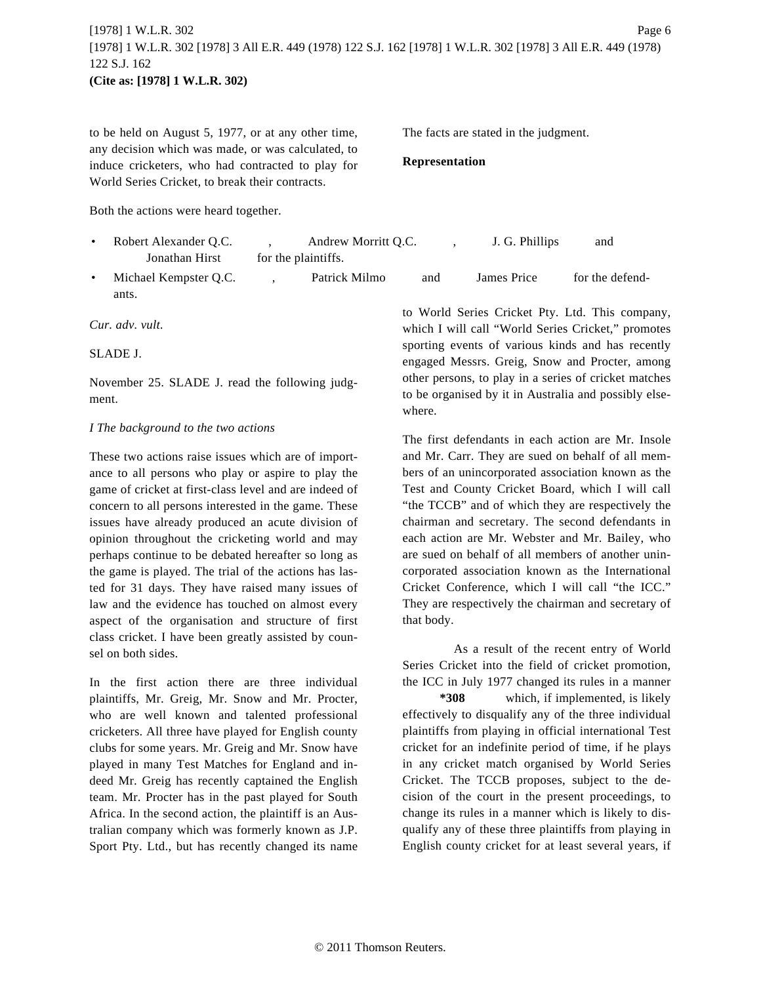# [1978] 1 W.L.R. 302 Page 6 [1978] 1 W.L.R. 302 [1978] 3 All E.R. 449 (1978) 122 S.J. 162 [1978] 1 W.L.R. 302 [1978] 3 All E.R. 449 (1978) 122 S.J. 162 **(Cite as: [1978] 1 W.L.R. 302)**

to be held on August 5, 1977, or at any other time, any decision which was made, or was calculated, to induce cricketers, who had contracted to play for World Series Cricket, to break their contracts.

The facts are stated in the judgment.

#### **Representation**

Both the actions were heard together.

| Robert Alexander Q.C. | Andrew Morritt Q.C. |     | J. G. Phillips | and             |
|-----------------------|---------------------|-----|----------------|-----------------|
| Jonathan Hirst        | for the plaintiffs. |     |                |                 |
| Michael Kempster Q.C. | Patrick Milmo       | and | James Price    | for the defend- |

ants.

*Cur. adv. vult.*

#### SLADE J.

November 25. SLADE J. read the following judgment.

#### *I The background to the two actions*

These two actions raise issues which are of importance to all persons who play or aspire to play the game of cricket at first-class level and are indeed of concern to all persons interested in the game. These issues have already produced an acute division of opinion throughout the cricketing world and may perhaps continue to be debated hereafter so long as the game is played. The trial of the actions has lasted for 31 days. They have raised many issues of law and the evidence has touched on almost every aspect of the organisation and structure of first class cricket. I have been greatly assisted by counsel on both sides.

In the first action there are three individual plaintiffs, Mr. Greig, Mr. Snow and Mr. Procter, who are well known and talented professional cricketers. All three have played for English county clubs for some years. Mr. Greig and Mr. Snow have played in many Test Matches for England and indeed Mr. Greig has recently captained the English team. Mr. Procter has in the past played for South Africa. In the second action, the plaintiff is an Australian company which was formerly known as J.P. Sport Pty. Ltd., but has recently changed its name

to World Series Cricket Pty. Ltd. This company, which I will call "World Series Cricket," promotes sporting events of various kinds and has recently engaged Messrs. Greig, Snow and Procter, among other persons, to play in a series of cricket matches to be organised by it in Australia and possibly elsewhere.

The first defendants in each action are Mr. Insole and Mr. Carr. They are sued on behalf of all members of an unincorporated association known as the Test and County Cricket Board, which I will call "the TCCB" and of which they are respectively the chairman and secretary. The second defendants in each action are Mr. Webster and Mr. Bailey, who are sued on behalf of all members of another unincorporated association known as the International Cricket Conference, which I will call "the ICC." They are respectively the chairman and secretary of that body.

As a result of the recent entry of World Series Cricket into the field of cricket promotion, the ICC in July 1977 changed its rules in a manner

**\*308** which, if implemented, is likely effectively to disqualify any of the three individual plaintiffs from playing in official international Test cricket for an indefinite period of time, if he plays in any cricket match organised by World Series Cricket. The TCCB proposes, subject to the decision of the court in the present proceedings, to change its rules in a manner which is likely to disqualify any of these three plaintiffs from playing in English county cricket for at least several years, if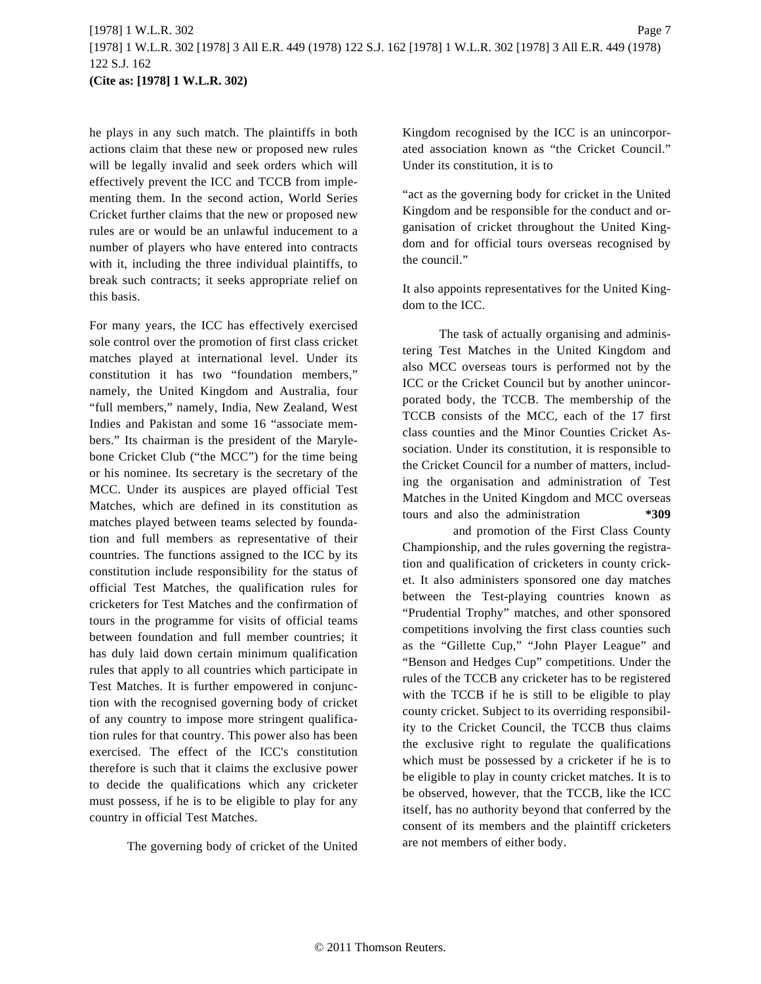he plays in any such match. The plaintiffs in both actions claim that these new or proposed new rules will be legally invalid and seek orders which will effectively prevent the ICC and TCCB from implementing them. In the second action, World Series Cricket further claims that the new or proposed new rules are or would be an unlawful inducement to a number of players who have entered into contracts with it, including the three individual plaintiffs, to break such contracts; it seeks appropriate relief on this basis.

For many years, the ICC has effectively exercised sole control over the promotion of first class cricket matches played at international level. Under its constitution it has two "foundation members," namely, the United Kingdom and Australia, four "full members," namely, India, New Zealand, West Indies and Pakistan and some 16 "associate members." Its chairman is the president of the Marylebone Cricket Club ("the MCC") for the time being or his nominee. Its secretary is the secretary of the MCC. Under its auspices are played official Test Matches, which are defined in its constitution as matches played between teams selected by foundation and full members as representative of their countries. The functions assigned to the ICC by its constitution include responsibility for the status of official Test Matches, the qualification rules for cricketers for Test Matches and the confirmation of tours in the programme for visits of official teams between foundation and full member countries; it has duly laid down certain minimum qualification rules that apply to all countries which participate in Test Matches. It is further empowered in conjunction with the recognised governing body of cricket of any country to impose more stringent qualification rules for that country. This power also has been exercised. The effect of the ICC's constitution therefore is such that it claims the exclusive power to decide the qualifications which any cricketer must possess, if he is to be eligible to play for any country in official Test Matches.

The governing body of cricket of the United

Kingdom recognised by the ICC is an unincorporated association known as "the Cricket Council." Under its constitution, it is to

"act as the governing body for cricket in the United Kingdom and be responsible for the conduct and organisation of cricket throughout the United Kingdom and for official tours overseas recognised by the council."

It also appoints representatives for the United Kingdom to the ICC.

The task of actually organising and administering Test Matches in the United Kingdom and also MCC overseas tours is performed not by the ICC or the Cricket Council but by another unincorporated body, the TCCB. The membership of the TCCB consists of the MCC, each of the 17 first class counties and the Minor Counties Cricket Association. Under its constitution, it is responsible to the Cricket Council for a number of matters, including the organisation and administration of Test Matches in the United Kingdom and MCC overseas tours and also the administration **\*309**

and promotion of the First Class County Championship, and the rules governing the registration and qualification of cricketers in county cricket. It also administers sponsored one day matches between the Test-playing countries known as "Prudential Trophy" matches, and other sponsored competitions involving the first class counties such as the "Gillette Cup," "John Player League" and "Benson and Hedges Cup" competitions. Under the rules of the TCCB any cricketer has to be registered with the TCCB if he is still to be eligible to play county cricket. Subject to its overriding responsibility to the Cricket Council, the TCCB thus claims the exclusive right to regulate the qualifications which must be possessed by a cricketer if he is to be eligible to play in county cricket matches. It is to be observed, however, that the TCCB, like the ICC itself, has no authority beyond that conferred by the consent of its members and the plaintiff cricketers are not members of either body.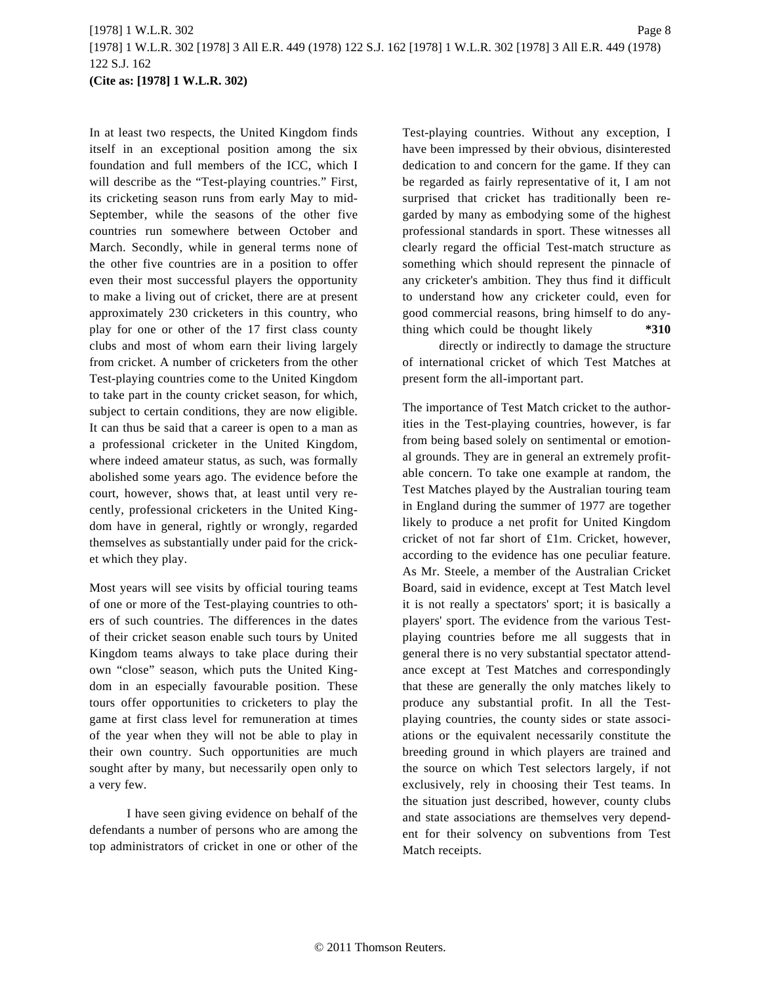# [1978] 1 W.L.R. 302 Page 8 [1978] 1 W.L.R. 302 [1978] 3 All E.R. 449 (1978) 122 S.J. 162 [1978] 1 W.L.R. 302 [1978] 3 All E.R. 449 (1978) 122 S.J. 162 **(Cite as: [1978] 1 W.L.R. 302)**

In at least two respects, the United Kingdom finds itself in an exceptional position among the six foundation and full members of the ICC, which I will describe as the "Test-playing countries." First, its cricketing season runs from early May to mid-September, while the seasons of the other five countries run somewhere between October and March. Secondly, while in general terms none of the other five countries are in a position to offer even their most successful players the opportunity to make a living out of cricket, there are at present approximately 230 cricketers in this country, who play for one or other of the 17 first class county clubs and most of whom earn their living largely from cricket. A number of cricketers from the other Test-playing countries come to the United Kingdom to take part in the county cricket season, for which, subject to certain conditions, they are now eligible. It can thus be said that a career is open to a man as a professional cricketer in the United Kingdom, where indeed amateur status, as such, was formally abolished some years ago. The evidence before the court, however, shows that, at least until very recently, professional cricketers in the United Kingdom have in general, rightly or wrongly, regarded themselves as substantially under paid for the cricket which they play.

Most years will see visits by official touring teams of one or more of the Test-playing countries to others of such countries. The differences in the dates of their cricket season enable such tours by United Kingdom teams always to take place during their own "close" season, which puts the United Kingdom in an especially favourable position. These tours offer opportunities to cricketers to play the game at first class level for remuneration at times of the year when they will not be able to play in their own country. Such opportunities are much sought after by many, but necessarily open only to a very few.

I have seen giving evidence on behalf of the defendants a number of persons who are among the top administrators of cricket in one or other of the Test-playing countries. Without any exception, I have been impressed by their obvious, disinterested dedication to and concern for the game. If they can be regarded as fairly representative of it, I am not surprised that cricket has traditionally been regarded by many as embodying some of the highest professional standards in sport. These witnesses all clearly regard the official Test-match structure as something which should represent the pinnacle of any cricketer's ambition. They thus find it difficult to understand how any cricketer could, even for good commercial reasons, bring himself to do anything which could be thought likely **\*310**

directly or indirectly to damage the structure of international cricket of which Test Matches at present form the all-important part.

The importance of Test Match cricket to the authorities in the Test-playing countries, however, is far from being based solely on sentimental or emotional grounds. They are in general an extremely profitable concern. To take one example at random, the Test Matches played by the Australian touring team in England during the summer of 1977 are together likely to produce a net profit for United Kingdom cricket of not far short of £1m. Cricket, however, according to the evidence has one peculiar feature. As Mr. Steele, a member of the Australian Cricket Board, said in evidence, except at Test Match level it is not really a spectators' sport; it is basically a players' sport. The evidence from the various Testplaying countries before me all suggests that in general there is no very substantial spectator attendance except at Test Matches and correspondingly that these are generally the only matches likely to produce any substantial profit. In all the Testplaying countries, the county sides or state associations or the equivalent necessarily constitute the breeding ground in which players are trained and the source on which Test selectors largely, if not exclusively, rely in choosing their Test teams. In the situation just described, however, county clubs and state associations are themselves very dependent for their solvency on subventions from Test Match receipts.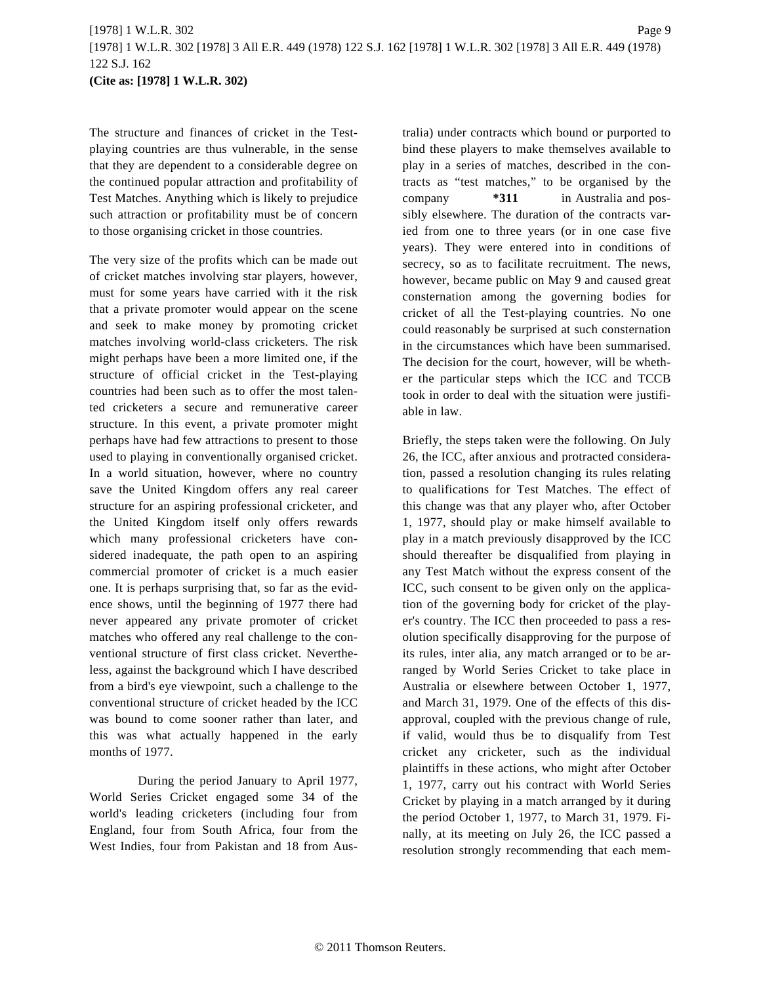The structure and finances of cricket in the Testplaying countries are thus vulnerable, in the sense that they are dependent to a considerable degree on the continued popular attraction and profitability of Test Matches. Anything which is likely to prejudice such attraction or profitability must be of concern to those organising cricket in those countries.

The very size of the profits which can be made out of cricket matches involving star players, however, must for some years have carried with it the risk that a private promoter would appear on the scene and seek to make money by promoting cricket matches involving world-class cricketers. The risk might perhaps have been a more limited one, if the structure of official cricket in the Test-playing countries had been such as to offer the most talented cricketers a secure and remunerative career structure. In this event, a private promoter might perhaps have had few attractions to present to those used to playing in conventionally organised cricket. In a world situation, however, where no country save the United Kingdom offers any real career structure for an aspiring professional cricketer, and the United Kingdom itself only offers rewards which many professional cricketers have considered inadequate, the path open to an aspiring commercial promoter of cricket is a much easier one. It is perhaps surprising that, so far as the evidence shows, until the beginning of 1977 there had never appeared any private promoter of cricket matches who offered any real challenge to the conventional structure of first class cricket. Nevertheless, against the background which I have described from a bird's eye viewpoint, such a challenge to the conventional structure of cricket headed by the ICC was bound to come sooner rather than later, and this was what actually happened in the early months of 1977.

During the period January to April 1977, World Series Cricket engaged some 34 of the world's leading cricketers (including four from England, four from South Africa, four from the West Indies, four from Pakistan and 18 from Australia) under contracts which bound or purported to bind these players to make themselves available to play in a series of matches, described in the contracts as "test matches," to be organised by the company **\*311** in Australia and possibly elsewhere. The duration of the contracts varied from one to three years (or in one case five years). They were entered into in conditions of secrecy, so as to facilitate recruitment. The news, however, became public on May 9 and caused great consternation among the governing bodies for cricket of all the Test-playing countries. No one could reasonably be surprised at such consternation in the circumstances which have been summarised. The decision for the court, however, will be whether the particular steps which the ICC and TCCB took in order to deal with the situation were justifiable in law.

Briefly, the steps taken were the following. On July 26, the ICC, after anxious and protracted consideration, passed a resolution changing its rules relating to qualifications for Test Matches. The effect of this change was that any player who, after October 1, 1977, should play or make himself available to play in a match previously disapproved by the ICC should thereafter be disqualified from playing in any Test Match without the express consent of the ICC, such consent to be given only on the application of the governing body for cricket of the player's country. The ICC then proceeded to pass a resolution specifically disapproving for the purpose of its rules, inter alia, any match arranged or to be arranged by World Series Cricket to take place in Australia or elsewhere between October 1, 1977, and March 31, 1979. One of the effects of this disapproval, coupled with the previous change of rule, if valid, would thus be to disqualify from Test cricket any cricketer, such as the individual plaintiffs in these actions, who might after October 1, 1977, carry out his contract with World Series Cricket by playing in a match arranged by it during the period October 1, 1977, to March 31, 1979. Finally, at its meeting on July 26, the ICC passed a resolution strongly recommending that each mem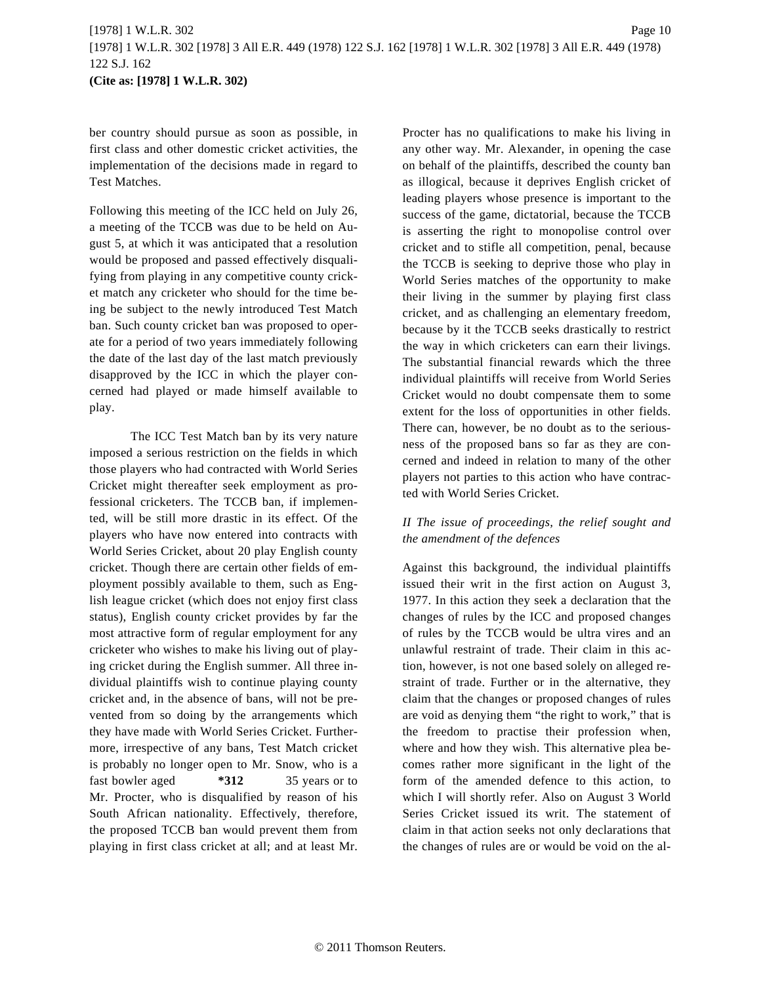ber country should pursue as soon as possible, in first class and other domestic cricket activities, the implementation of the decisions made in regard to Test Matches.

Following this meeting of the ICC held on July 26, a meeting of the TCCB was due to be held on August 5, at which it was anticipated that a resolution would be proposed and passed effectively disqualifying from playing in any competitive county cricket match any cricketer who should for the time being be subject to the newly introduced Test Match ban. Such county cricket ban was proposed to operate for a period of two years immediately following the date of the last day of the last match previously disapproved by the ICC in which the player concerned had played or made himself available to play.

The ICC Test Match ban by its very nature imposed a serious restriction on the fields in which those players who had contracted with World Series Cricket might thereafter seek employment as professional cricketers. The TCCB ban, if implemented, will be still more drastic in its effect. Of the players who have now entered into contracts with World Series Cricket, about 20 play English county cricket. Though there are certain other fields of employment possibly available to them, such as English league cricket (which does not enjoy first class status), English county cricket provides by far the most attractive form of regular employment for any cricketer who wishes to make his living out of playing cricket during the English summer. All three individual plaintiffs wish to continue playing county cricket and, in the absence of bans, will not be prevented from so doing by the arrangements which they have made with World Series Cricket. Furthermore, irrespective of any bans, Test Match cricket is probably no longer open to Mr. Snow, who is a fast bowler aged **\*312** 35 years or to Mr. Procter, who is disqualified by reason of his South African nationality. Effectively, therefore, the proposed TCCB ban would prevent them from playing in first class cricket at all; and at least Mr. Procter has no qualifications to make his living in any other way. Mr. Alexander, in opening the case on behalf of the plaintiffs, described the county ban as illogical, because it deprives English cricket of leading players whose presence is important to the success of the game, dictatorial, because the TCCB is asserting the right to monopolise control over cricket and to stifle all competition, penal, because the TCCB is seeking to deprive those who play in World Series matches of the opportunity to make their living in the summer by playing first class cricket, and as challenging an elementary freedom, because by it the TCCB seeks drastically to restrict the way in which cricketers can earn their livings. The substantial financial rewards which the three individual plaintiffs will receive from World Series Cricket would no doubt compensate them to some extent for the loss of opportunities in other fields. There can, however, be no doubt as to the seriousness of the proposed bans so far as they are concerned and indeed in relation to many of the other players not parties to this action who have contracted with World Series Cricket.

# *II The issue of proceedings, the relief sought and the amendment of the defences*

Against this background, the individual plaintiffs issued their writ in the first action on August 3, 1977. In this action they seek a declaration that the changes of rules by the ICC and proposed changes of rules by the TCCB would be ultra vires and an unlawful restraint of trade. Their claim in this action, however, is not one based solely on alleged restraint of trade. Further or in the alternative, they claim that the changes or proposed changes of rules are void as denying them "the right to work," that is the freedom to practise their profession when, where and how they wish. This alternative plea becomes rather more significant in the light of the form of the amended defence to this action, to which I will shortly refer. Also on August 3 World Series Cricket issued its writ. The statement of claim in that action seeks not only declarations that the changes of rules are or would be void on the al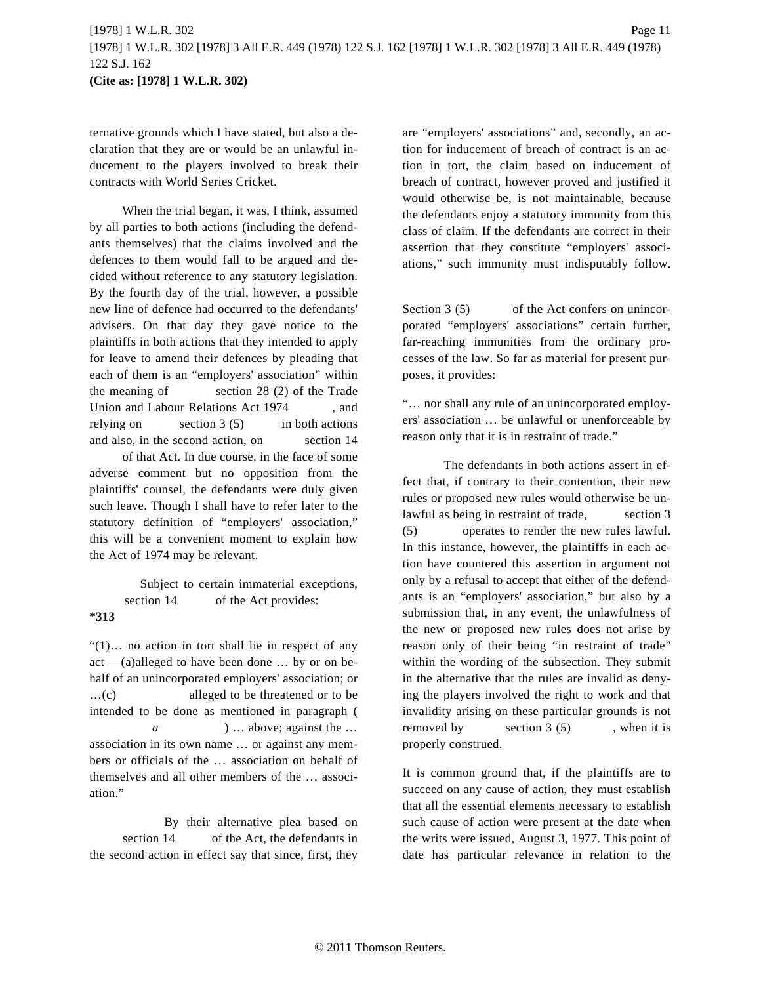ternative grounds which I have stated, but also a declaration that they are or would be an unlawful inducement to the players involved to break their contracts with World Series Cricket.

When the trial began, it was, I think, assumed by all parties to both actions (including the defendants themselves) that the claims involved and the defences to them would fall to be argued and decided without reference to any statutory legislation. By the fourth day of the trial, however, a possible new line of defence had occurred to the defendants' advisers. On that day they gave notice to the plaintiffs in both actions that they intended to apply for leave to amend their defences by pleading that each of them is an "employers' association" within the meaning of section 28 (2) of the Trade Union and Labour Relations Act 1974 , and relying on section  $3(5)$  in both actions and also, in the second action, on section 14 of that Act. In due course, in the face of some adverse comment but no opposition from the plaintiffs' counsel, the defendants were duly given such leave. Though I shall have to refer later to the

statutory definition of "employers' association," this will be a convenient moment to explain how the Act of 1974 may be relevant.

Subject to certain immaterial exceptions, section 14 of the Act provides: **\*313**

"(1)… no action in tort shall lie in respect of any act —(a)alleged to have been done … by or on behalf of an unincorporated employers' association; or …(c) alleged to be threatened or to be intended to be done as mentioned in paragraph ( *a* ) … above; against the … association in its own name … or against any members or officials of the … association on behalf of themselves and all other members of the … association."

By their alternative plea based on section 14 of the Act, the defendants in the second action in effect say that since, first, they are "employers' associations" and, secondly, an action for inducement of breach of contract is an action in tort, the claim based on inducement of breach of contract, however proved and justified it would otherwise be, is not maintainable, because the defendants enjoy a statutory immunity from this class of claim. If the defendants are correct in their assertion that they constitute "employers' associations," such immunity must indisputably follow.

Section 3 (5) of the Act confers on unincorporated "employers' associations" certain further, far-reaching immunities from the ordinary processes of the law. So far as material for present purposes, it provides:

"… nor shall any rule of an unincorporated employers' association … be unlawful or unenforceable by reason only that it is in restraint of trade."

The defendants in both actions assert in effect that, if contrary to their contention, their new rules or proposed new rules would otherwise be unlawful as being in restraint of trade, section 3 (5) operates to render the new rules lawful. In this instance, however, the plaintiffs in each action have countered this assertion in argument not only by a refusal to accept that either of the defendants is an "employers' association," but also by a submission that, in any event, the unlawfulness of the new or proposed new rules does not arise by reason only of their being "in restraint of trade" within the wording of the subsection. They submit in the alternative that the rules are invalid as denying the players involved the right to work and that invalidity arising on these particular grounds is not removed by section  $3(5)$ , when it is properly construed.

It is common ground that, if the plaintiffs are to succeed on any cause of action, they must establish that all the essential elements necessary to establish such cause of action were present at the date when the writs were issued, August 3, 1977. This point of date has particular relevance in relation to the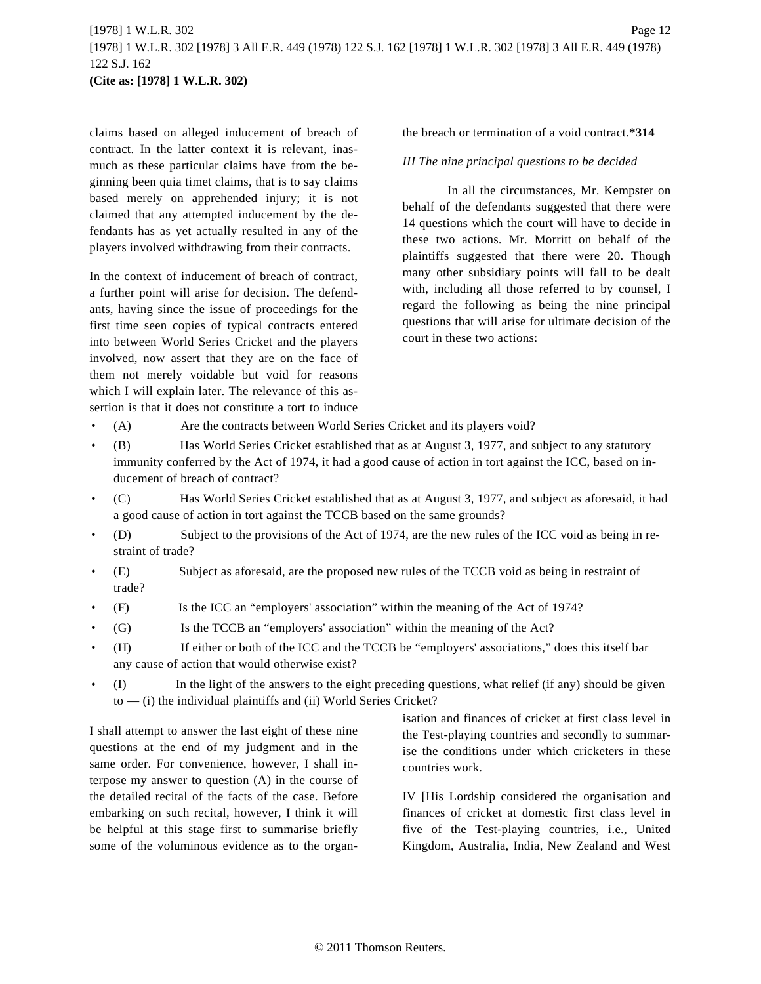claims based on alleged inducement of breach of contract. In the latter context it is relevant, inasmuch as these particular claims have from the beginning been quia timet claims, that is to say claims based merely on apprehended injury; it is not claimed that any attempted inducement by the defendants has as yet actually resulted in any of the players involved withdrawing from their contracts.

In the context of inducement of breach of contract, a further point will arise for decision. The defendants, having since the issue of proceedings for the first time seen copies of typical contracts entered into between World Series Cricket and the players involved, now assert that they are on the face of them not merely voidable but void for reasons which I will explain later. The relevance of this assertion is that it does not constitute a tort to induce the breach or termination of a void contract.**\*314**

*III The nine principal questions to be decided*

In all the circumstances, Mr. Kempster on behalf of the defendants suggested that there were 14 questions which the court will have to decide in these two actions. Mr. Morritt on behalf of the plaintiffs suggested that there were 20. Though many other subsidiary points will fall to be dealt with, including all those referred to by counsel, I regard the following as being the nine principal questions that will arise for ultimate decision of the court in these two actions:

- (A) Are the contracts between World Series Cricket and its players void?
- (B) Has World Series Cricket established that as at August 3, 1977, and subject to any statutory immunity conferred by the Act of 1974, it had a good cause of action in tort against the ICC, based on inducement of breach of contract?
- (C) Has World Series Cricket established that as at August 3, 1977, and subject as aforesaid, it had a good cause of action in tort against the TCCB based on the same grounds?
- (D) Subject to the provisions of the Act of 1974, are the new rules of the ICC void as being in restraint of trade?
- (E) Subject as aforesaid, are the proposed new rules of the TCCB void as being in restraint of trade?
- (F) Is the ICC an "employers' association" within the meaning of the Act of 1974?
- (G) Is the TCCB an "employers' association" within the meaning of the Act?
- (H) If either or both of the ICC and the TCCB be "employers' associations," does this itself bar any cause of action that would otherwise exist?
- (I) In the light of the answers to the eight preceding questions, what relief (if any) should be given to — (i) the individual plaintiffs and (ii) World Series Cricket?

I shall attempt to answer the last eight of these nine questions at the end of my judgment and in the same order. For convenience, however, I shall interpose my answer to question (A) in the course of the detailed recital of the facts of the case. Before embarking on such recital, however, I think it will be helpful at this stage first to summarise briefly some of the voluminous evidence as to the organisation and finances of cricket at first class level in the Test-playing countries and secondly to summarise the conditions under which cricketers in these countries work.

IV [His Lordship considered the organisation and finances of cricket at domestic first class level in five of the Test-playing countries, i.e., United Kingdom, Australia, India, New Zealand and West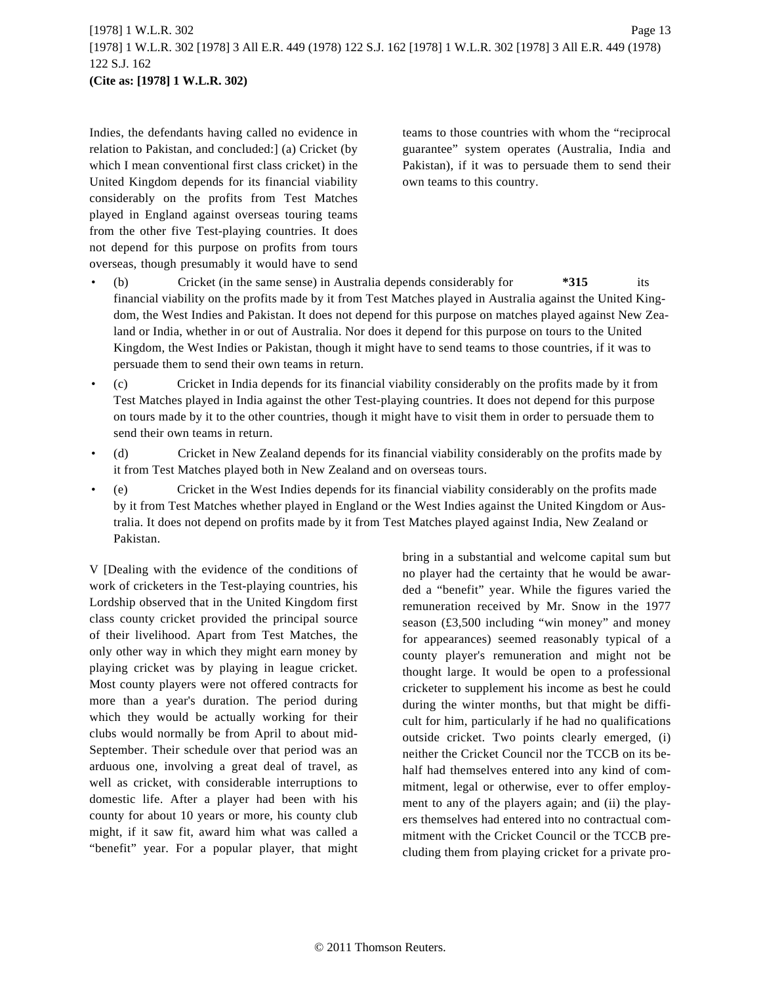```
[1978] 1 W.L.R. 302 Page 13
[1978] 1 W.L.R. 302 [1978] 3 All E.R. 449 (1978) 122 S.J. 162 [1978] 1 W.L.R. 302 [1978] 3 All E.R. 449 (1978)
122 S.J. 162
(Cite as: [1978] 1 W.L.R. 302)
```
Indies, the defendants having called no evidence in relation to Pakistan, and concluded:] (a) Cricket (by which I mean conventional first class cricket) in the United Kingdom depends for its financial viability considerably on the profits from Test Matches played in England against overseas touring teams from the other five Test-playing countries. It does not depend for this purpose on profits from tours overseas, though presumably it would have to send teams to those countries with whom the "reciprocal guarantee" system operates (Australia, India and Pakistan), if it was to persuade them to send their own teams to this country.

- (b) Cricket (in the same sense) in Australia depends considerably for **\*315** its financial viability on the profits made by it from Test Matches played in Australia against the United Kingdom, the West Indies and Pakistan. It does not depend for this purpose on matches played against New Zealand or India, whether in or out of Australia. Nor does it depend for this purpose on tours to the United Kingdom, the West Indies or Pakistan, though it might have to send teams to those countries, if it was to persuade them to send their own teams in return.
- (c) Cricket in India depends for its financial viability considerably on the profits made by it from Test Matches played in India against the other Test-playing countries. It does not depend for this purpose on tours made by it to the other countries, though it might have to visit them in order to persuade them to send their own teams in return.
- (d) Cricket in New Zealand depends for its financial viability considerably on the profits made by it from Test Matches played both in New Zealand and on overseas tours.
- (e) Cricket in the West Indies depends for its financial viability considerably on the profits made by it from Test Matches whether played in England or the West Indies against the United Kingdom or Australia. It does not depend on profits made by it from Test Matches played against India, New Zealand or Pakistan.

V [Dealing with the evidence of the conditions of work of cricketers in the Test-playing countries, his Lordship observed that in the United Kingdom first class county cricket provided the principal source of their livelihood. Apart from Test Matches, the only other way in which they might earn money by playing cricket was by playing in league cricket. Most county players were not offered contracts for more than a year's duration. The period during which they would be actually working for their clubs would normally be from April to about mid-September. Their schedule over that period was an arduous one, involving a great deal of travel, as well as cricket, with considerable interruptions to domestic life. After a player had been with his county for about 10 years or more, his county club might, if it saw fit, award him what was called a "benefit" year. For a popular player, that might bring in a substantial and welcome capital sum but no player had the certainty that he would be awarded a "benefit" year. While the figures varied the remuneration received by Mr. Snow in the 1977 season (£3,500 including "win money" and money for appearances) seemed reasonably typical of a county player's remuneration and might not be thought large. It would be open to a professional cricketer to supplement his income as best he could during the winter months, but that might be difficult for him, particularly if he had no qualifications outside cricket. Two points clearly emerged, (i) neither the Cricket Council nor the TCCB on its behalf had themselves entered into any kind of commitment, legal or otherwise, ever to offer employment to any of the players again; and (ii) the players themselves had entered into no contractual commitment with the Cricket Council or the TCCB precluding them from playing cricket for a private pro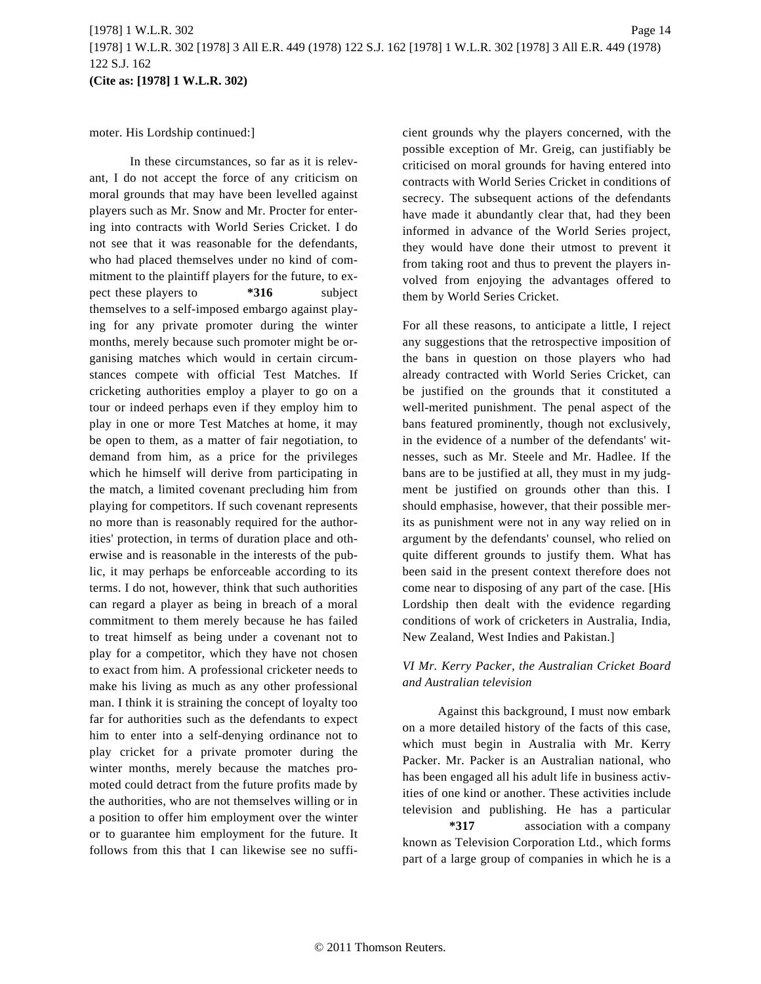moter. His Lordship continued:]

In these circumstances, so far as it is relevant, I do not accept the force of any criticism on moral grounds that may have been levelled against players such as Mr. Snow and Mr. Procter for entering into contracts with World Series Cricket. I do not see that it was reasonable for the defendants, who had placed themselves under no kind of commitment to the plaintiff players for the future, to expect these players to **\*316** subject themselves to a self-imposed embargo against playing for any private promoter during the winter months, merely because such promoter might be organising matches which would in certain circumstances compete with official Test Matches. If cricketing authorities employ a player to go on a tour or indeed perhaps even if they employ him to play in one or more Test Matches at home, it may be open to them, as a matter of fair negotiation, to demand from him, as a price for the privileges which he himself will derive from participating in the match, a limited covenant precluding him from playing for competitors. If such covenant represents no more than is reasonably required for the authorities' protection, in terms of duration place and otherwise and is reasonable in the interests of the public, it may perhaps be enforceable according to its terms. I do not, however, think that such authorities can regard a player as being in breach of a moral commitment to them merely because he has failed to treat himself as being under a covenant not to play for a competitor, which they have not chosen to exact from him. A professional cricketer needs to make his living as much as any other professional man. I think it is straining the concept of loyalty too far for authorities such as the defendants to expect him to enter into a self-denying ordinance not to play cricket for a private promoter during the winter months, merely because the matches promoted could detract from the future profits made by the authorities, who are not themselves willing or in a position to offer him employment over the winter or to guarantee him employment for the future. It follows from this that I can likewise see no sufficient grounds why the players concerned, with the possible exception of Mr. Greig, can justifiably be criticised on moral grounds for having entered into contracts with World Series Cricket in conditions of secrecy. The subsequent actions of the defendants have made it abundantly clear that, had they been informed in advance of the World Series project, they would have done their utmost to prevent it from taking root and thus to prevent the players involved from enjoying the advantages offered to them by World Series Cricket.

For all these reasons, to anticipate a little, I reject any suggestions that the retrospective imposition of the bans in question on those players who had already contracted with World Series Cricket, can be justified on the grounds that it constituted a well-merited punishment. The penal aspect of the bans featured prominently, though not exclusively, in the evidence of a number of the defendants' witnesses, such as Mr. Steele and Mr. Hadlee. If the bans are to be justified at all, they must in my judgment be justified on grounds other than this. I should emphasise, however, that their possible merits as punishment were not in any way relied on in argument by the defendants' counsel, who relied on quite different grounds to justify them. What has been said in the present context therefore does not come near to disposing of any part of the case. [His Lordship then dealt with the evidence regarding conditions of work of cricketers in Australia, India, New Zealand, West Indies and Pakistan.]

# *VI Mr. Kerry Packer, the Australian Cricket Board and Australian television*

Against this background, I must now embark on a more detailed history of the facts of this case, which must begin in Australia with Mr. Kerry Packer. Mr. Packer is an Australian national, who has been engaged all his adult life in business activities of one kind or another. These activities include television and publishing. He has a particular **\*317** association with a company known as Television Corporation Ltd., which forms part of a large group of companies in which he is a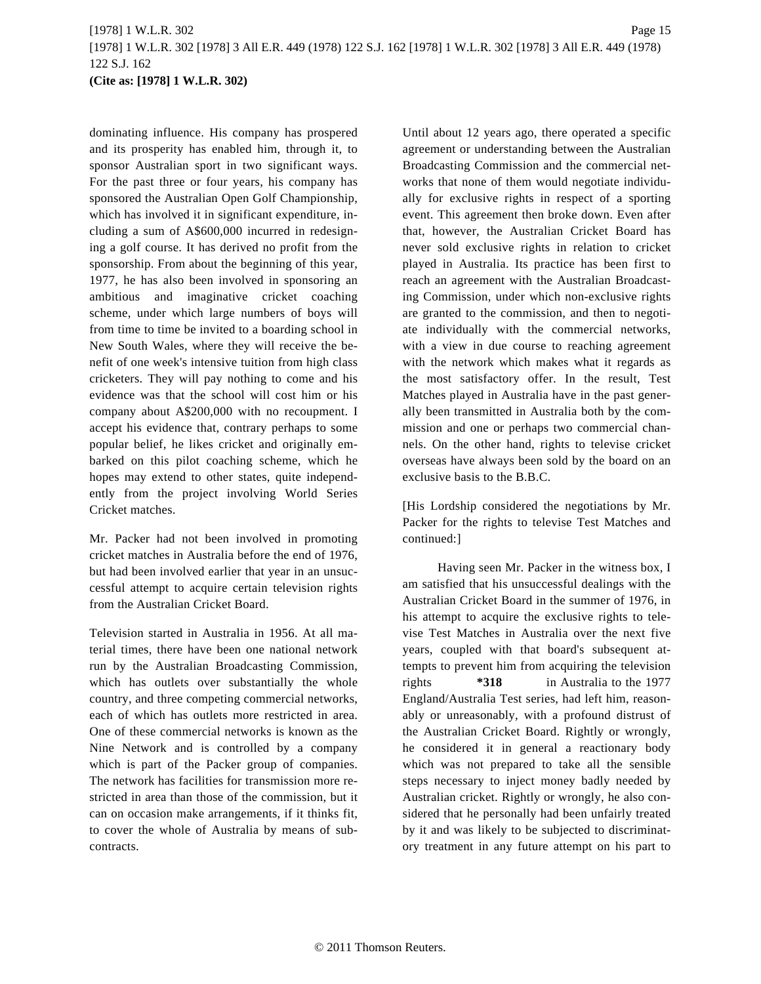# [1978] 1 W.L.R. 302 Page 15 [1978] 1 W.L.R. 302 [1978] 3 All E.R. 449 (1978) 122 S.J. 162 [1978] 1 W.L.R. 302 [1978] 3 All E.R. 449 (1978) 122 S.J. 162 **(Cite as: [1978] 1 W.L.R. 302)**

dominating influence. His company has prospered and its prosperity has enabled him, through it, to sponsor Australian sport in two significant ways. For the past three or four years, his company has sponsored the Australian Open Golf Championship, which has involved it in significant expenditure, including a sum of A\$600,000 incurred in redesigning a golf course. It has derived no profit from the sponsorship. From about the beginning of this year, 1977, he has also been involved in sponsoring an ambitious and imaginative cricket coaching scheme, under which large numbers of boys will from time to time be invited to a boarding school in New South Wales, where they will receive the benefit of one week's intensive tuition from high class cricketers. They will pay nothing to come and his evidence was that the school will cost him or his company about A\$200,000 with no recoupment. I accept his evidence that, contrary perhaps to some popular belief, he likes cricket and originally embarked on this pilot coaching scheme, which he hopes may extend to other states, quite independently from the project involving World Series Cricket matches.

Mr. Packer had not been involved in promoting cricket matches in Australia before the end of 1976, but had been involved earlier that year in an unsuccessful attempt to acquire certain television rights from the Australian Cricket Board.

Television started in Australia in 1956. At all material times, there have been one national network run by the Australian Broadcasting Commission, which has outlets over substantially the whole country, and three competing commercial networks, each of which has outlets more restricted in area. One of these commercial networks is known as the Nine Network and is controlled by a company which is part of the Packer group of companies. The network has facilities for transmission more restricted in area than those of the commission, but it can on occasion make arrangements, if it thinks fit, to cover the whole of Australia by means of subcontracts.

Until about 12 years ago, there operated a specific agreement or understanding between the Australian Broadcasting Commission and the commercial networks that none of them would negotiate individually for exclusive rights in respect of a sporting event. This agreement then broke down. Even after that, however, the Australian Cricket Board has never sold exclusive rights in relation to cricket played in Australia. Its practice has been first to reach an agreement with the Australian Broadcasting Commission, under which non-exclusive rights are granted to the commission, and then to negotiate individually with the commercial networks, with a view in due course to reaching agreement with the network which makes what it regards as the most satisfactory offer. In the result, Test Matches played in Australia have in the past generally been transmitted in Australia both by the commission and one or perhaps two commercial channels. On the other hand, rights to televise cricket overseas have always been sold by the board on an exclusive basis to the B.B.C.

[His Lordship considered the negotiations by Mr. Packer for the rights to televise Test Matches and continued:]

Having seen Mr. Packer in the witness box, I am satisfied that his unsuccessful dealings with the Australian Cricket Board in the summer of 1976, in his attempt to acquire the exclusive rights to televise Test Matches in Australia over the next five years, coupled with that board's subsequent attempts to prevent him from acquiring the television rights **\*318** in Australia to the 1977 England/Australia Test series, had left him, reasonably or unreasonably, with a profound distrust of the Australian Cricket Board. Rightly or wrongly, he considered it in general a reactionary body which was not prepared to take all the sensible steps necessary to inject money badly needed by Australian cricket. Rightly or wrongly, he also considered that he personally had been unfairly treated by it and was likely to be subjected to discriminatory treatment in any future attempt on his part to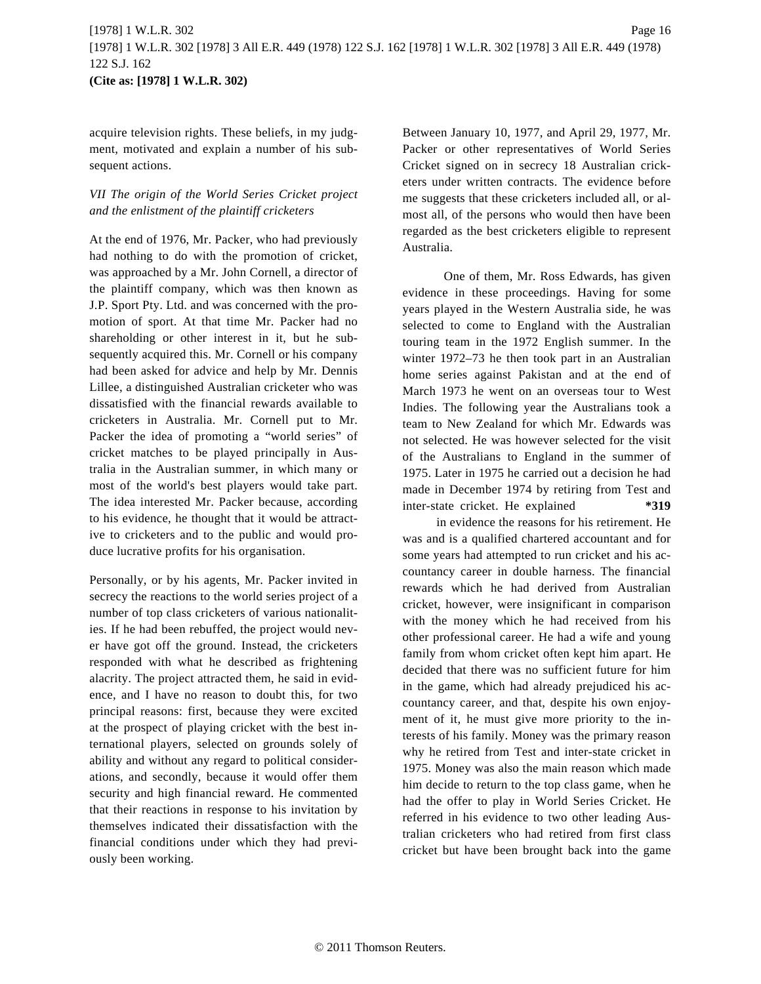acquire television rights. These beliefs, in my judgment, motivated and explain a number of his subsequent actions.

# *VII The origin of the World Series Cricket project and the enlistment of the plaintiff cricketers*

At the end of 1976, Mr. Packer, who had previously had nothing to do with the promotion of cricket, was approached by a Mr. John Cornell, a director of the plaintiff company, which was then known as J.P. Sport Pty. Ltd. and was concerned with the promotion of sport. At that time Mr. Packer had no shareholding or other interest in it, but he subsequently acquired this. Mr. Cornell or his company had been asked for advice and help by Mr. Dennis Lillee, a distinguished Australian cricketer who was dissatisfied with the financial rewards available to cricketers in Australia. Mr. Cornell put to Mr. Packer the idea of promoting a "world series" of cricket matches to be played principally in Australia in the Australian summer, in which many or most of the world's best players would take part. The idea interested Mr. Packer because, according to his evidence, he thought that it would be attractive to cricketers and to the public and would produce lucrative profits for his organisation.

Personally, or by his agents, Mr. Packer invited in secrecy the reactions to the world series project of a number of top class cricketers of various nationalities. If he had been rebuffed, the project would never have got off the ground. Instead, the cricketers responded with what he described as frightening alacrity. The project attracted them, he said in evidence, and I have no reason to doubt this, for two principal reasons: first, because they were excited at the prospect of playing cricket with the best international players, selected on grounds solely of ability and without any regard to political considerations, and secondly, because it would offer them security and high financial reward. He commented that their reactions in response to his invitation by themselves indicated their dissatisfaction with the financial conditions under which they had previously been working.

Between January 10, 1977, and April 29, 1977, Mr. Packer or other representatives of World Series Cricket signed on in secrecy 18 Australian cricketers under written contracts. The evidence before me suggests that these cricketers included all, or almost all, of the persons who would then have been regarded as the best cricketers eligible to represent Australia.

One of them, Mr. Ross Edwards, has given evidence in these proceedings. Having for some years played in the Western Australia side, he was selected to come to England with the Australian touring team in the 1972 English summer. In the winter 1972–73 he then took part in an Australian home series against Pakistan and at the end of March 1973 he went on an overseas tour to West Indies. The following year the Australians took a team to New Zealand for which Mr. Edwards was not selected. He was however selected for the visit of the Australians to England in the summer of 1975. Later in 1975 he carried out a decision he had made in December 1974 by retiring from Test and inter-state cricket. He explained **\*319**

in evidence the reasons for his retirement. He was and is a qualified chartered accountant and for some years had attempted to run cricket and his accountancy career in double harness. The financial rewards which he had derived from Australian cricket, however, were insignificant in comparison with the money which he had received from his other professional career. He had a wife and young family from whom cricket often kept him apart. He decided that there was no sufficient future for him in the game, which had already prejudiced his accountancy career, and that, despite his own enjoyment of it, he must give more priority to the interests of his family. Money was the primary reason why he retired from Test and inter-state cricket in 1975. Money was also the main reason which made him decide to return to the top class game, when he had the offer to play in World Series Cricket. He referred in his evidence to two other leading Australian cricketers who had retired from first class cricket but have been brought back into the game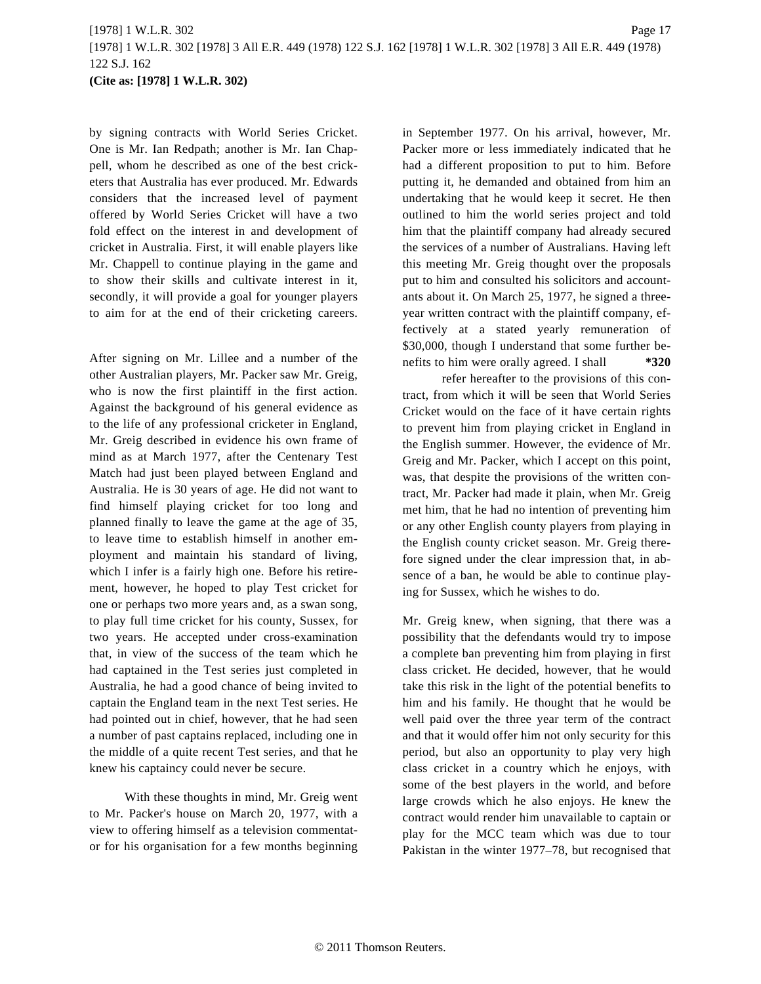by signing contracts with World Series Cricket. One is Mr. Ian Redpath; another is Mr. Ian Chappell, whom he described as one of the best cricketers that Australia has ever produced. Mr. Edwards considers that the increased level of payment offered by World Series Cricket will have a two fold effect on the interest in and development of cricket in Australia. First, it will enable players like Mr. Chappell to continue playing in the game and to show their skills and cultivate interest in it, secondly, it will provide a goal for younger players to aim for at the end of their cricketing careers.

After signing on Mr. Lillee and a number of the other Australian players, Mr. Packer saw Mr. Greig, who is now the first plaintiff in the first action. Against the background of his general evidence as to the life of any professional cricketer in England, Mr. Greig described in evidence his own frame of mind as at March 1977, after the Centenary Test Match had just been played between England and Australia. He is 30 years of age. He did not want to find himself playing cricket for too long and planned finally to leave the game at the age of 35, to leave time to establish himself in another employment and maintain his standard of living, which I infer is a fairly high one. Before his retirement, however, he hoped to play Test cricket for one or perhaps two more years and, as a swan song, to play full time cricket for his county, Sussex, for two years. He accepted under cross-examination that, in view of the success of the team which he had captained in the Test series just completed in Australia, he had a good chance of being invited to captain the England team in the next Test series. He had pointed out in chief, however, that he had seen a number of past captains replaced, including one in the middle of a quite recent Test series, and that he knew his captaincy could never be secure.

With these thoughts in mind, Mr. Greig went to Mr. Packer's house on March 20, 1977, with a view to offering himself as a television commentator for his organisation for a few months beginning in September 1977. On his arrival, however, Mr. Packer more or less immediately indicated that he had a different proposition to put to him. Before putting it, he demanded and obtained from him an undertaking that he would keep it secret. He then outlined to him the world series project and told him that the plaintiff company had already secured the services of a number of Australians. Having left this meeting Mr. Greig thought over the proposals put to him and consulted his solicitors and accountants about it. On March 25, 1977, he signed a threeyear written contract with the plaintiff company, effectively at a stated yearly remuneration of \$30,000, though I understand that some further benefits to him were orally agreed. I shall **\*320**

refer hereafter to the provisions of this contract, from which it will be seen that World Series Cricket would on the face of it have certain rights to prevent him from playing cricket in England in the English summer. However, the evidence of Mr. Greig and Mr. Packer, which I accept on this point, was, that despite the provisions of the written contract, Mr. Packer had made it plain, when Mr. Greig met him, that he had no intention of preventing him or any other English county players from playing in the English county cricket season. Mr. Greig therefore signed under the clear impression that, in absence of a ban, he would be able to continue playing for Sussex, which he wishes to do.

Mr. Greig knew, when signing, that there was a possibility that the defendants would try to impose a complete ban preventing him from playing in first class cricket. He decided, however, that he would take this risk in the light of the potential benefits to him and his family. He thought that he would be well paid over the three year term of the contract and that it would offer him not only security for this period, but also an opportunity to play very high class cricket in a country which he enjoys, with some of the best players in the world, and before large crowds which he also enjoys. He knew the contract would render him unavailable to captain or play for the MCC team which was due to tour Pakistan in the winter 1977–78, but recognised that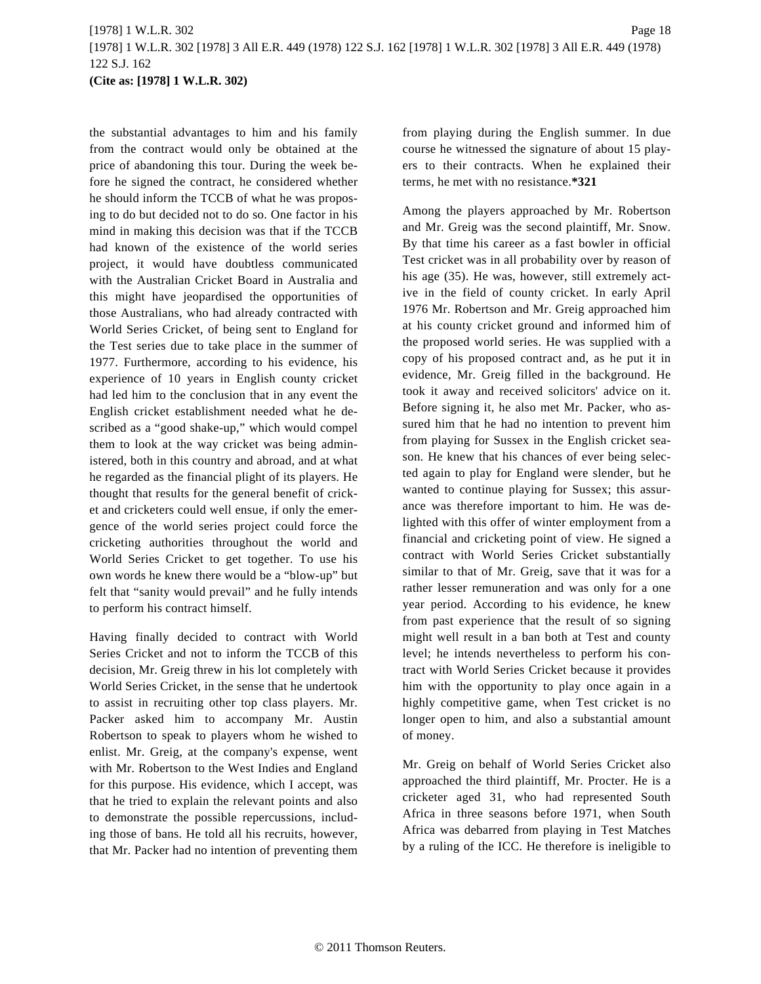the substantial advantages to him and his family from the contract would only be obtained at the price of abandoning this tour. During the week before he signed the contract, he considered whether he should inform the TCCB of what he was proposing to do but decided not to do so. One factor in his mind in making this decision was that if the TCCB had known of the existence of the world series project, it would have doubtless communicated with the Australian Cricket Board in Australia and this might have jeopardised the opportunities of those Australians, who had already contracted with World Series Cricket, of being sent to England for the Test series due to take place in the summer of 1977. Furthermore, according to his evidence, his experience of 10 years in English county cricket had led him to the conclusion that in any event the English cricket establishment needed what he described as a "good shake-up," which would compel them to look at the way cricket was being administered, both in this country and abroad, and at what he regarded as the financial plight of its players. He thought that results for the general benefit of cricket and cricketers could well ensue, if only the emergence of the world series project could force the cricketing authorities throughout the world and World Series Cricket to get together. To use his own words he knew there would be a "blow-up" but felt that "sanity would prevail" and he fully intends to perform his contract himself.

Having finally decided to contract with World Series Cricket and not to inform the TCCB of this decision, Mr. Greig threw in his lot completely with World Series Cricket, in the sense that he undertook to assist in recruiting other top class players. Mr. Packer asked him to accompany Mr. Austin Robertson to speak to players whom he wished to enlist. Mr. Greig, at the company's expense, went with Mr. Robertson to the West Indies and England for this purpose. His evidence, which I accept, was that he tried to explain the relevant points and also to demonstrate the possible repercussions, including those of bans. He told all his recruits, however, that Mr. Packer had no intention of preventing them from playing during the English summer. In due course he witnessed the signature of about 15 players to their contracts. When he explained their terms, he met with no resistance.**\*321**

Among the players approached by Mr. Robertson and Mr. Greig was the second plaintiff, Mr. Snow. By that time his career as a fast bowler in official Test cricket was in all probability over by reason of his age (35). He was, however, still extremely active in the field of county cricket. In early April 1976 Mr. Robertson and Mr. Greig approached him at his county cricket ground and informed him of the proposed world series. He was supplied with a copy of his proposed contract and, as he put it in evidence, Mr. Greig filled in the background. He took it away and received solicitors' advice on it. Before signing it, he also met Mr. Packer, who assured him that he had no intention to prevent him from playing for Sussex in the English cricket season. He knew that his chances of ever being selected again to play for England were slender, but he wanted to continue playing for Sussex; this assurance was therefore important to him. He was delighted with this offer of winter employment from a financial and cricketing point of view. He signed a contract with World Series Cricket substantially similar to that of Mr. Greig, save that it was for a rather lesser remuneration and was only for a one year period. According to his evidence, he knew from past experience that the result of so signing might well result in a ban both at Test and county level; he intends nevertheless to perform his contract with World Series Cricket because it provides him with the opportunity to play once again in a highly competitive game, when Test cricket is no longer open to him, and also a substantial amount of money.

Mr. Greig on behalf of World Series Cricket also approached the third plaintiff, Mr. Procter. He is a cricketer aged 31, who had represented South Africa in three seasons before 1971, when South Africa was debarred from playing in Test Matches by a ruling of the ICC. He therefore is ineligible to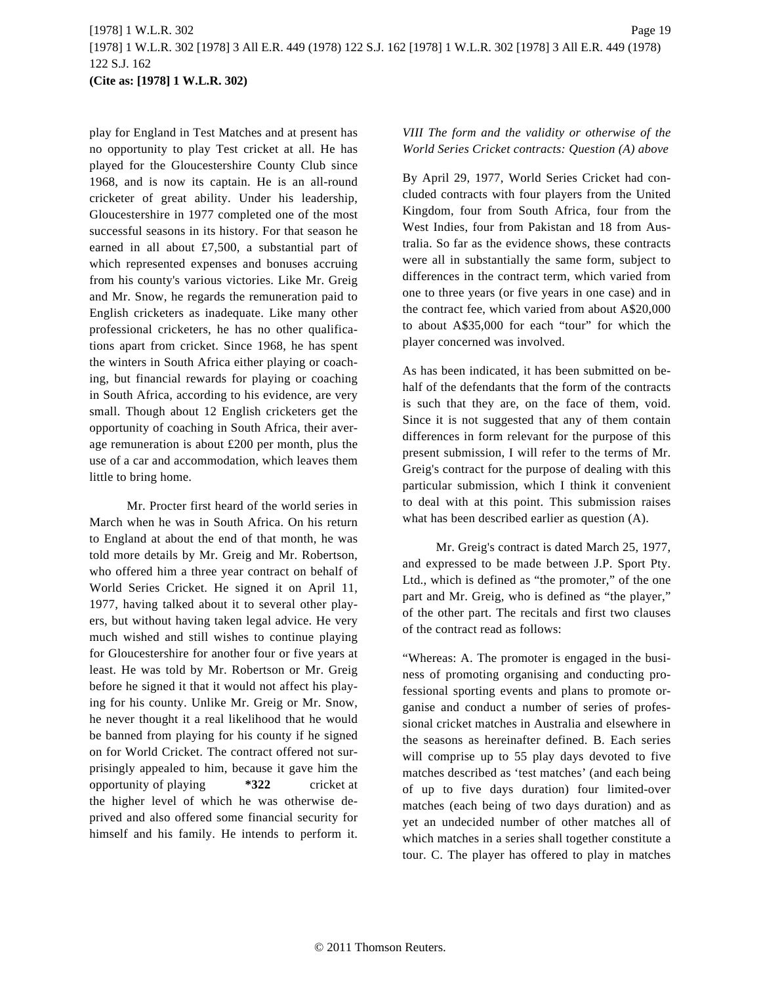play for England in Test Matches and at present has no opportunity to play Test cricket at all. He has played for the Gloucestershire County Club since 1968, and is now its captain. He is an all-round cricketer of great ability. Under his leadership, Gloucestershire in 1977 completed one of the most successful seasons in its history. For that season he earned in all about £7,500, a substantial part of which represented expenses and bonuses accruing from his county's various victories. Like Mr. Greig and Mr. Snow, he regards the remuneration paid to English cricketers as inadequate. Like many other professional cricketers, he has no other qualifications apart from cricket. Since 1968, he has spent the winters in South Africa either playing or coaching, but financial rewards for playing or coaching in South Africa, according to his evidence, are very small. Though about 12 English cricketers get the opportunity of coaching in South Africa, their average remuneration is about £200 per month, plus the use of a car and accommodation, which leaves them little to bring home.

Mr. Procter first heard of the world series in March when he was in South Africa. On his return to England at about the end of that month, he was told more details by Mr. Greig and Mr. Robertson, who offered him a three year contract on behalf of World Series Cricket. He signed it on April 11, 1977, having talked about it to several other players, but without having taken legal advice. He very much wished and still wishes to continue playing for Gloucestershire for another four or five years at least. He was told by Mr. Robertson or Mr. Greig before he signed it that it would not affect his playing for his county. Unlike Mr. Greig or Mr. Snow, he never thought it a real likelihood that he would be banned from playing for his county if he signed on for World Cricket. The contract offered not surprisingly appealed to him, because it gave him the opportunity of playing  $*322$  cricket at the higher level of which he was otherwise deprived and also offered some financial security for himself and his family. He intends to perform it.

# *VIII The form and the validity or otherwise of the World Series Cricket contracts: Question (A) above*

By April 29, 1977, World Series Cricket had concluded contracts with four players from the United Kingdom, four from South Africa, four from the West Indies, four from Pakistan and 18 from Australia. So far as the evidence shows, these contracts were all in substantially the same form, subject to differences in the contract term, which varied from one to three years (or five years in one case) and in the contract fee, which varied from about A\$20,000 to about A\$35,000 for each "tour" for which the player concerned was involved.

As has been indicated, it has been submitted on behalf of the defendants that the form of the contracts is such that they are, on the face of them, void. Since it is not suggested that any of them contain differences in form relevant for the purpose of this present submission, I will refer to the terms of Mr. Greig's contract for the purpose of dealing with this particular submission, which I think it convenient to deal with at this point. This submission raises what has been described earlier as question (A).

Mr. Greig's contract is dated March 25, 1977, and expressed to be made between J.P. Sport Pty. Ltd., which is defined as "the promoter," of the one part and Mr. Greig, who is defined as "the player," of the other part. The recitals and first two clauses of the contract read as follows:

"Whereas: A. The promoter is engaged in the business of promoting organising and conducting professional sporting events and plans to promote organise and conduct a number of series of professional cricket matches in Australia and elsewhere in the seasons as hereinafter defined. B. Each series will comprise up to 55 play days devoted to five matches described as 'test matches' (and each being of up to five days duration) four limited-over matches (each being of two days duration) and as yet an undecided number of other matches all of which matches in a series shall together constitute a tour. C. The player has offered to play in matches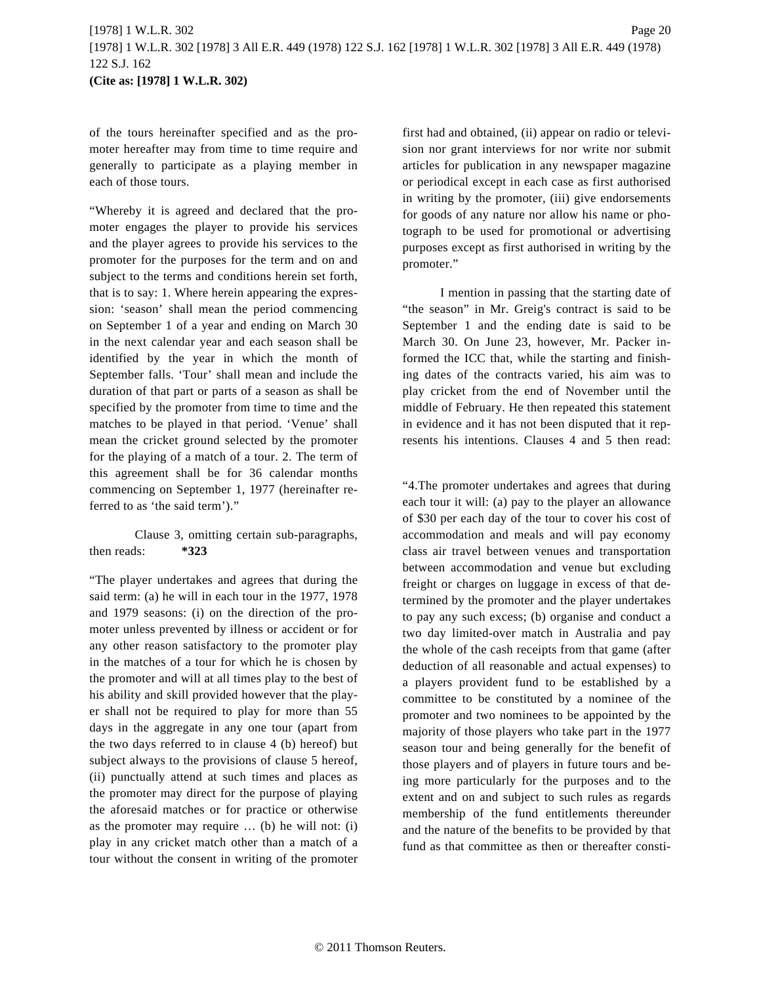of the tours hereinafter specified and as the promoter hereafter may from time to time require and generally to participate as a playing member in each of those tours.

"Whereby it is agreed and declared that the promoter engages the player to provide his services and the player agrees to provide his services to the promoter for the purposes for the term and on and subject to the terms and conditions herein set forth, that is to say: 1. Where herein appearing the expression: 'season' shall mean the period commencing on September 1 of a year and ending on March 30 in the next calendar year and each season shall be identified by the year in which the month of September falls. 'Tour' shall mean and include the duration of that part or parts of a season as shall be specified by the promoter from time to time and the matches to be played in that period. 'Venue' shall mean the cricket ground selected by the promoter for the playing of a match of a tour. 2. The term of this agreement shall be for 36 calendar months commencing on September 1, 1977 (hereinafter referred to as 'the said term')."

Clause 3, omitting certain sub-paragraphs, then reads: **\*323**

"The player undertakes and agrees that during the said term: (a) he will in each tour in the 1977, 1978 and 1979 seasons: (i) on the direction of the promoter unless prevented by illness or accident or for any other reason satisfactory to the promoter play in the matches of a tour for which he is chosen by the promoter and will at all times play to the best of his ability and skill provided however that the player shall not be required to play for more than 55 days in the aggregate in any one tour (apart from the two days referred to in clause 4 (b) hereof) but subject always to the provisions of clause 5 hereof, (ii) punctually attend at such times and places as the promoter may direct for the purpose of playing the aforesaid matches or for practice or otherwise as the promoter may require … (b) he will not: (i) play in any cricket match other than a match of a tour without the consent in writing of the promoter first had and obtained, (ii) appear on radio or television nor grant interviews for nor write nor submit articles for publication in any newspaper magazine or periodical except in each case as first authorised in writing by the promoter, (iii) give endorsements for goods of any nature nor allow his name or photograph to be used for promotional or advertising purposes except as first authorised in writing by the promoter."

I mention in passing that the starting date of "the season" in Mr. Greig's contract is said to be September 1 and the ending date is said to be March 30. On June 23, however, Mr. Packer informed the ICC that, while the starting and finishing dates of the contracts varied, his aim was to play cricket from the end of November until the middle of February. He then repeated this statement in evidence and it has not been disputed that it represents his intentions. Clauses 4 and 5 then read:

"4.The promoter undertakes and agrees that during each tour it will: (a) pay to the player an allowance of \$30 per each day of the tour to cover his cost of accommodation and meals and will pay economy class air travel between venues and transportation between accommodation and venue but excluding freight or charges on luggage in excess of that determined by the promoter and the player undertakes to pay any such excess; (b) organise and conduct a two day limited-over match in Australia and pay the whole of the cash receipts from that game (after deduction of all reasonable and actual expenses) to a players provident fund to be established by a committee to be constituted by a nominee of the promoter and two nominees to be appointed by the majority of those players who take part in the 1977 season tour and being generally for the benefit of those players and of players in future tours and being more particularly for the purposes and to the extent and on and subject to such rules as regards membership of the fund entitlements thereunder and the nature of the benefits to be provided by that fund as that committee as then or thereafter consti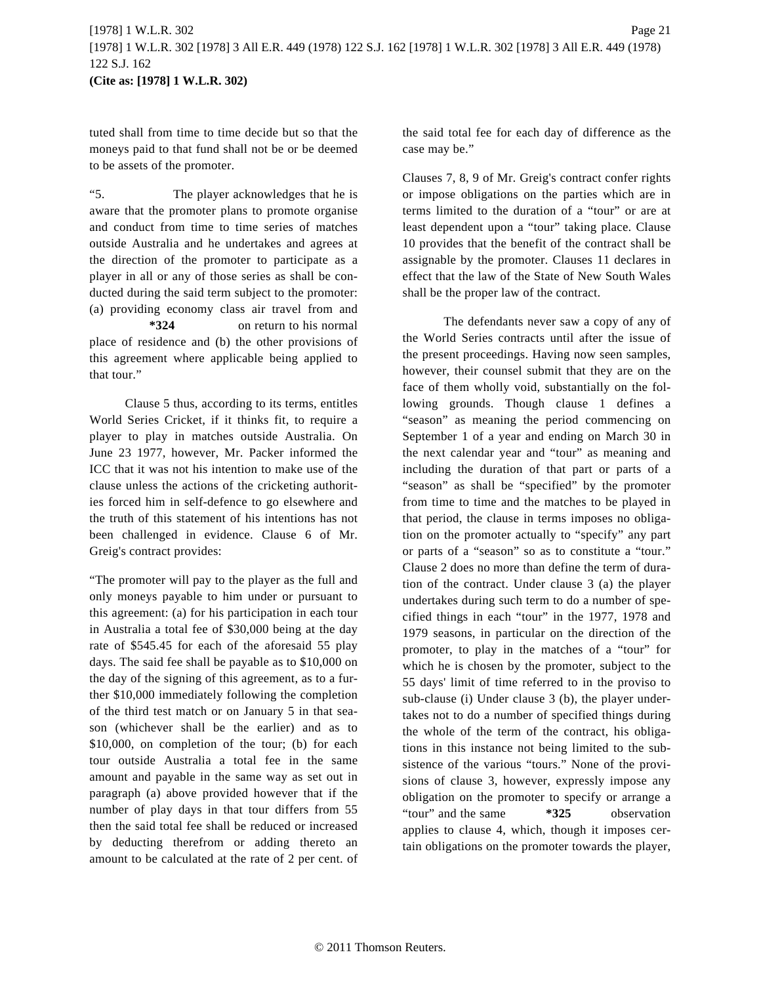tuted shall from time to time decide but so that the moneys paid to that fund shall not be or be deemed to be assets of the promoter.

"5. The player acknowledges that he is aware that the promoter plans to promote organise and conduct from time to time series of matches outside Australia and he undertakes and agrees at the direction of the promoter to participate as a player in all or any of those series as shall be conducted during the said term subject to the promoter: (a) providing economy class air travel from and **\*324** on return to his normal place of residence and (b) the other provisions of this agreement where applicable being applied to that tour."

Clause 5 thus, according to its terms, entitles World Series Cricket, if it thinks fit, to require a player to play in matches outside Australia. On June 23 1977, however, Mr. Packer informed the ICC that it was not his intention to make use of the clause unless the actions of the cricketing authorities forced him in self-defence to go elsewhere and the truth of this statement of his intentions has not been challenged in evidence. Clause 6 of Mr. Greig's contract provides:

"The promoter will pay to the player as the full and only moneys payable to him under or pursuant to this agreement: (a) for his participation in each tour in Australia a total fee of \$30,000 being at the day rate of \$545.45 for each of the aforesaid 55 play days. The said fee shall be payable as to \$10,000 on the day of the signing of this agreement, as to a further \$10,000 immediately following the completion of the third test match or on January 5 in that season (whichever shall be the earlier) and as to \$10,000, on completion of the tour; (b) for each tour outside Australia a total fee in the same amount and payable in the same way as set out in paragraph (a) above provided however that if the number of play days in that tour differs from 55 then the said total fee shall be reduced or increased by deducting therefrom or adding thereto an amount to be calculated at the rate of 2 per cent. of the said total fee for each day of difference as the case may be."

Clauses 7, 8, 9 of Mr. Greig's contract confer rights or impose obligations on the parties which are in terms limited to the duration of a "tour" or are at least dependent upon a "tour" taking place. Clause 10 provides that the benefit of the contract shall be assignable by the promoter. Clauses 11 declares in effect that the law of the State of New South Wales shall be the proper law of the contract.

The defendants never saw a copy of any of the World Series contracts until after the issue of the present proceedings. Having now seen samples, however, their counsel submit that they are on the face of them wholly void, substantially on the following grounds. Though clause 1 defines a "season" as meaning the period commencing on September 1 of a year and ending on March 30 in the next calendar year and "tour" as meaning and including the duration of that part or parts of a "season" as shall be "specified" by the promoter from time to time and the matches to be played in that period, the clause in terms imposes no obligation on the promoter actually to "specify" any part or parts of a "season" so as to constitute a "tour." Clause 2 does no more than define the term of duration of the contract. Under clause 3 (a) the player undertakes during such term to do a number of specified things in each "tour" in the 1977, 1978 and 1979 seasons, in particular on the direction of the promoter, to play in the matches of a "tour" for which he is chosen by the promoter, subject to the 55 days' limit of time referred to in the proviso to sub-clause (i) Under clause 3 (b), the player undertakes not to do a number of specified things during the whole of the term of the contract, his obligations in this instance not being limited to the subsistence of the various "tours." None of the provisions of clause 3, however, expressly impose any obligation on the promoter to specify or arrange a "tour" and the same **\*325** observation applies to clause 4, which, though it imposes certain obligations on the promoter towards the player,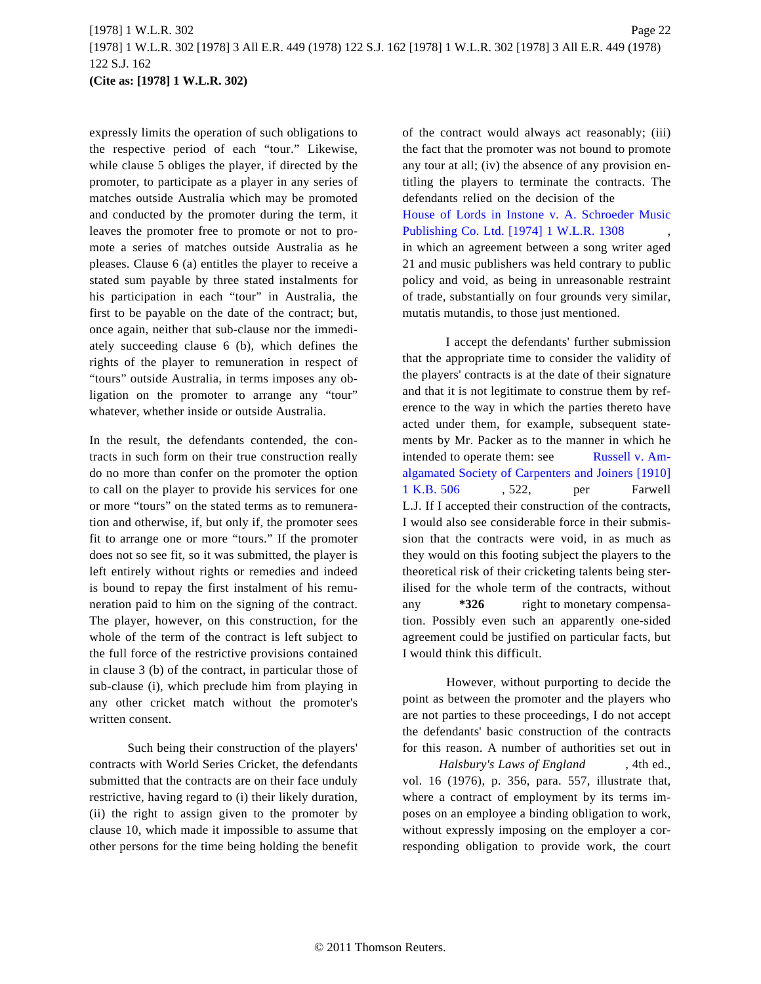expressly limits the operation of such obligations to the respective period of each "tour." Likewise, while clause 5 obliges the player, if directed by the promoter, to participate as a player in any series of matches outside Australia which may be promoted and conducted by the promoter during the term, it leaves the promoter free to promote or not to promote a series of matches outside Australia as he pleases. Clause 6 (a) entitles the player to receive a stated sum payable by three stated instalments for his participation in each "tour" in Australia, the first to be payable on the date of the contract; but, once again, neither that sub-clause nor the immediately succeeding clause 6 (b), which defines the rights of the player to remuneration in respect of "tours" outside Australia, in terms imposes any obligation on the promoter to arrange any "tour" whatever, whether inside or outside Australia.

In the result, the defendants contended, the contracts in such form on their true construction really do no more than confer on the promoter the option to call on the player to provide his services for one or more "tours" on the stated terms as to remuneration and otherwise, if, but only if, the promoter sees fit to arrange one or more "tours." If the promoter does not so see fit, so it was submitted, the player is left entirely without rights or remedies and indeed is bound to repay the first instalment of his remuneration paid to him on the signing of the contract. The player, however, on this construction, for the whole of the term of the contract is left subject to the full force of the restrictive provisions contained in clause 3 (b) of the contract, in particular those of sub-clause (i), which preclude him from playing in any other cricket match without the promoter's written consent.

Such being their construction of the players' contracts with World Series Cricket, the defendants submitted that the contracts are on their face unduly restrictive, having regard to (i) their likely duration, (ii) the right to assign given to the promoter by clause 10, which made it impossible to assume that other persons for the time being holding the benefit of the contract would always act reasonably; (iii) the fact that the promoter was not bound to promote any tour at all; (iv) the absence of any provision entitling the players to terminate the contracts. The defendants relied on the decision of the

[House of Lords in Instone v. A. Schroeder Mu](http://www.westlaw.com/Find/Default.wl?rs=dfa1.0&vr=2.0&DB=999&FindType=Y&SerialNum=1974027099)sic [Publishing Co. Ltd. \[1974\] 1 W.L.R. 130](http://www.westlaw.com/Find/Default.wl?rs=dfa1.0&vr=2.0&DB=999&FindType=Y&SerialNum=1974027099)8 ,

in which an agreement between a song writer aged 21 and music publishers was held contrary to public policy and void, as being in unreasonable restraint of trade, substantially on four grounds very similar, mutatis mutandis, to those just mentioned.

I accept the defendants' further submission that the appropriate time to consider the validity of the players' contracts is at the date of their signature and that it is not legitimate to construe them by reference to the way in which the parties thereto have acted under them, for example, subsequent statements by Mr. Packer as to the manner in which he intended to operate them: see [Russell v. Am](http://www.westlaw.com/Find/Default.wl?rs=dfa1.0&vr=2.0&DB=999&FindType=Y&SerialNum=1910040863)[algamated Society of Carpenters and Joiners \[1910\]](http://www.westlaw.com/Find/Default.wl?rs=dfa1.0&vr=2.0&DB=999&FindType=Y&SerialNum=1910040863) [1 K.B. 506](http://www.westlaw.com/Find/Default.wl?rs=dfa1.0&vr=2.0&DB=999&FindType=Y&SerialNum=1910040863) , 522, per Farwell L.J. If I accepted their construction of the contracts, I would also see considerable force in their submission that the contracts were void, in as much as they would on this footing subject the players to the theoretical risk of their cricketing talents being sterilised for the whole term of the contracts, without any **\*326** right to monetary compensation. Possibly even such an apparently one-sided agreement could be justified on particular facts, but I would think this difficult.

However, without purporting to decide the point as between the promoter and the players who are not parties to these proceedings, I do not accept the defendants' basic construction of the contracts for this reason. A number of authorities set out in

*Halsbury's Laws of England* , 4th ed., vol. 16 (1976), p. 356, para. 557, illustrate that, where a contract of employment by its terms imposes on an employee a binding obligation to work, without expressly imposing on the employer a corresponding obligation to provide work, the court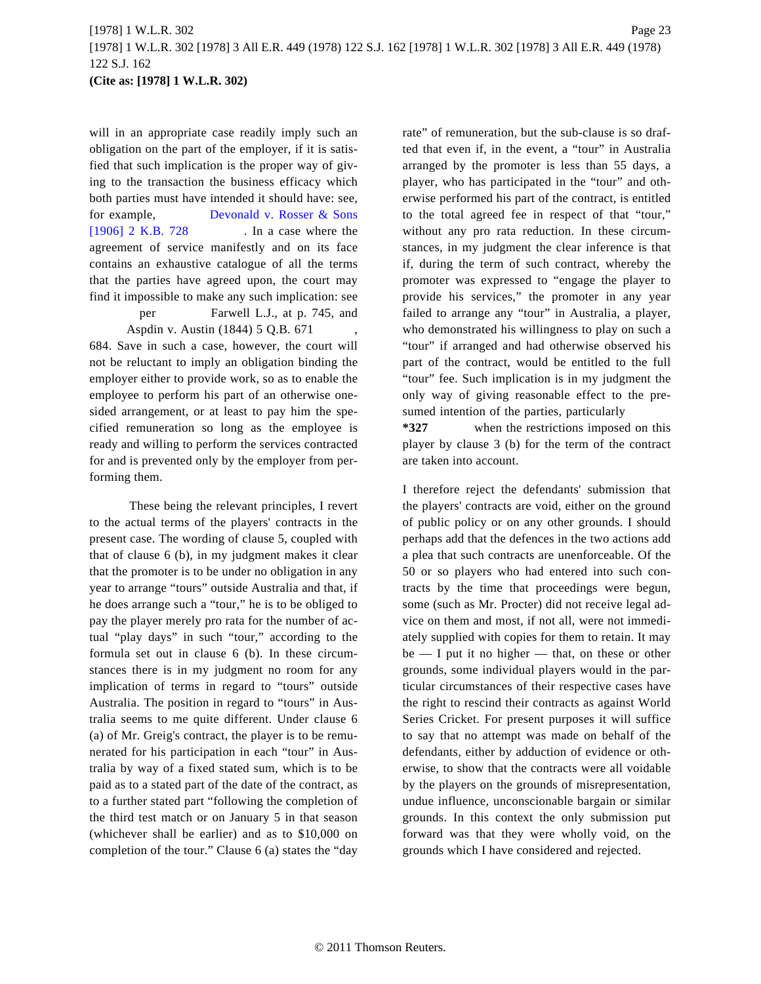will in an appropriate case readily imply such an obligation on the part of the employer, if it is satisfied that such implication is the proper way of giving to the transaction the business efficacy which both parties must have intended it should have: see, for example, [Devonald v. Rosser & Son](http://www.westlaw.com/Find/Default.wl?rs=dfa1.0&vr=2.0&DB=999&FindType=Y&SerialNum=1906035957)s [\[1906\] 2 K.B. 72](http://www.westlaw.com/Find/Default.wl?rs=dfa1.0&vr=2.0&DB=999&FindType=Y&SerialNum=1906035957)8 . In a case where the agreement of service manifestly and on its face contains an exhaustive catalogue of all the terms that the parties have agreed upon, the court may find it impossible to make any such implication: see

per Farwell L.J., at p. 745, and Aspdin v. Austin (1844) 5 Q.B. 671 , 684. Save in such a case, however, the court will

not be reluctant to imply an obligation binding the employer either to provide work, so as to enable the employee to perform his part of an otherwise onesided arrangement, or at least to pay him the specified remuneration so long as the employee is ready and willing to perform the services contracted for and is prevented only by the employer from performing them.

These being the relevant principles, I revert to the actual terms of the players' contracts in the present case. The wording of clause 5, coupled with that of clause 6 (b), in my judgment makes it clear that the promoter is to be under no obligation in any year to arrange "tours" outside Australia and that, if he does arrange such a "tour," he is to be obliged to pay the player merely pro rata for the number of actual "play days" in such "tour," according to the formula set out in clause 6 (b). In these circumstances there is in my judgment no room for any implication of terms in regard to "tours" outside Australia. The position in regard to "tours" in Australia seems to me quite different. Under clause 6 (a) of Mr. Greig's contract, the player is to be remunerated for his participation in each "tour" in Australia by way of a fixed stated sum, which is to be paid as to a stated part of the date of the contract, as to a further stated part "following the completion of the third test match or on January 5 in that season (whichever shall be earlier) and as to \$10,000 on completion of the tour." Clause 6 (a) states the "day rate" of remuneration, but the sub-clause is so drafted that even if, in the event, a "tour" in Australia arranged by the promoter is less than 55 days, a player, who has participated in the "tour" and otherwise performed his part of the contract, is entitled to the total agreed fee in respect of that "tour," without any pro rata reduction. In these circumstances, in my judgment the clear inference is that if, during the term of such contract, whereby the promoter was expressed to "engage the player to provide his services," the promoter in any year failed to arrange any "tour" in Australia, a player, who demonstrated his willingness to play on such a "tour" if arranged and had otherwise observed his part of the contract, would be entitled to the full "tour" fee. Such implication is in my judgment the only way of giving reasonable effect to the presumed intention of the parties, particularly

**\*327** when the restrictions imposed on this player by clause 3 (b) for the term of the contract are taken into account.

I therefore reject the defendants' submission that the players' contracts are void, either on the ground of public policy or on any other grounds. I should perhaps add that the defences in the two actions add a plea that such contracts are unenforceable. Of the 50 or so players who had entered into such contracts by the time that proceedings were begun, some (such as Mr. Procter) did not receive legal advice on them and most, if not all, were not immediately supplied with copies for them to retain. It may  $be$   $-$  I put it no higher  $-$  that, on these or other grounds, some individual players would in the particular circumstances of their respective cases have the right to rescind their contracts as against World Series Cricket. For present purposes it will suffice to say that no attempt was made on behalf of the defendants, either by adduction of evidence or otherwise, to show that the contracts were all voidable by the players on the grounds of misrepresentation, undue influence, unconscionable bargain or similar grounds. In this context the only submission put forward was that they were wholly void, on the grounds which I have considered and rejected.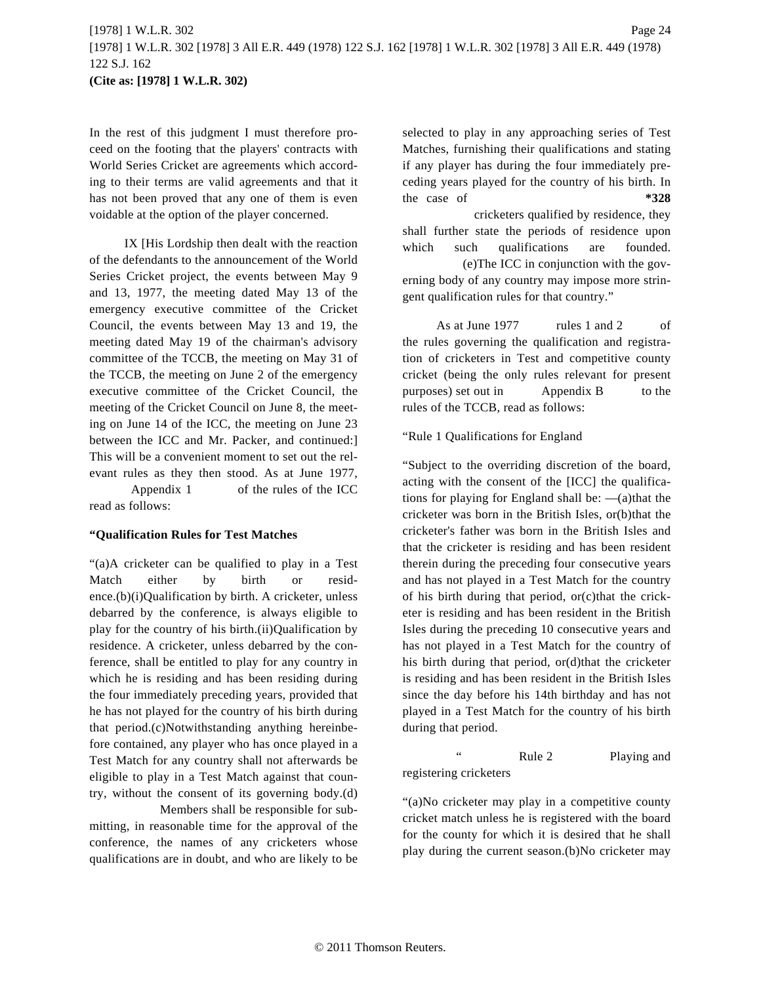In the rest of this judgment I must therefore proceed on the footing that the players' contracts with World Series Cricket are agreements which according to their terms are valid agreements and that it has not been proved that any one of them is even voidable at the option of the player concerned.

IX [His Lordship then dealt with the reaction of the defendants to the announcement of the World Series Cricket project, the events between May 9 and 13, 1977, the meeting dated May 13 of the emergency executive committee of the Cricket Council, the events between May 13 and 19, the meeting dated May 19 of the chairman's advisory committee of the TCCB, the meeting on May 31 of the TCCB, the meeting on June 2 of the emergency executive committee of the Cricket Council, the meeting of the Cricket Council on June 8, the meeting on June 14 of the ICC, the meeting on June 23 between the ICC and Mr. Packer, and continued:] This will be a convenient moment to set out the relevant rules as they then stood. As at June 1977, Appendix 1 of the rules of the ICC read as follows:

#### **"Qualification Rules for Test Matches**

"(a)A cricketer can be qualified to play in a Test Match either by birth or residence.(b)(i)Qualification by birth. A cricketer, unless debarred by the conference, is always eligible to play for the country of his birth.(ii)Qualification by residence. A cricketer, unless debarred by the conference, shall be entitled to play for any country in which he is residing and has been residing during the four immediately preceding years, provided that he has not played for the country of his birth during that period.(c)Notwithstanding anything hereinbefore contained, any player who has once played in a Test Match for any country shall not afterwards be eligible to play in a Test Match against that country, without the consent of its governing body.(d)

Members shall be responsible for submitting, in reasonable time for the approval of the conference, the names of any cricketers whose qualifications are in doubt, and who are likely to be

selected to play in any approaching series of Test Matches, furnishing their qualifications and stating if any player has during the four immediately preceding years played for the country of his birth. In the case of **\*328**

cricketers qualified by residence, they shall further state the periods of residence upon which such qualifications are founded.

(e)The ICC in conjunction with the governing body of any country may impose more stringent qualification rules for that country."

As at June 1977 rules 1 and 2 of the rules governing the qualification and registration of cricketers in Test and competitive county cricket (being the only rules relevant for present purposes) set out in Appendix B to the rules of the TCCB, read as follows:

"Rule 1 Qualifications for England

"Subject to the overriding discretion of the board, acting with the consent of the [ICC] the qualifications for playing for England shall be: —(a)that the cricketer was born in the British Isles, or(b)that the cricketer's father was born in the British Isles and that the cricketer is residing and has been resident therein during the preceding four consecutive years and has not played in a Test Match for the country of his birth during that period, or(c)that the cricketer is residing and has been resident in the British Isles during the preceding 10 consecutive years and has not played in a Test Match for the country of his birth during that period, or(d)that the cricketer is residing and has been resident in the British Isles since the day before his 14th birthday and has not played in a Test Match for the country of his birth during that period.

Rule 2 Playing and registering cricketers

"(a)No cricketer may play in a competitive county cricket match unless he is registered with the board for the county for which it is desired that he shall play during the current season.(b)No cricketer may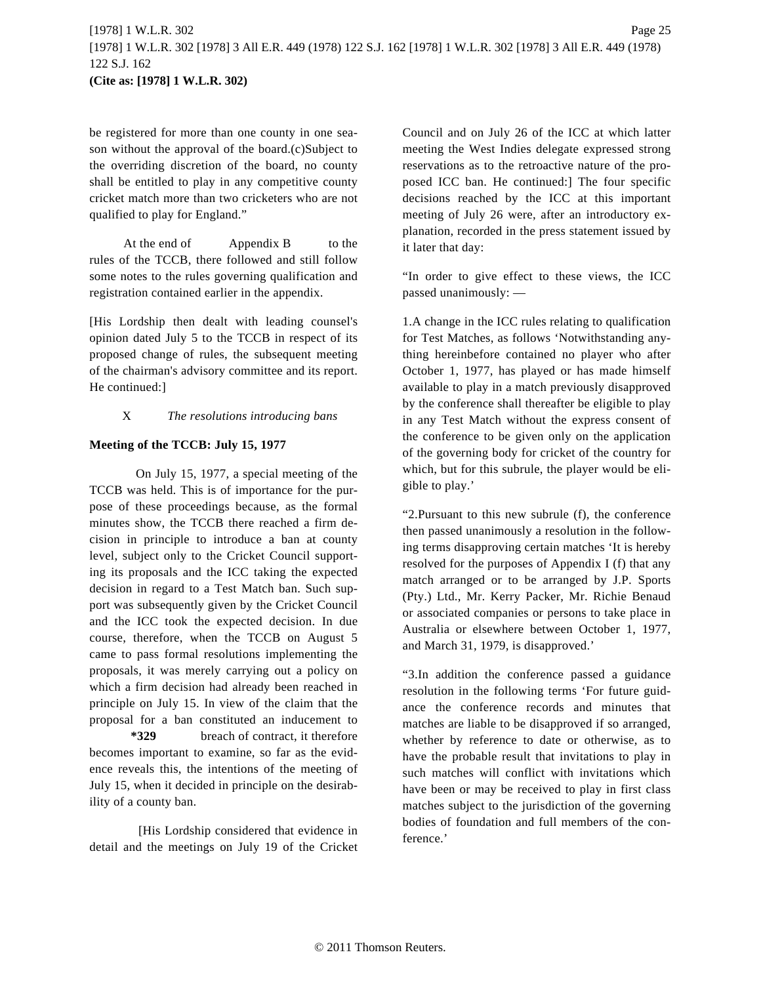be registered for more than one county in one season without the approval of the board.(c)Subject to the overriding discretion of the board, no county shall be entitled to play in any competitive county cricket match more than two cricketers who are not qualified to play for England."

At the end of Appendix B to the rules of the TCCB, there followed and still follow some notes to the rules governing qualification and registration contained earlier in the appendix.

[His Lordship then dealt with leading counsel's opinion dated July 5 to the TCCB in respect of its proposed change of rules, the subsequent meeting of the chairman's advisory committee and its report. He continued:]

#### X *The resolutions introducing bans*

#### **Meeting of the TCCB: July 15, 1977**

On July 15, 1977, a special meeting of the TCCB was held. This is of importance for the purpose of these proceedings because, as the formal minutes show, the TCCB there reached a firm decision in principle to introduce a ban at county level, subject only to the Cricket Council supporting its proposals and the ICC taking the expected decision in regard to a Test Match ban. Such support was subsequently given by the Cricket Council and the ICC took the expected decision. In due course, therefore, when the TCCB on August 5 came to pass formal resolutions implementing the proposals, it was merely carrying out a policy on which a firm decision had already been reached in principle on July 15. In view of the claim that the proposal for a ban constituted an inducement to **\*329** breach of contract, it therefore becomes important to examine, so far as the evidence reveals this, the intentions of the meeting of July 15, when it decided in principle on the desirability of a county ban.

[His Lordship considered that evidence in detail and the meetings on July 19 of the Cricket Council and on July 26 of the ICC at which latter meeting the West Indies delegate expressed strong reservations as to the retroactive nature of the proposed ICC ban. He continued:] The four specific decisions reached by the ICC at this important meeting of July 26 were, after an introductory explanation, recorded in the press statement issued by it later that day:

"In order to give effect to these views, the ICC passed unanimously: —

1.A change in the ICC rules relating to qualification for Test Matches, as follows 'Notwithstanding anything hereinbefore contained no player who after October 1, 1977, has played or has made himself available to play in a match previously disapproved by the conference shall thereafter be eligible to play in any Test Match without the express consent of the conference to be given only on the application of the governing body for cricket of the country for which, but for this subrule, the player would be eligible to play.'

"2.Pursuant to this new subrule (f), the conference then passed unanimously a resolution in the following terms disapproving certain matches 'It is hereby resolved for the purposes of Appendix I (f) that any match arranged or to be arranged by J.P. Sports (Pty.) Ltd., Mr. Kerry Packer, Mr. Richie Benaud or associated companies or persons to take place in Australia or elsewhere between October 1, 1977, and March 31, 1979, is disapproved.'

"3.In addition the conference passed a guidance resolution in the following terms 'For future guidance the conference records and minutes that matches are liable to be disapproved if so arranged, whether by reference to date or otherwise, as to have the probable result that invitations to play in such matches will conflict with invitations which have been or may be received to play in first class matches subject to the jurisdiction of the governing bodies of foundation and full members of the conference.'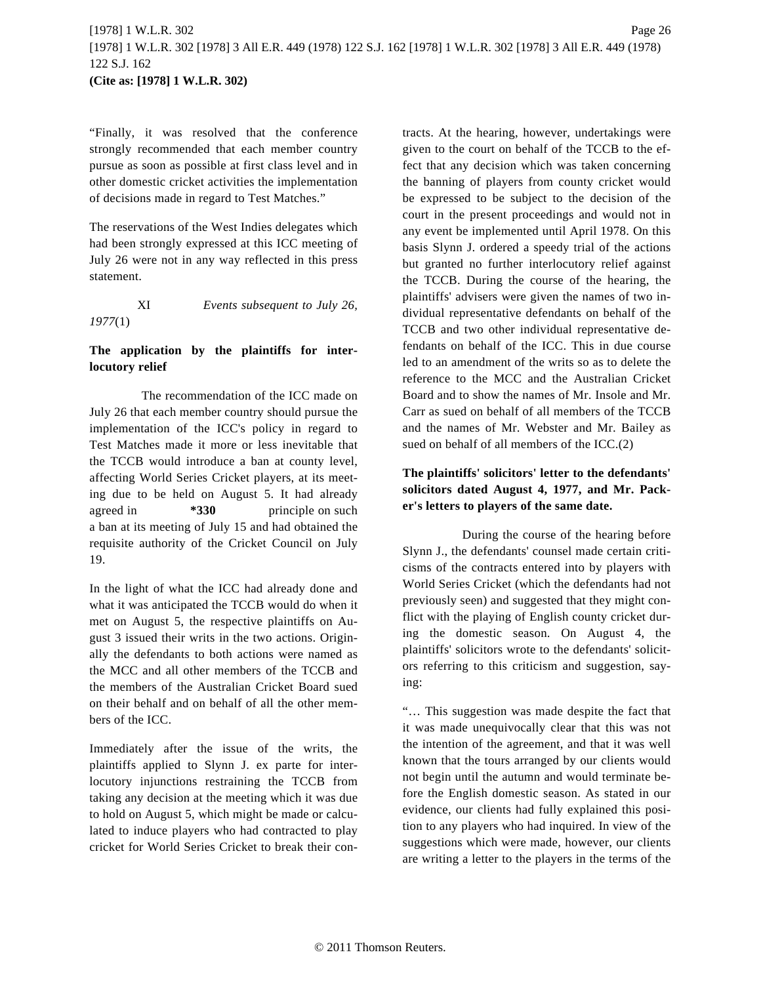"Finally, it was resolved that the conference strongly recommended that each member country pursue as soon as possible at first class level and in other domestic cricket activities the implementation of decisions made in regard to Test Matches."

The reservations of the West Indies delegates which had been strongly expressed at this ICC meeting of July 26 were not in any way reflected in this press statement.

# XI *Events subsequent to July 26, 1977*(1)

## **The application by the plaintiffs for interlocutory relief**

The recommendation of the ICC made on July 26 that each member country should pursue the implementation of the ICC's policy in regard to Test Matches made it more or less inevitable that the TCCB would introduce a ban at county level, affecting World Series Cricket players, at its meeting due to be held on August 5. It had already agreed in  $*330$  principle on such a ban at its meeting of July 15 and had obtained the requisite authority of the Cricket Council on July 19.

In the light of what the ICC had already done and what it was anticipated the TCCB would do when it met on August 5, the respective plaintiffs on August 3 issued their writs in the two actions. Originally the defendants to both actions were named as the MCC and all other members of the TCCB and the members of the Australian Cricket Board sued on their behalf and on behalf of all the other members of the ICC.

Immediately after the issue of the writs, the plaintiffs applied to Slynn J. ex parte for interlocutory injunctions restraining the TCCB from taking any decision at the meeting which it was due to hold on August 5, which might be made or calculated to induce players who had contracted to play cricket for World Series Cricket to break their contracts. At the hearing, however, undertakings were given to the court on behalf of the TCCB to the effect that any decision which was taken concerning the banning of players from county cricket would be expressed to be subject to the decision of the court in the present proceedings and would not in any event be implemented until April 1978. On this basis Slynn J. ordered a speedy trial of the actions but granted no further interlocutory relief against the TCCB. During the course of the hearing, the plaintiffs' advisers were given the names of two individual representative defendants on behalf of the TCCB and two other individual representative defendants on behalf of the ICC. This in due course led to an amendment of the writs so as to delete the reference to the MCC and the Australian Cricket Board and to show the names of Mr. Insole and Mr. Carr as sued on behalf of all members of the TCCB and the names of Mr. Webster and Mr. Bailey as sued on behalf of all members of the ICC.(2)

# **The plaintiffs' solicitors' letter to the defendants' solicitors dated August 4, 1977, and Mr. Packer's letters to players of the same date.**

During the course of the hearing before Slynn J., the defendants' counsel made certain criticisms of the contracts entered into by players with World Series Cricket (which the defendants had not previously seen) and suggested that they might conflict with the playing of English county cricket during the domestic season. On August 4, the plaintiffs' solicitors wrote to the defendants' solicitors referring to this criticism and suggestion, saying:

"… This suggestion was made despite the fact that it was made unequivocally clear that this was not the intention of the agreement, and that it was well known that the tours arranged by our clients would not begin until the autumn and would terminate before the English domestic season. As stated in our evidence, our clients had fully explained this position to any players who had inquired. In view of the suggestions which were made, however, our clients are writing a letter to the players in the terms of the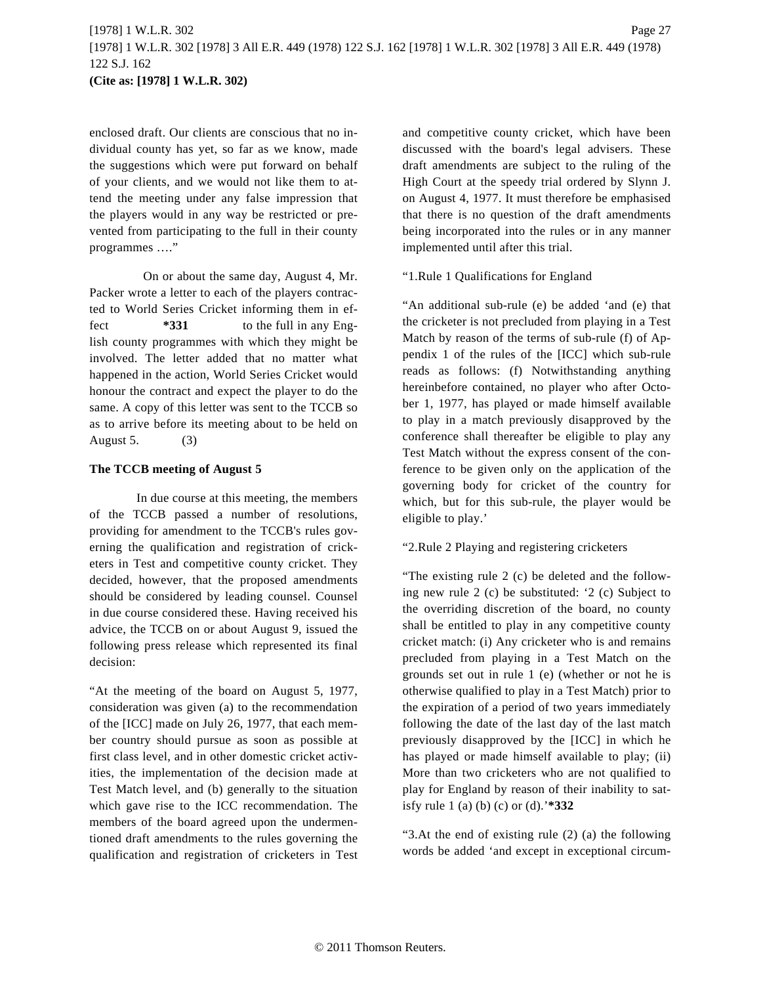enclosed draft. Our clients are conscious that no individual county has yet, so far as we know, made the suggestions which were put forward on behalf of your clients, and we would not like them to attend the meeting under any false impression that the players would in any way be restricted or prevented from participating to the full in their county programmes …."

On or about the same day, August 4, Mr. Packer wrote a letter to each of the players contracted to World Series Cricket informing them in effect **\*331** to the full in any English county programmes with which they might be involved. The letter added that no matter what happened in the action, World Series Cricket would honour the contract and expect the player to do the same. A copy of this letter was sent to the TCCB so as to arrive before its meeting about to be held on August 5. (3)

#### **The TCCB meeting of August 5**

In due course at this meeting, the members of the TCCB passed a number of resolutions, providing for amendment to the TCCB's rules governing the qualification and registration of cricketers in Test and competitive county cricket. They decided, however, that the proposed amendments should be considered by leading counsel. Counsel in due course considered these. Having received his advice, the TCCB on or about August 9, issued the following press release which represented its final decision:

"At the meeting of the board on August 5, 1977, consideration was given (a) to the recommendation of the [ICC] made on July 26, 1977, that each member country should pursue as soon as possible at first class level, and in other domestic cricket activities, the implementation of the decision made at Test Match level, and (b) generally to the situation which gave rise to the ICC recommendation. The members of the board agreed upon the undermentioned draft amendments to the rules governing the qualification and registration of cricketers in Test and competitive county cricket, which have been discussed with the board's legal advisers. These draft amendments are subject to the ruling of the High Court at the speedy trial ordered by Slynn J. on August 4, 1977. It must therefore be emphasised that there is no question of the draft amendments being incorporated into the rules or in any manner implemented until after this trial.

"1.Rule 1 Qualifications for England

"An additional sub-rule (e) be added 'and (e) that the cricketer is not precluded from playing in a Test Match by reason of the terms of sub-rule (f) of Appendix 1 of the rules of the [ICC] which sub-rule reads as follows: (f) Notwithstanding anything hereinbefore contained, no player who after October 1, 1977, has played or made himself available to play in a match previously disapproved by the conference shall thereafter be eligible to play any Test Match without the express consent of the conference to be given only on the application of the governing body for cricket of the country for which, but for this sub-rule, the player would be eligible to play.'

#### "2.Rule 2 Playing and registering cricketers

"The existing rule 2 (c) be deleted and the following new rule 2 (c) be substituted: '2 (c) Subject to the overriding discretion of the board, no county shall be entitled to play in any competitive county cricket match: (i) Any cricketer who is and remains precluded from playing in a Test Match on the grounds set out in rule 1 (e) (whether or not he is otherwise qualified to play in a Test Match) prior to the expiration of a period of two years immediately following the date of the last day of the last match previously disapproved by the [ICC] in which he has played or made himself available to play; (ii) More than two cricketers who are not qualified to play for England by reason of their inability to satisfy rule 1 (a) (b) (c) or (d).'**\*332**

"3.At the end of existing rule (2) (a) the following words be added 'and except in exceptional circum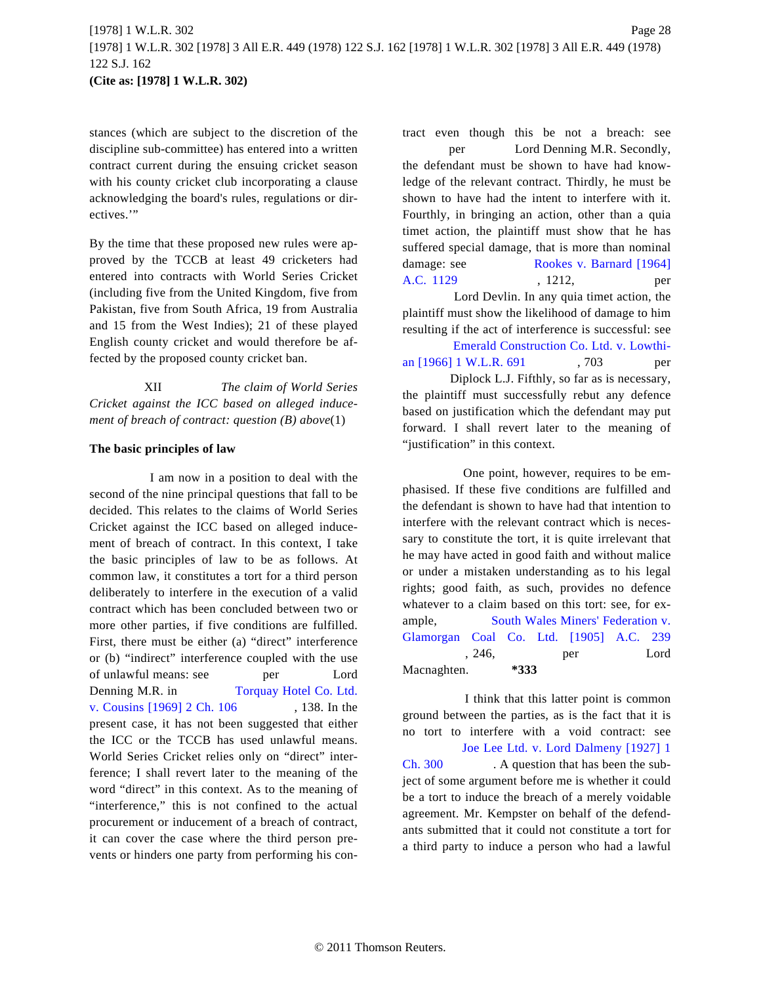stances (which are subject to the discretion of the discipline sub-committee) has entered into a written contract current during the ensuing cricket season with his county cricket club incorporating a clause acknowledging the board's rules, regulations or directives."

By the time that these proposed new rules were approved by the TCCB at least 49 cricketers had entered into contracts with World Series Cricket (including five from the United Kingdom, five from Pakistan, five from South Africa, 19 from Australia and 15 from the West Indies); 21 of these played English county cricket and would therefore be affected by the proposed county cricket ban.

XII *The claim of World Series Cricket against the ICC based on alleged inducement of breach of contract: question (B) above*(1)

#### **The basic principles of law**

I am now in a position to deal with the second of the nine principal questions that fall to be decided. This relates to the claims of World Series Cricket against the ICC based on alleged inducement of breach of contract. In this context, I take the basic principles of law to be as follows. At common law, it constitutes a tort for a third person deliberately to interfere in the execution of a valid contract which has been concluded between two or more other parties, if five conditions are fulfilled. First, there must be either (a) "direct" interference or (b) "indirect" interference coupled with the use of unlawful means: see per Lord Denning M.R. in [Torquay Hotel Co. Ltd.](http://www.westlaw.com/Find/Default.wl?rs=dfa1.0&vr=2.0&DB=999&FindType=Y&SerialNum=1968017681) [v. Cousins \[1969\] 2 Ch. 106](http://www.westlaw.com/Find/Default.wl?rs=dfa1.0&vr=2.0&DB=999&FindType=Y&SerialNum=1968017681) , 138. In the present case, it has not been suggested that either the ICC or the TCCB has used unlawful means. World Series Cricket relies only on "direct" interference; I shall revert later to the meaning of the word "direct" in this context. As to the meaning of "interference," this is not confined to the actual procurement or inducement of a breach of contract, it can cover the case where the third person prevents or hinders one party from performing his contract even though this be not a breach: see per Lord Denning M.R. Secondly, the defendant must be shown to have had knowledge of the relevant contract. Thirdly, he must be shown to have had the intent to interfere with it. Fourthly, in bringing an action, other than a quia timet action, the plaintiff must show that he has suffered special damage, that is more than nominal damage: see [Rookes v. Barnard \[1964\]](http://www.westlaw.com/Find/Default.wl?rs=dfa1.0&vr=2.0&DB=999&FindType=Y&SerialNum=1964014875) [A.C. 1129](http://www.westlaw.com/Find/Default.wl?rs=dfa1.0&vr=2.0&DB=999&FindType=Y&SerialNum=1964014875) , 1212, per

Lord Devlin. In any quia timet action, the plaintiff must show the likelihood of damage to him resulting if the act of interference is successful: see [Emerald Construction Co. Ltd. v. Lowthi](http://www.westlaw.com/Find/Default.wl?rs=dfa1.0&vr=2.0&DB=999&FindType=Y&SerialNum=1966015931)[an \[1966\] 1 W.L.R. 691](http://www.westlaw.com/Find/Default.wl?rs=dfa1.0&vr=2.0&DB=999&FindType=Y&SerialNum=1966015931) , 703 per Diplock L.J. Fifthly, so far as is necessary, the plaintiff must successfully rebut any defence based on justification which the defendant may put forward. I shall revert later to the meaning of "justification" in this context.

One point, however, requires to be emphasised. If these five conditions are fulfilled and the defendant is shown to have had that intention to interfere with the relevant contract which is necessary to constitute the tort, it is quite irrelevant that he may have acted in good faith and without malice or under a mistaken understanding as to his legal rights; good faith, as such, provides no defence whatever to a claim based on this tort: see, for example, [South Wales Miners' Federation v.](http://www.westlaw.com/Find/Default.wl?rs=dfa1.0&vr=2.0&DB=999&FindType=Y&SerialNum=1905035267) [Glamorgan Coal Co. Ltd. \[1905\] A](http://www.westlaw.com/Find/Default.wl?rs=dfa1.0&vr=2.0&DB=999&FindType=Y&SerialNum=1905035267).C. 239 , 246, per Lord Macnaghten. **\*333**

I think that this latter point is common ground between the parties, as is the fact that it is no tort to interfere with a void contract: see [Joe Lee Ltd. v. Lord Dalmeny \[1927\] 1](http://www.westlaw.com/Find/Default.wl?rs=dfa1.0&vr=2.0&DB=999&FindType=Y&SerialNum=1926023503) [Ch. 300](http://www.westlaw.com/Find/Default.wl?rs=dfa1.0&vr=2.0&DB=999&FindType=Y&SerialNum=1926023503) . A question that has been the subject of some argument before me is whether it could be a tort to induce the breach of a merely voidable agreement. Mr. Kempster on behalf of the defendants submitted that it could not constitute a tort for a third party to induce a person who had a lawful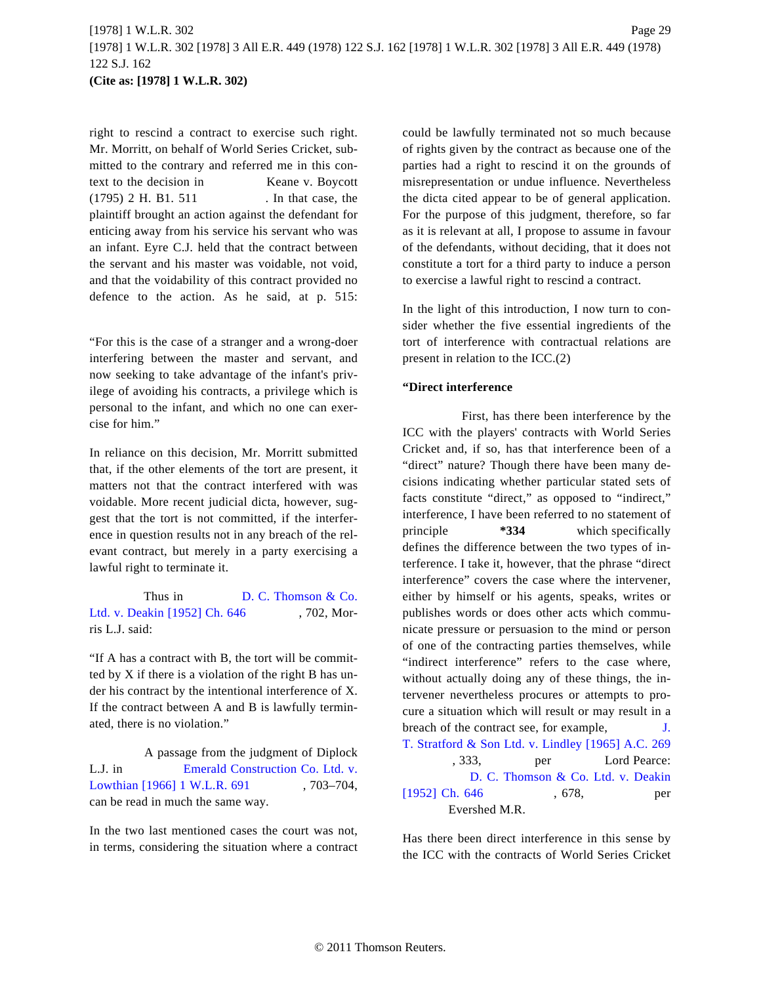right to rescind a contract to exercise such right. Mr. Morritt, on behalf of World Series Cricket, submitted to the contrary and referred me in this context to the decision in Keane v. Boycott (1795) 2 H. B1. 511 . In that case, the plaintiff brought an action against the defendant for enticing away from his service his servant who was an infant. Eyre C.J. held that the contract between the servant and his master was voidable, not void, and that the voidability of this contract provided no defence to the action. As he said, at p. 515:

"For this is the case of a stranger and a wrong-doer interfering between the master and servant, and now seeking to take advantage of the infant's privilege of avoiding his contracts, a privilege which is personal to the infant, and which no one can exercise for him."

In reliance on this decision, Mr. Morritt submitted that, if the other elements of the tort are present, it matters not that the contract interfered with was voidable. More recent judicial dicta, however, suggest that the tort is not committed, if the interference in question results not in any breach of the relevant contract, but merely in a party exercising a lawful right to terminate it.

Thus in [D. C. Thomson & Co.](http://www.westlaw.com/Find/Default.wl?rs=dfa1.0&vr=2.0&DB=999&FindType=Y&SerialNum=1952014236) [Ltd. v. Deakin \[1952\] Ch. 646](http://www.westlaw.com/Find/Default.wl?rs=dfa1.0&vr=2.0&DB=999&FindType=Y&SerialNum=1952014236) , 702, Morris L.J. said:

"If A has a contract with B, the tort will be committed by X if there is a violation of the right B has under his contract by the intentional interference of X. If the contract between A and B is lawfully terminated, there is no violation."

A passage from the judgment of Diplock L.J. in [Emerald Construction Co. Ltd. v.](http://www.westlaw.com/Find/Default.wl?rs=dfa1.0&vr=2.0&DB=999&FindType=Y&SerialNum=1966015931) [Lowthian \[1966\] 1 W.L.R. 691](http://www.westlaw.com/Find/Default.wl?rs=dfa1.0&vr=2.0&DB=999&FindType=Y&SerialNum=1966015931) , 703-704, can be read in much the same way.

In the two last mentioned cases the court was not, in terms, considering the situation where a contract could be lawfully terminated not so much because of rights given by the contract as because one of the parties had a right to rescind it on the grounds of misrepresentation or undue influence. Nevertheless the dicta cited appear to be of general application. For the purpose of this judgment, therefore, so far as it is relevant at all, I propose to assume in favour of the defendants, without deciding, that it does not constitute a tort for a third party to induce a person to exercise a lawful right to rescind a contract.

In the light of this introduction, I now turn to consider whether the five essential ingredients of the tort of interference with contractual relations are present in relation to the ICC.(2)

## **"Direct interference**

First, has there been interference by the ICC with the players' contracts with World Series Cricket and, if so, has that interference been of a "direct" nature? Though there have been many decisions indicating whether particular stated sets of facts constitute "direct," as opposed to "indirect," interference, I have been referred to no statement of principle **\*334** which specifically defines the difference between the two types of interference. I take it, however, that the phrase "direct interference" covers the case where the intervener, either by himself or his agents, speaks, writes or publishes words or does other acts which communicate pressure or persuasion to the mind or person of one of the contracting parties themselves, while "indirect interference" refers to the case where, without actually doing any of these things, the intervener nevertheless procures or attempts to procure a situation which will result or may result in a breach of the contract see, for example,  $J.$ [T. Stratford & Son Ltd. v. Lindley \[1965\] A.C. 26](http://www.westlaw.com/Find/Default.wl?rs=dfa1.0&vr=2.0&DB=999&FindType=Y&SerialNum=1964014750)9 , 333, per Lord Pearce: [D. C. Thomson & Co. Ltd. v. Deaki](http://www.westlaw.com/Find/Default.wl?rs=dfa1.0&vr=2.0&DB=999&FindType=Y&SerialNum=1952014236)n [\[1952\] Ch. 646](http://www.westlaw.com/Find/Default.wl?rs=dfa1.0&vr=2.0&DB=999&FindType=Y&SerialNum=1952014236) , 678, per Evershed M.R.

Has there been direct interference in this sense by the ICC with the contracts of World Series Cricket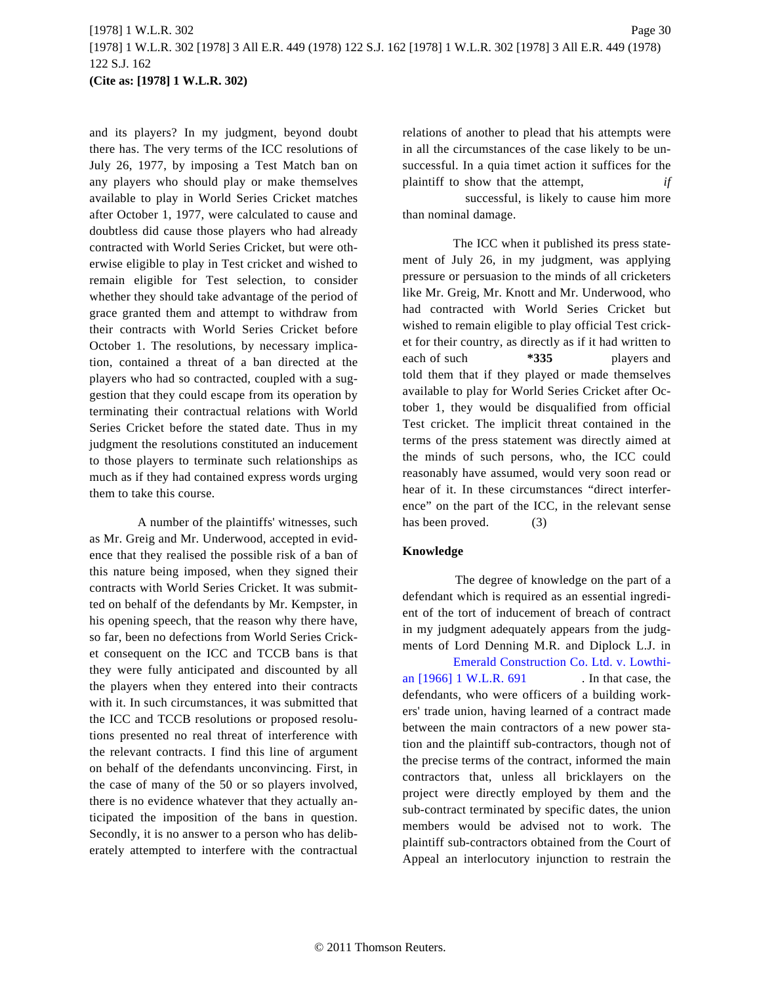and its players? In my judgment, beyond doubt there has. The very terms of the ICC resolutions of July 26, 1977, by imposing a Test Match ban on any players who should play or make themselves available to play in World Series Cricket matches after October 1, 1977, were calculated to cause and doubtless did cause those players who had already contracted with World Series Cricket, but were otherwise eligible to play in Test cricket and wished to remain eligible for Test selection, to consider whether they should take advantage of the period of grace granted them and attempt to withdraw from their contracts with World Series Cricket before October 1. The resolutions, by necessary implication, contained a threat of a ban directed at the players who had so contracted, coupled with a suggestion that they could escape from its operation by terminating their contractual relations with World Series Cricket before the stated date. Thus in my judgment the resolutions constituted an inducement to those players to terminate such relationships as much as if they had contained express words urging them to take this course.

A number of the plaintiffs' witnesses, such as Mr. Greig and Mr. Underwood, accepted in evidence that they realised the possible risk of a ban of this nature being imposed, when they signed their contracts with World Series Cricket. It was submitted on behalf of the defendants by Mr. Kempster, in his opening speech, that the reason why there have, so far, been no defections from World Series Cricket consequent on the ICC and TCCB bans is that they were fully anticipated and discounted by all the players when they entered into their contracts with it. In such circumstances, it was submitted that the ICC and TCCB resolutions or proposed resolutions presented no real threat of interference with the relevant contracts. I find this line of argument on behalf of the defendants unconvincing. First, in the case of many of the 50 or so players involved, there is no evidence whatever that they actually anticipated the imposition of the bans in question. Secondly, it is no answer to a person who has deliberately attempted to interfere with the contractual relations of another to plead that his attempts were in all the circumstances of the case likely to be unsuccessful. In a quia timet action it suffices for the plaintiff to show that the attempt, *if*

successful, is likely to cause him more than nominal damage.

The ICC when it published its press statement of July 26, in my judgment, was applying pressure or persuasion to the minds of all cricketers like Mr. Greig, Mr. Knott and Mr. Underwood, who had contracted with World Series Cricket but wished to remain eligible to play official Test cricket for their country, as directly as if it had written to each of such **\*335** players and told them that if they played or made themselves available to play for World Series Cricket after October 1, they would be disqualified from official Test cricket. The implicit threat contained in the terms of the press statement was directly aimed at the minds of such persons, who, the ICC could reasonably have assumed, would very soon read or hear of it. In these circumstances "direct interference" on the part of the ICC, in the relevant sense has been proved. (3)

#### **Knowledge**

The degree of knowledge on the part of a defendant which is required as an essential ingredient of the tort of inducement of breach of contract in my judgment adequately appears from the judgments of Lord Denning M.R. and Diplock L.J. in

[Emerald Construction Co. Ltd. v. Lowthi](http://www.westlaw.com/Find/Default.wl?rs=dfa1.0&vr=2.0&DB=999&FindType=Y&SerialNum=1966015931)[an \[1966\] 1 W.L.R. 691](http://www.westlaw.com/Find/Default.wl?rs=dfa1.0&vr=2.0&DB=999&FindType=Y&SerialNum=1966015931) . In that case, the defendants, who were officers of a building workers' trade union, having learned of a contract made between the main contractors of a new power station and the plaintiff sub-contractors, though not of the precise terms of the contract, informed the main contractors that, unless all bricklayers on the project were directly employed by them and the sub-contract terminated by specific dates, the union members would be advised not to work. The plaintiff sub-contractors obtained from the Court of Appeal an interlocutory injunction to restrain the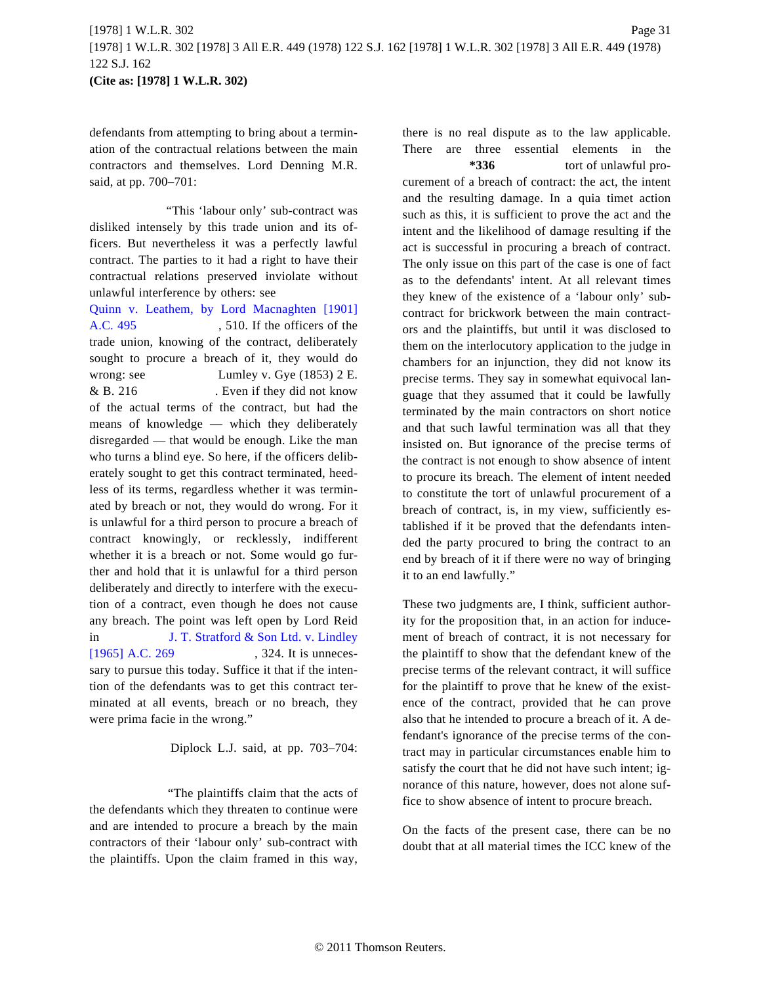defendants from attempting to bring about a termination of the contractual relations between the main contractors and themselves. Lord Denning M.R. said, at pp. 700–701:

"This 'labour only' sub-contract was disliked intensely by this trade union and its officers. But nevertheless it was a perfectly lawful contract. The parties to it had a right to have their contractual relations preserved inviolate without unlawful interference by others: see

[Quinn v. Leathem, by Lord Macnaghten \[1](http://www.westlaw.com/Find/Default.wl?rs=dfa1.0&vr=2.0&DB=999&FindType=Y&SerialNum=1901031193)901] [A.C. 495](http://www.westlaw.com/Find/Default.wl?rs=dfa1.0&vr=2.0&DB=999&FindType=Y&SerialNum=1901031193) , 510. If the officers of the trade union, knowing of the contract, deliberately sought to procure a breach of it, they would do wrong: see Lumley v. Gye (1853) 2 E. & B. 216 . Even if they did not know of the actual terms of the contract, but had the means of knowledge — which they deliberately disregarded — that would be enough. Like the man who turns a blind eye. So here, if the officers deliberately sought to get this contract terminated, heedless of its terms, regardless whether it was terminated by breach or not, they would do wrong. For it is unlawful for a third person to procure a breach of contract knowingly, or recklessly, indifferent whether it is a breach or not. Some would go further and hold that it is unlawful for a third person deliberately and directly to interfere with the execution of a contract, even though he does not cause any breach. The point was left open by Lord Reid in [J. T. Stratford & Son Ltd. v. Lindley](http://www.westlaw.com/Find/Default.wl?rs=dfa1.0&vr=2.0&DB=999&FindType=Y&SerialNum=1964014750) [\[1965\] A.C. 269](http://www.westlaw.com/Find/Default.wl?rs=dfa1.0&vr=2.0&DB=999&FindType=Y&SerialNum=1964014750) , 324. It is unnecessary to pursue this today. Suffice it that if the intention of the defendants was to get this contract terminated at all events, breach or no breach, they were prima facie in the wrong."

Diplock L.J. said, at pp. 703–704:

"The plaintiffs claim that the acts of the defendants which they threaten to continue were and are intended to procure a breach by the main contractors of their 'labour only' sub-contract with the plaintiffs. Upon the claim framed in this way, there is no real dispute as to the law applicable. There are three essential elements in the

**\*336** tort of unlawful procurement of a breach of contract: the act, the intent and the resulting damage. In a quia timet action such as this, it is sufficient to prove the act and the intent and the likelihood of damage resulting if the act is successful in procuring a breach of contract. The only issue on this part of the case is one of fact as to the defendants' intent. At all relevant times they knew of the existence of a 'labour only' subcontract for brickwork between the main contractors and the plaintiffs, but until it was disclosed to them on the interlocutory application to the judge in chambers for an injunction, they did not know its precise terms. They say in somewhat equivocal language that they assumed that it could be lawfully terminated by the main contractors on short notice and that such lawful termination was all that they insisted on. But ignorance of the precise terms of the contract is not enough to show absence of intent to procure its breach. The element of intent needed to constitute the tort of unlawful procurement of a breach of contract, is, in my view, sufficiently established if it be proved that the defendants intended the party procured to bring the contract to an end by breach of it if there were no way of bringing it to an end lawfully."

These two judgments are, I think, sufficient authority for the proposition that, in an action for inducement of breach of contract, it is not necessary for the plaintiff to show that the defendant knew of the precise terms of the relevant contract, it will suffice for the plaintiff to prove that he knew of the existence of the contract, provided that he can prove also that he intended to procure a breach of it. A defendant's ignorance of the precise terms of the contract may in particular circumstances enable him to satisfy the court that he did not have such intent; ignorance of this nature, however, does not alone suffice to show absence of intent to procure breach.

On the facts of the present case, there can be no doubt that at all material times the ICC knew of the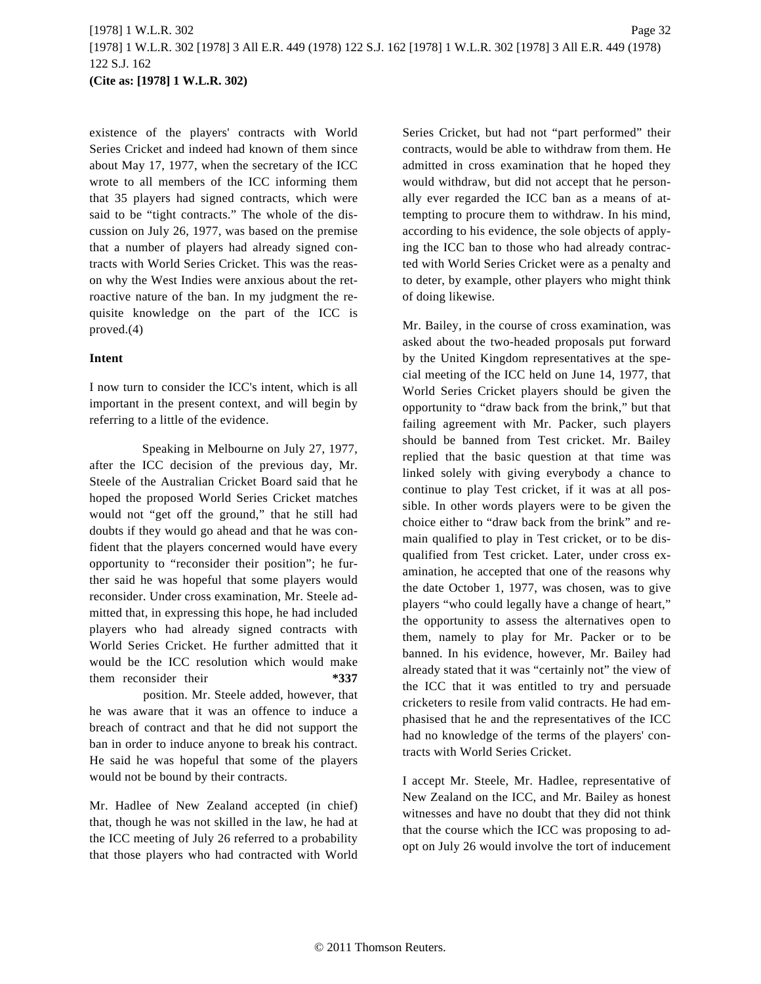existence of the players' contracts with World Series Cricket and indeed had known of them since about May 17, 1977, when the secretary of the ICC wrote to all members of the ICC informing them that 35 players had signed contracts, which were said to be "tight contracts." The whole of the discussion on July 26, 1977, was based on the premise that a number of players had already signed contracts with World Series Cricket. This was the reason why the West Indies were anxious about the retroactive nature of the ban. In my judgment the requisite knowledge on the part of the ICC is proved.(4)

## **Intent**

I now turn to consider the ICC's intent, which is all important in the present context, and will begin by referring to a little of the evidence.

Speaking in Melbourne on July 27, 1977, after the ICC decision of the previous day, Mr. Steele of the Australian Cricket Board said that he hoped the proposed World Series Cricket matches would not "get off the ground," that he still had doubts if they would go ahead and that he was confident that the players concerned would have every opportunity to "reconsider their position"; he further said he was hopeful that some players would reconsider. Under cross examination, Mr. Steele admitted that, in expressing this hope, he had included players who had already signed contracts with World Series Cricket. He further admitted that it would be the ICC resolution which would make them reconsider their **\*337**

position. Mr. Steele added, however, that he was aware that it was an offence to induce a breach of contract and that he did not support the ban in order to induce anyone to break his contract. He said he was hopeful that some of the players would not be bound by their contracts.

Mr. Hadlee of New Zealand accepted (in chief) that, though he was not skilled in the law, he had at the ICC meeting of July 26 referred to a probability that those players who had contracted with World Series Cricket, but had not "part performed" their contracts, would be able to withdraw from them. He admitted in cross examination that he hoped they would withdraw, but did not accept that he personally ever regarded the ICC ban as a means of attempting to procure them to withdraw. In his mind, according to his evidence, the sole objects of applying the ICC ban to those who had already contracted with World Series Cricket were as a penalty and to deter, by example, other players who might think of doing likewise.

Mr. Bailey, in the course of cross examination, was asked about the two-headed proposals put forward by the United Kingdom representatives at the special meeting of the ICC held on June 14, 1977, that World Series Cricket players should be given the opportunity to "draw back from the brink," but that failing agreement with Mr. Packer, such players should be banned from Test cricket. Mr. Bailey replied that the basic question at that time was linked solely with giving everybody a chance to continue to play Test cricket, if it was at all possible. In other words players were to be given the choice either to "draw back from the brink" and remain qualified to play in Test cricket, or to be disqualified from Test cricket. Later, under cross examination, he accepted that one of the reasons why the date October 1, 1977, was chosen, was to give players "who could legally have a change of heart," the opportunity to assess the alternatives open to them, namely to play for Mr. Packer or to be banned. In his evidence, however, Mr. Bailey had already stated that it was "certainly not" the view of the ICC that it was entitled to try and persuade cricketers to resile from valid contracts. He had emphasised that he and the representatives of the ICC had no knowledge of the terms of the players' contracts with World Series Cricket.

I accept Mr. Steele, Mr. Hadlee, representative of New Zealand on the ICC, and Mr. Bailey as honest witnesses and have no doubt that they did not think that the course which the ICC was proposing to adopt on July 26 would involve the tort of inducement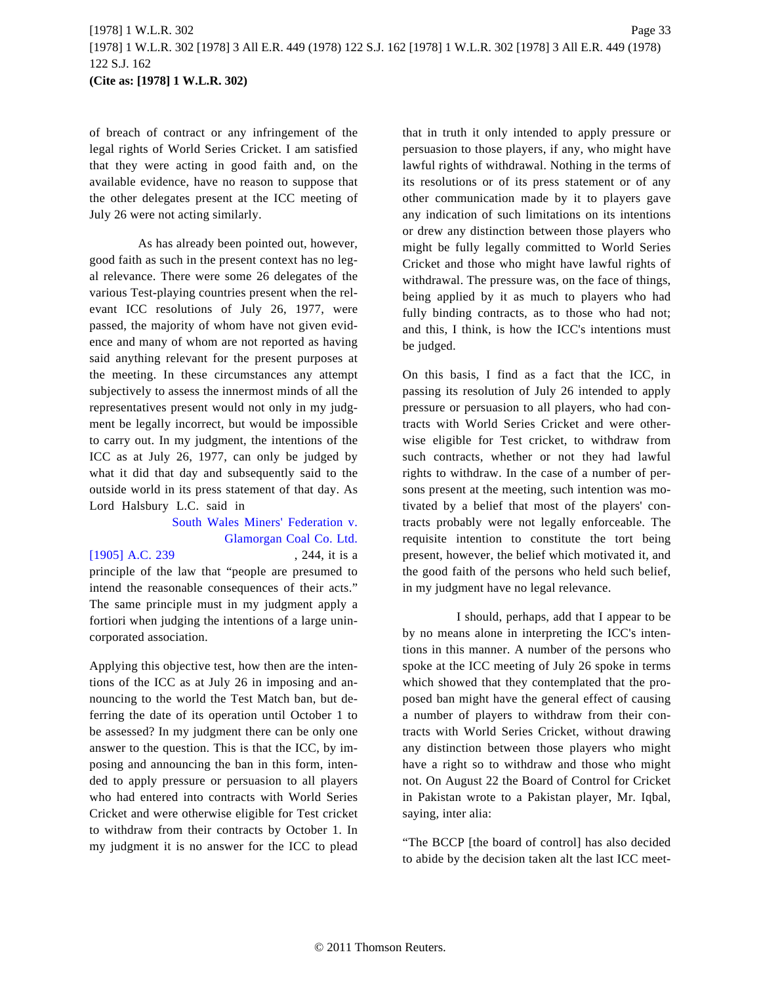of breach of contract or any infringement of the legal rights of World Series Cricket. I am satisfied that they were acting in good faith and, on the available evidence, have no reason to suppose that the other delegates present at the ICC meeting of July 26 were not acting similarly.

As has already been pointed out, however, good faith as such in the present context has no legal relevance. There were some 26 delegates of the various Test-playing countries present when the relevant ICC resolutions of July 26, 1977, were passed, the majority of whom have not given evidence and many of whom are not reported as having said anything relevant for the present purposes at the meeting. In these circumstances any attempt subjectively to assess the innermost minds of all the representatives present would not only in my judgment be legally incorrect, but would be impossible to carry out. In my judgment, the intentions of the ICC as at July 26, 1977, can only be judged by what it did that day and subsequently said to the outside world in its press statement of that day. As Lord Halsbury L.C. said in

# [South Wales Miners' Federation v](http://www.westlaw.com/Find/Default.wl?rs=dfa1.0&vr=2.0&DB=999&FindType=Y&SerialNum=1905035267). [Glamorgan Coal Co. Ltd.](http://www.westlaw.com/Find/Default.wl?rs=dfa1.0&vr=2.0&DB=999&FindType=Y&SerialNum=1905035267)

#### [\[1905\] A.C. 239](http://www.westlaw.com/Find/Default.wl?rs=dfa1.0&vr=2.0&DB=999&FindType=Y&SerialNum=1905035267) , 244, it is a

principle of the law that "people are presumed to intend the reasonable consequences of their acts." The same principle must in my judgment apply a fortiori when judging the intentions of a large unincorporated association.

Applying this objective test, how then are the intentions of the ICC as at July 26 in imposing and announcing to the world the Test Match ban, but deferring the date of its operation until October 1 to be assessed? In my judgment there can be only one answer to the question. This is that the ICC, by imposing and announcing the ban in this form, intended to apply pressure or persuasion to all players who had entered into contracts with World Series Cricket and were otherwise eligible for Test cricket to withdraw from their contracts by October 1. In my judgment it is no answer for the ICC to plead that in truth it only intended to apply pressure or persuasion to those players, if any, who might have lawful rights of withdrawal. Nothing in the terms of its resolutions or of its press statement or of any other communication made by it to players gave any indication of such limitations on its intentions or drew any distinction between those players who might be fully legally committed to World Series Cricket and those who might have lawful rights of withdrawal. The pressure was, on the face of things, being applied by it as much to players who had fully binding contracts, as to those who had not; and this, I think, is how the ICC's intentions must be judged.

On this basis, I find as a fact that the ICC, in passing its resolution of July 26 intended to apply pressure or persuasion to all players, who had contracts with World Series Cricket and were otherwise eligible for Test cricket, to withdraw from such contracts, whether or not they had lawful rights to withdraw. In the case of a number of persons present at the meeting, such intention was motivated by a belief that most of the players' contracts probably were not legally enforceable. The requisite intention to constitute the tort being present, however, the belief which motivated it, and the good faith of the persons who held such belief, in my judgment have no legal relevance.

I should, perhaps, add that I appear to be by no means alone in interpreting the ICC's intentions in this manner. A number of the persons who spoke at the ICC meeting of July 26 spoke in terms which showed that they contemplated that the proposed ban might have the general effect of causing a number of players to withdraw from their contracts with World Series Cricket, without drawing any distinction between those players who might have a right so to withdraw and those who might not. On August 22 the Board of Control for Cricket in Pakistan wrote to a Pakistan player, Mr. Iqbal, saying, inter alia:

"The BCCP [the board of control] has also decided to abide by the decision taken alt the last ICC meet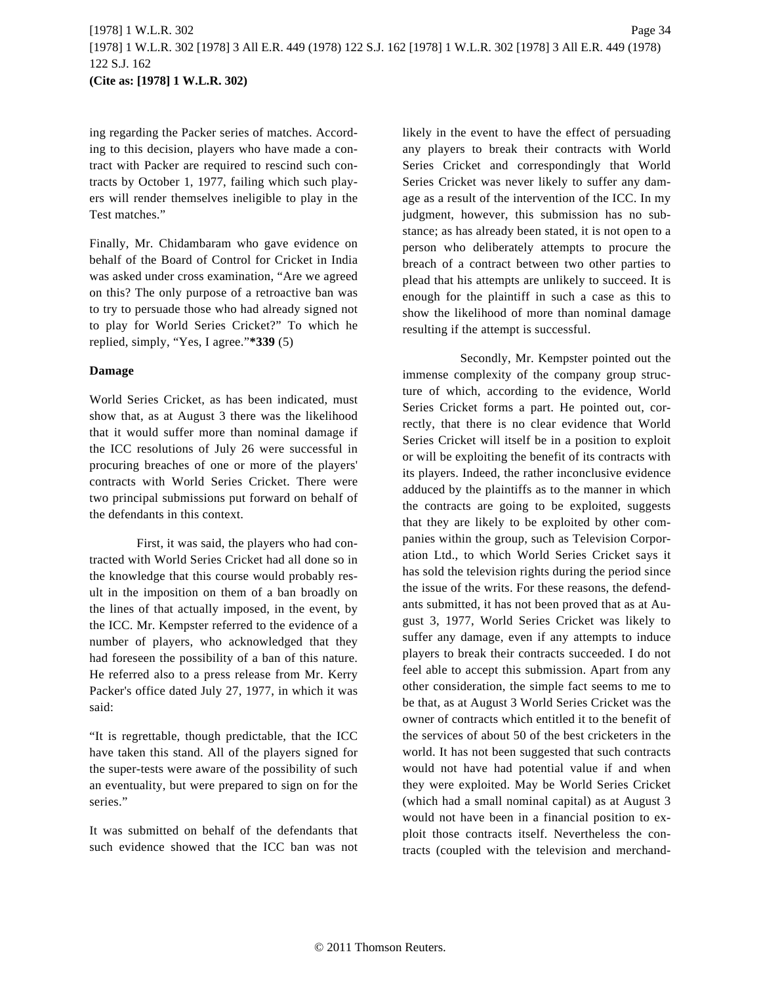ing regarding the Packer series of matches. According to this decision, players who have made a contract with Packer are required to rescind such contracts by October 1, 1977, failing which such players will render themselves ineligible to play in the Test matches."

Finally, Mr. Chidambaram who gave evidence on behalf of the Board of Control for Cricket in India was asked under cross examination, "Are we agreed on this? The only purpose of a retroactive ban was to try to persuade those who had already signed not to play for World Series Cricket?" To which he replied, simply, "Yes, I agree."**\*339** (5)

#### **Damage**

World Series Cricket, as has been indicated, must show that, as at August 3 there was the likelihood that it would suffer more than nominal damage if the ICC resolutions of July 26 were successful in procuring breaches of one or more of the players' contracts with World Series Cricket. There were two principal submissions put forward on behalf of the defendants in this context.

First, it was said, the players who had contracted with World Series Cricket had all done so in the knowledge that this course would probably result in the imposition on them of a ban broadly on the lines of that actually imposed, in the event, by the ICC. Mr. Kempster referred to the evidence of a number of players, who acknowledged that they had foreseen the possibility of a ban of this nature. He referred also to a press release from Mr. Kerry Packer's office dated July 27, 1977, in which it was said:

"It is regrettable, though predictable, that the ICC have taken this stand. All of the players signed for the super-tests were aware of the possibility of such an eventuality, but were prepared to sign on for the series."

It was submitted on behalf of the defendants that such evidence showed that the ICC ban was not

likely in the event to have the effect of persuading any players to break their contracts with World Series Cricket and correspondingly that World Series Cricket was never likely to suffer any damage as a result of the intervention of the ICC. In my judgment, however, this submission has no substance; as has already been stated, it is not open to a person who deliberately attempts to procure the breach of a contract between two other parties to plead that his attempts are unlikely to succeed. It is enough for the plaintiff in such a case as this to show the likelihood of more than nominal damage resulting if the attempt is successful.

Secondly, Mr. Kempster pointed out the immense complexity of the company group structure of which, according to the evidence, World Series Cricket forms a part. He pointed out, correctly, that there is no clear evidence that World Series Cricket will itself be in a position to exploit or will be exploiting the benefit of its contracts with its players. Indeed, the rather inconclusive evidence adduced by the plaintiffs as to the manner in which the contracts are going to be exploited, suggests that they are likely to be exploited by other companies within the group, such as Television Corporation Ltd., to which World Series Cricket says it has sold the television rights during the period since the issue of the writs. For these reasons, the defendants submitted, it has not been proved that as at August 3, 1977, World Series Cricket was likely to suffer any damage, even if any attempts to induce players to break their contracts succeeded. I do not feel able to accept this submission. Apart from any other consideration, the simple fact seems to me to be that, as at August 3 World Series Cricket was the owner of contracts which entitled it to the benefit of the services of about 50 of the best cricketers in the world. It has not been suggested that such contracts would not have had potential value if and when they were exploited. May be World Series Cricket (which had a small nominal capital) as at August 3 would not have been in a financial position to exploit those contracts itself. Nevertheless the contracts (coupled with the television and merchand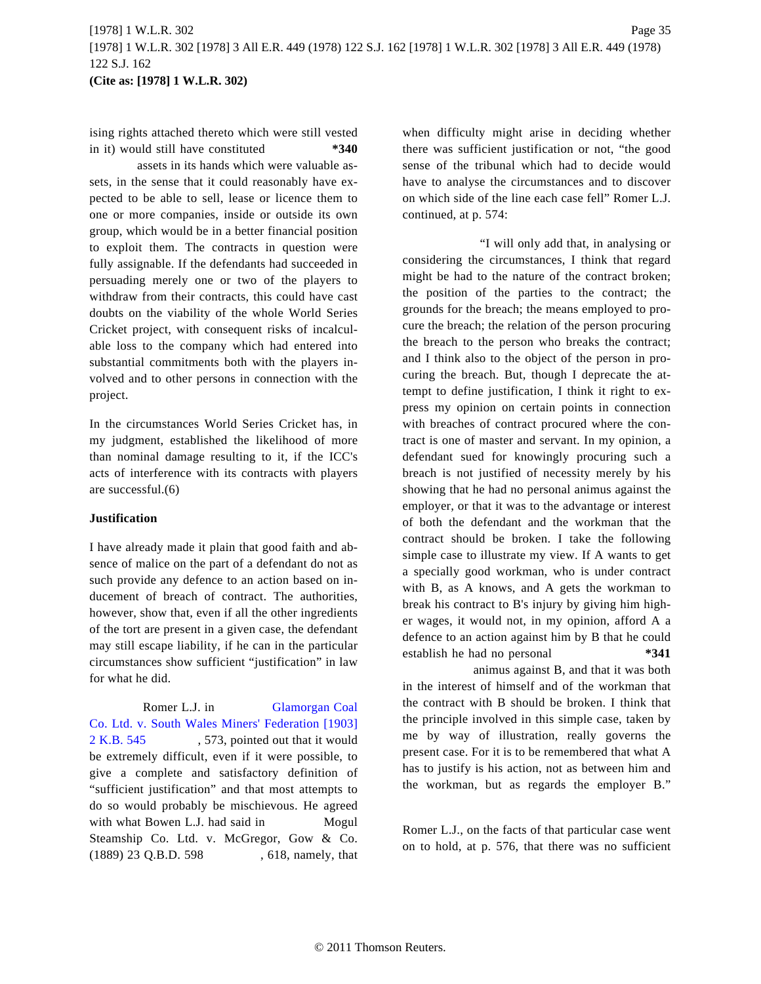ising rights attached thereto which were still vested in it) would still have constituted **\*340**

assets in its hands which were valuable assets, in the sense that it could reasonably have expected to be able to sell, lease or licence them to one or more companies, inside or outside its own group, which would be in a better financial position to exploit them. The contracts in question were fully assignable. If the defendants had succeeded in persuading merely one or two of the players to withdraw from their contracts, this could have cast doubts on the viability of the whole World Series Cricket project, with consequent risks of incalculable loss to the company which had entered into substantial commitments both with the players involved and to other persons in connection with the project.

In the circumstances World Series Cricket has, in my judgment, established the likelihood of more than nominal damage resulting to it, if the ICC's acts of interference with its contracts with players are successful.(6)

### **Justification**

I have already made it plain that good faith and absence of malice on the part of a defendant do not as such provide any defence to an action based on inducement of breach of contract. The authorities, however, show that, even if all the other ingredients of the tort are present in a given case, the defendant may still escape liability, if he can in the particular circumstances show sufficient "justification" in law for what he did.

Romer L.J. in [Glamorgan Coal](http://www.westlaw.com/Find/Default.wl?rs=dfa1.0&vr=2.0&DB=999&FindType=Y&SerialNum=1902032122) [Co. Ltd. v. South Wales Miners' Federation \[1903](http://www.westlaw.com/Find/Default.wl?rs=dfa1.0&vr=2.0&DB=999&FindType=Y&SerialNum=1902032122)] [2 K.B. 545](http://www.westlaw.com/Find/Default.wl?rs=dfa1.0&vr=2.0&DB=999&FindType=Y&SerialNum=1902032122) , 573, pointed out that it would be extremely difficult, even if it were possible, to give a complete and satisfactory definition of "sufficient justification" and that most attempts to do so would probably be mischievous. He agreed with what Bowen L.J. had said in Mogul Steamship Co. Ltd. v. McGregor, Gow & Co. (1889) 23 Q.B.D. 598 , 618, namely, that when difficulty might arise in deciding whether there was sufficient justification or not, "the good sense of the tribunal which had to decide would have to analyse the circumstances and to discover on which side of the line each case fell" Romer L.J. continued, at p. 574:

"I will only add that, in analysing or considering the circumstances, I think that regard might be had to the nature of the contract broken; the position of the parties to the contract; the grounds for the breach; the means employed to procure the breach; the relation of the person procuring the breach to the person who breaks the contract; and I think also to the object of the person in procuring the breach. But, though I deprecate the attempt to define justification, I think it right to express my opinion on certain points in connection with breaches of contract procured where the contract is one of master and servant. In my opinion, a defendant sued for knowingly procuring such a breach is not justified of necessity merely by his showing that he had no personal animus against the employer, or that it was to the advantage or interest of both the defendant and the workman that the contract should be broken. I take the following simple case to illustrate my view. If A wants to get a specially good workman, who is under contract with B, as A knows, and A gets the workman to break his contract to B's injury by giving him higher wages, it would not, in my opinion, afford A a defence to an action against him by B that he could establish he had no personal **\*341**

animus against B, and that it was both in the interest of himself and of the workman that the contract with B should be broken. I think that the principle involved in this simple case, taken by me by way of illustration, really governs the present case. For it is to be remembered that what A has to justify is his action, not as between him and the workman, but as regards the employer B."

Romer L.J., on the facts of that particular case went on to hold, at p. 576, that there was no sufficient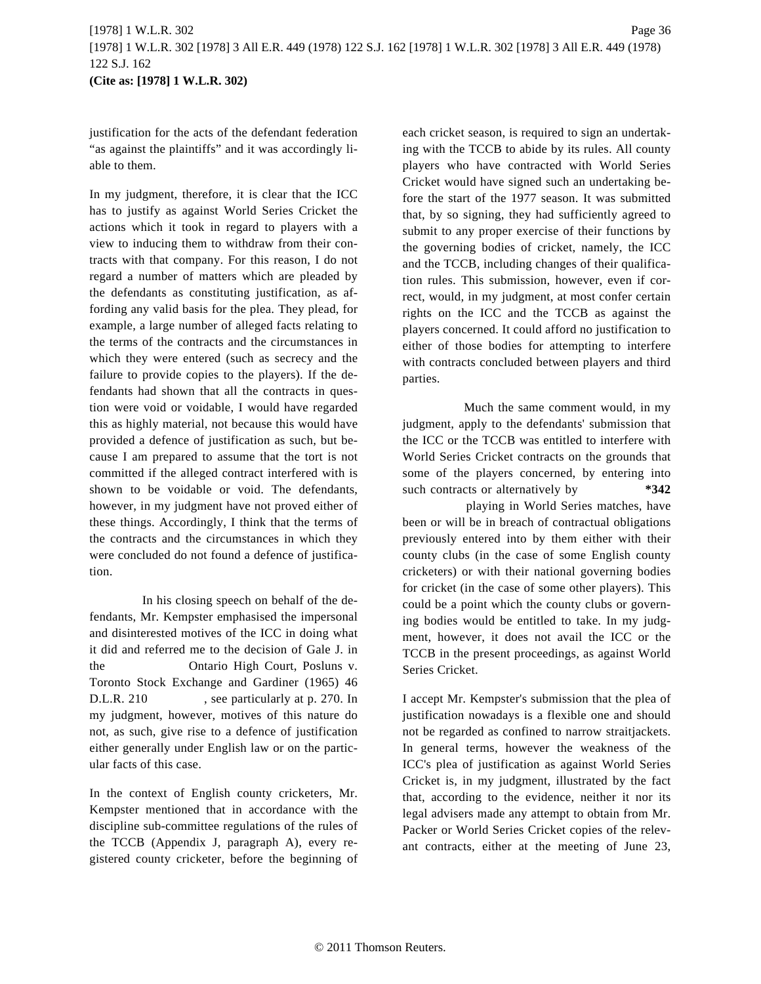justification for the acts of the defendant federation "as against the plaintiffs" and it was accordingly liable to them.

In my judgment, therefore, it is clear that the ICC has to justify as against World Series Cricket the actions which it took in regard to players with a view to inducing them to withdraw from their contracts with that company. For this reason, I do not regard a number of matters which are pleaded by the defendants as constituting justification, as affording any valid basis for the plea. They plead, for example, a large number of alleged facts relating to the terms of the contracts and the circumstances in which they were entered (such as secrecy and the failure to provide copies to the players). If the defendants had shown that all the contracts in question were void or voidable, I would have regarded this as highly material, not because this would have provided a defence of justification as such, but because I am prepared to assume that the tort is not committed if the alleged contract interfered with is shown to be voidable or void. The defendants, however, in my judgment have not proved either of these things. Accordingly, I think that the terms of the contracts and the circumstances in which they were concluded do not found a defence of justification.

In his closing speech on behalf of the defendants, Mr. Kempster emphasised the impersonal and disinterested motives of the ICC in doing what it did and referred me to the decision of Gale J. in the Ontario High Court, Posluns v. Toronto Stock Exchange and Gardiner (1965) 46 D.L.R. 210 , see particularly at p. 270. In my judgment, however, motives of this nature do not, as such, give rise to a defence of justification either generally under English law or on the particular facts of this case.

In the context of English county cricketers, Mr. Kempster mentioned that in accordance with the discipline sub-committee regulations of the rules of the TCCB (Appendix J, paragraph A), every registered county cricketer, before the beginning of each cricket season, is required to sign an undertaking with the TCCB to abide by its rules. All county players who have contracted with World Series Cricket would have signed such an undertaking before the start of the 1977 season. It was submitted that, by so signing, they had sufficiently agreed to submit to any proper exercise of their functions by the governing bodies of cricket, namely, the ICC and the TCCB, including changes of their qualification rules. This submission, however, even if correct, would, in my judgment, at most confer certain rights on the ICC and the TCCB as against the players concerned. It could afford no justification to either of those bodies for attempting to interfere with contracts concluded between players and third parties.

Much the same comment would, in my judgment, apply to the defendants' submission that the ICC or the TCCB was entitled to interfere with World Series Cricket contracts on the grounds that some of the players concerned, by entering into such contracts or alternatively by **\*342** 

playing in World Series matches, have been or will be in breach of contractual obligations previously entered into by them either with their county clubs (in the case of some English county cricketers) or with their national governing bodies for cricket (in the case of some other players). This could be a point which the county clubs or governing bodies would be entitled to take. In my judgment, however, it does not avail the ICC or the TCCB in the present proceedings, as against World Series Cricket.

I accept Mr. Kempster's submission that the plea of justification nowadays is a flexible one and should not be regarded as confined to narrow straitjackets. In general terms, however the weakness of the ICC's plea of justification as against World Series Cricket is, in my judgment, illustrated by the fact that, according to the evidence, neither it nor its legal advisers made any attempt to obtain from Mr. Packer or World Series Cricket copies of the relevant contracts, either at the meeting of June 23,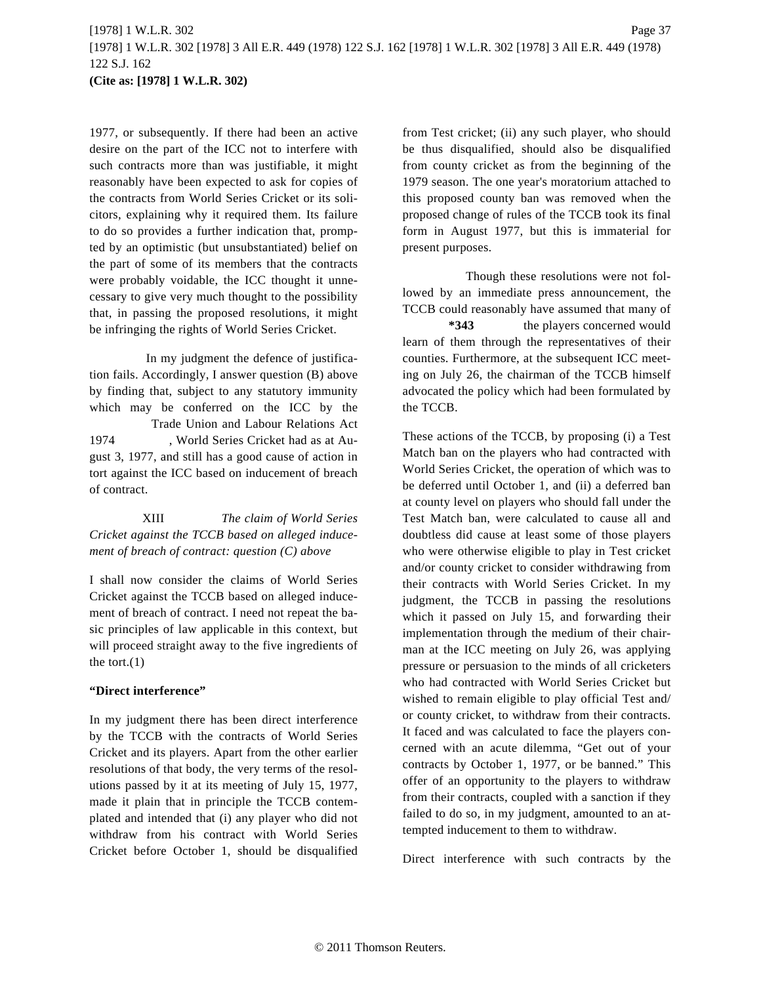1977, or subsequently. If there had been an active desire on the part of the ICC not to interfere with such contracts more than was justifiable, it might reasonably have been expected to ask for copies of the contracts from World Series Cricket or its solicitors, explaining why it required them. Its failure to do so provides a further indication that, prompted by an optimistic (but unsubstantiated) belief on the part of some of its members that the contracts were probably voidable, the ICC thought it unnecessary to give very much thought to the possibility that, in passing the proposed resolutions, it might be infringing the rights of World Series Cricket.

In my judgment the defence of justification fails. Accordingly, I answer question (B) above by finding that, subject to any statutory immunity which may be conferred on the ICC by the Trade Union and Labour Relations Act 1974 , World Series Cricket had as at August 3, 1977, and still has a good cause of action in tort against the ICC based on inducement of breach of contract.

XIII *The claim of World Series Cricket against the TCCB based on alleged inducement of breach of contract: question (C) above*

I shall now consider the claims of World Series Cricket against the TCCB based on alleged inducement of breach of contract. I need not repeat the basic principles of law applicable in this context, but will proceed straight away to the five ingredients of the tort. $(1)$ 

#### **"Direct interference"**

In my judgment there has been direct interference by the TCCB with the contracts of World Series Cricket and its players. Apart from the other earlier resolutions of that body, the very terms of the resolutions passed by it at its meeting of July 15, 1977, made it plain that in principle the TCCB contemplated and intended that (i) any player who did not withdraw from his contract with World Series Cricket before October 1, should be disqualified from Test cricket; (ii) any such player, who should be thus disqualified, should also be disqualified from county cricket as from the beginning of the 1979 season. The one year's moratorium attached to this proposed county ban was removed when the proposed change of rules of the TCCB took its final form in August 1977, but this is immaterial for present purposes.

Though these resolutions were not followed by an immediate press announcement, the TCCB could reasonably have assumed that many of **\*343** the players concerned would learn of them through the representatives of their counties. Furthermore, at the subsequent ICC meeting on July 26, the chairman of the TCCB himself

advocated the policy which had been formulated by

the TCCB.

These actions of the TCCB, by proposing (i) a Test Match ban on the players who had contracted with World Series Cricket, the operation of which was to be deferred until October 1, and (ii) a deferred ban at county level on players who should fall under the Test Match ban, were calculated to cause all and doubtless did cause at least some of those players who were otherwise eligible to play in Test cricket and/or county cricket to consider withdrawing from their contracts with World Series Cricket. In my judgment, the TCCB in passing the resolutions which it passed on July 15, and forwarding their implementation through the medium of their chairman at the ICC meeting on July 26, was applying pressure or persuasion to the minds of all cricketers who had contracted with World Series Cricket but wished to remain eligible to play official Test and/ or county cricket, to withdraw from their contracts. It faced and was calculated to face the players concerned with an acute dilemma, "Get out of your contracts by October 1, 1977, or be banned." This offer of an opportunity to the players to withdraw from their contracts, coupled with a sanction if they failed to do so, in my judgment, amounted to an attempted inducement to them to withdraw.

Direct interference with such contracts by the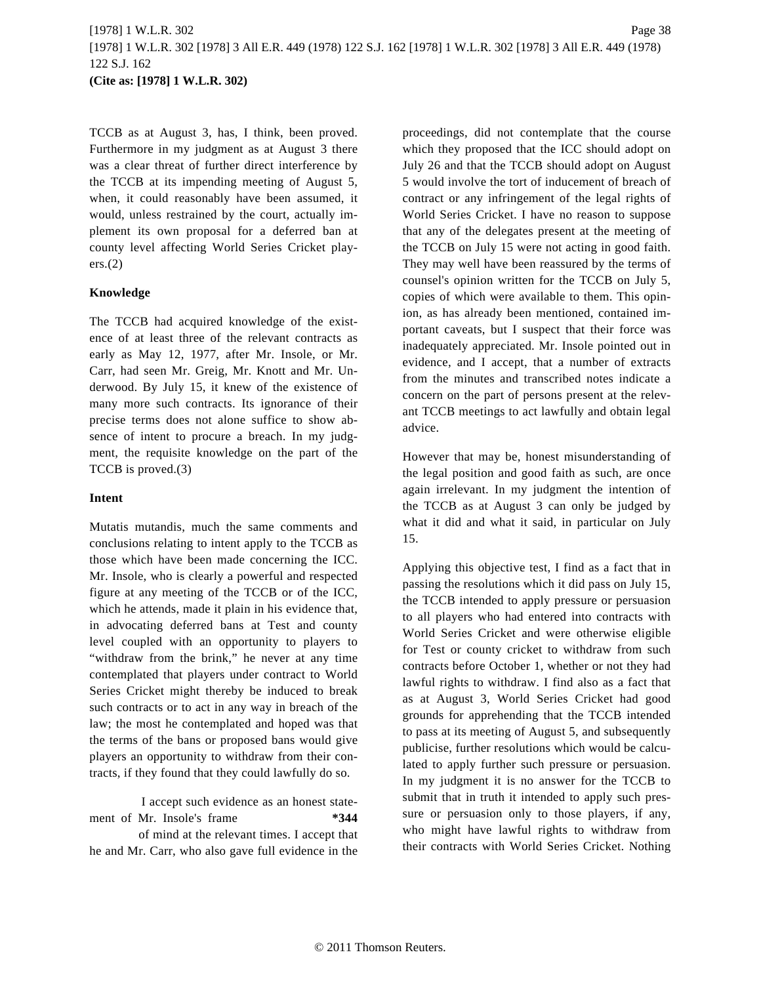TCCB as at August 3, has, I think, been proved. Furthermore in my judgment as at August 3 there was a clear threat of further direct interference by the TCCB at its impending meeting of August 5, when, it could reasonably have been assumed, it would, unless restrained by the court, actually implement its own proposal for a deferred ban at county level affecting World Series Cricket play $ers.(2)$ 

## **Knowledge**

The TCCB had acquired knowledge of the existence of at least three of the relevant contracts as early as May 12, 1977, after Mr. Insole, or Mr. Carr, had seen Mr. Greig, Mr. Knott and Mr. Underwood. By July 15, it knew of the existence of many more such contracts. Its ignorance of their precise terms does not alone suffice to show absence of intent to procure a breach. In my judgment, the requisite knowledge on the part of the TCCB is proved.(3)

### **Intent**

Mutatis mutandis, much the same comments and conclusions relating to intent apply to the TCCB as those which have been made concerning the ICC. Mr. Insole, who is clearly a powerful and respected figure at any meeting of the TCCB or of the ICC, which he attends, made it plain in his evidence that, in advocating deferred bans at Test and county level coupled with an opportunity to players to "withdraw from the brink," he never at any time contemplated that players under contract to World Series Cricket might thereby be induced to break such contracts or to act in any way in breach of the law; the most he contemplated and hoped was that the terms of the bans or proposed bans would give players an opportunity to withdraw from their contracts, if they found that they could lawfully do so.

I accept such evidence as an honest statement of Mr. Insole's frame **\*344**

of mind at the relevant times. I accept that he and Mr. Carr, who also gave full evidence in the

proceedings, did not contemplate that the course which they proposed that the ICC should adopt on July 26 and that the TCCB should adopt on August 5 would involve the tort of inducement of breach of contract or any infringement of the legal rights of World Series Cricket. I have no reason to suppose that any of the delegates present at the meeting of the TCCB on July 15 were not acting in good faith. They may well have been reassured by the terms of counsel's opinion written for the TCCB on July 5, copies of which were available to them. This opinion, as has already been mentioned, contained important caveats, but I suspect that their force was inadequately appreciated. Mr. Insole pointed out in evidence, and I accept, that a number of extracts from the minutes and transcribed notes indicate a concern on the part of persons present at the relevant TCCB meetings to act lawfully and obtain legal advice.

However that may be, honest misunderstanding of the legal position and good faith as such, are once again irrelevant. In my judgment the intention of the TCCB as at August 3 can only be judged by what it did and what it said, in particular on July 15.

Applying this objective test, I find as a fact that in passing the resolutions which it did pass on July 15, the TCCB intended to apply pressure or persuasion to all players who had entered into contracts with World Series Cricket and were otherwise eligible for Test or county cricket to withdraw from such contracts before October 1, whether or not they had lawful rights to withdraw. I find also as a fact that as at August 3, World Series Cricket had good grounds for apprehending that the TCCB intended to pass at its meeting of August 5, and subsequently publicise, further resolutions which would be calculated to apply further such pressure or persuasion. In my judgment it is no answer for the TCCB to submit that in truth it intended to apply such pressure or persuasion only to those players, if any, who might have lawful rights to withdraw from their contracts with World Series Cricket. Nothing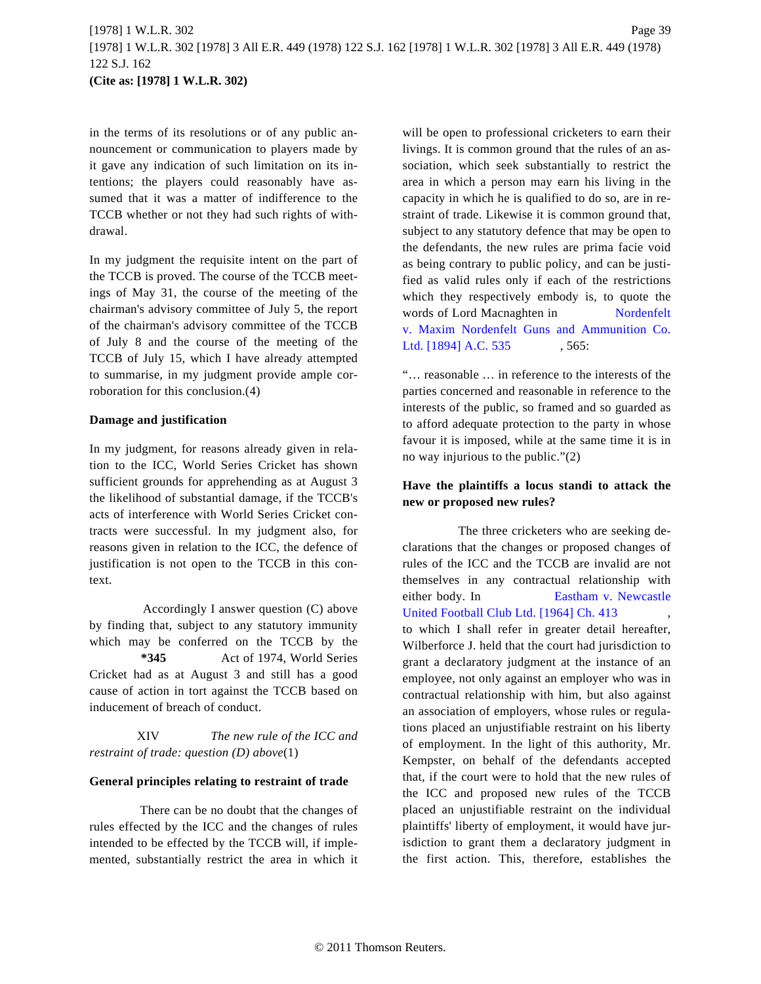in the terms of its resolutions or of any public announcement or communication to players made by it gave any indication of such limitation on its intentions; the players could reasonably have assumed that it was a matter of indifference to the TCCB whether or not they had such rights of withdrawal.

In my judgment the requisite intent on the part of the TCCB is proved. The course of the TCCB meetings of May 31, the course of the meeting of the chairman's advisory committee of July 5, the report of the chairman's advisory committee of the TCCB of July 8 and the course of the meeting of the TCCB of July 15, which I have already attempted to summarise, in my judgment provide ample corroboration for this conclusion.(4)

#### **Damage and justification**

In my judgment, for reasons already given in relation to the ICC, World Series Cricket has shown sufficient grounds for apprehending as at August 3 the likelihood of substantial damage, if the TCCB's acts of interference with World Series Cricket contracts were successful. In my judgment also, for reasons given in relation to the ICC, the defence of justification is not open to the TCCB in this context.

Accordingly I answer question (C) above by finding that, subject to any statutory immunity which may be conferred on the TCCB by the **\*345** Act of 1974, World Series Cricket had as at August 3 and still has a good cause of action in tort against the TCCB based on inducement of breach of conduct.

XIV *The new rule of the ICC and restraint of trade: question (D) above*(1)

#### **General principles relating to restraint of trade**

There can be no doubt that the changes of rules effected by the ICC and the changes of rules intended to be effected by the TCCB will, if implemented, substantially restrict the area in which it will be open to professional cricketers to earn their livings. It is common ground that the rules of an association, which seek substantially to restrict the area in which a person may earn his living in the capacity in which he is qualified to do so, are in restraint of trade. Likewise it is common ground that, subject to any statutory defence that may be open to the defendants, the new rules are prima facie void as being contrary to public policy, and can be justified as valid rules only if each of the restrictions which they respectively embody is, to quote the words of Lord Macnaghten in [Nordenfelt](http://www.westlaw.com/Find/Default.wl?rs=dfa1.0&vr=2.0&DB=999&FindType=Y&SerialNum=1894413527) [v. Maxim Nordenfelt Guns and Ammunition C](http://www.westlaw.com/Find/Default.wl?rs=dfa1.0&vr=2.0&DB=999&FindType=Y&SerialNum=1894413527)o. [Ltd. \[1894\] A.C. 535](http://www.westlaw.com/Find/Default.wl?rs=dfa1.0&vr=2.0&DB=999&FindType=Y&SerialNum=1894413527) , 565:

"… reasonable … in reference to the interests of the parties concerned and reasonable in reference to the interests of the public, so framed and so guarded as to afford adequate protection to the party in whose favour it is imposed, while at the same time it is in no way injurious to the public."(2)

## **Have the plaintiffs a locus standi to attack the new or proposed new rules?**

The three cricketers who are seeking declarations that the changes or proposed changes of rules of the ICC and the TCCB are invalid are not themselves in any contractual relationship with either body. In **[Eastham v. Newcastle](http://www.westlaw.com/Find/Default.wl?rs=dfa1.0&vr=2.0&DB=999&FindType=Y&SerialNum=1963016142)** [United Football Club Ltd. \[1964\] Ch. 413](http://www.westlaw.com/Find/Default.wl?rs=dfa1.0&vr=2.0&DB=999&FindType=Y&SerialNum=1963016142) to which I shall refer in greater detail hereafter, Wilberforce J. held that the court had jurisdiction to grant a declaratory judgment at the instance of an employee, not only against an employer who was in contractual relationship with him, but also against an association of employers, whose rules or regulations placed an unjustifiable restraint on his liberty of employment. In the light of this authority, Mr. Kempster, on behalf of the defendants accepted that, if the court were to hold that the new rules of the ICC and proposed new rules of the TCCB placed an unjustifiable restraint on the individual plaintiffs' liberty of employment, it would have jurisdiction to grant them a declaratory judgment in the first action. This, therefore, establishes the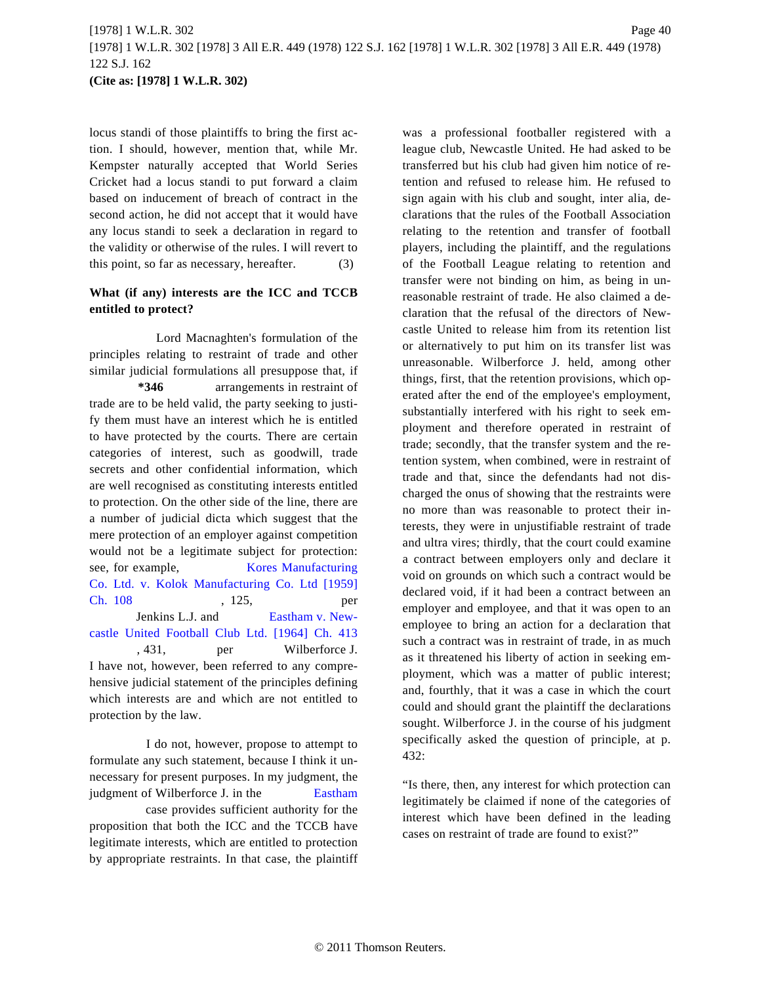locus standi of those plaintiffs to bring the first action. I should, however, mention that, while Mr. Kempster naturally accepted that World Series Cricket had a locus standi to put forward a claim based on inducement of breach of contract in the second action, he did not accept that it would have any locus standi to seek a declaration in regard to the validity or otherwise of the rules. I will revert to this point, so far as necessary, hereafter. (3)

## **What (if any) interests are the ICC and TCCB entitled to protect?**

Lord Macnaghten's formulation of the principles relating to restraint of trade and other similar judicial formulations all presuppose that, if **\*346** arrangements in restraint of trade are to be held valid, the party seeking to justify them must have an interest which he is entitled to have protected by the courts. There are certain categories of interest, such as goodwill, trade secrets and other confidential information, which are well recognised as constituting interests entitled to protection. On the other side of the line, there are a number of judicial dicta which suggest that the mere protection of an employer against competition would not be a legitimate subject for protection: see, for example, [Kores Manufacturing](http://www.westlaw.com/Find/Default.wl?rs=dfa1.0&vr=2.0&DB=999&FindType=Y&SerialNum=1958018056) [Co. Ltd. v. Kolok Manufacturing Co. Ltd \[19](http://www.westlaw.com/Find/Default.wl?rs=dfa1.0&vr=2.0&DB=999&FindType=Y&SerialNum=1958018056)59] [Ch. 108](http://www.westlaw.com/Find/Default.wl?rs=dfa1.0&vr=2.0&DB=999&FindType=Y&SerialNum=1958018056) , 125, per Jenkins L.J. and [Eastham v. New](http://www.westlaw.com/Find/Default.wl?rs=dfa1.0&vr=2.0&DB=999&FindType=Y&SerialNum=1963016142)[castle United Football Club Ltd. \[1964\] Ch.](http://www.westlaw.com/Find/Default.wl?rs=dfa1.0&vr=2.0&DB=999&FindType=Y&SerialNum=1963016142) 413 , 431, per Wilberforce J. I have not, however, been referred to any comprehensive judicial statement of the principles defining which interests are and which are not entitled to protection by the law.

I do not, however, propose to attempt to formulate any such statement, because I think it unnecessary for present purposes. In my judgment, the judgment of Wilberforce J. in the Eastham case provides sufficient authority for the proposition that both the ICC and the TCCB have legitimate interests, which are entitled to protection by appropriate restraints. In that case, the plaintiff

was a professional footballer registered with a league club, Newcastle United. He had asked to be transferred but his club had given him notice of retention and refused to release him. He refused to sign again with his club and sought, inter alia, declarations that the rules of the Football Association relating to the retention and transfer of football players, including the plaintiff, and the regulations of the Football League relating to retention and transfer were not binding on him, as being in unreasonable restraint of trade. He also claimed a declaration that the refusal of the directors of Newcastle United to release him from its retention list or alternatively to put him on its transfer list was unreasonable. Wilberforce J. held, among other things, first, that the retention provisions, which operated after the end of the employee's employment, substantially interfered with his right to seek employment and therefore operated in restraint of trade; secondly, that the transfer system and the retention system, when combined, were in restraint of trade and that, since the defendants had not discharged the onus of showing that the restraints were no more than was reasonable to protect their interests, they were in unjustifiable restraint of trade and ultra vires; thirdly, that the court could examine a contract between employers only and declare it void on grounds on which such a contract would be declared void, if it had been a contract between an employer and employee, and that it was open to an employee to bring an action for a declaration that such a contract was in restraint of trade, in as much as it threatened his liberty of action in seeking employment, which was a matter of public interest; and, fourthly, that it was a case in which the court could and should grant the plaintiff the declarations sought. Wilberforce J. in the course of his judgment specifically asked the question of principle, at p. 432:

"Is there, then, any interest for which protection can [l](http://www.westlaw.com/Find/Default.wl?rs=dfa1.0&vr=2.0&DB=999&FindType=Y&SerialNum=1963016142)egitimately be claimed if none of the categories of interest which have been defined in the leading cases on restraint of trade are found to exist?"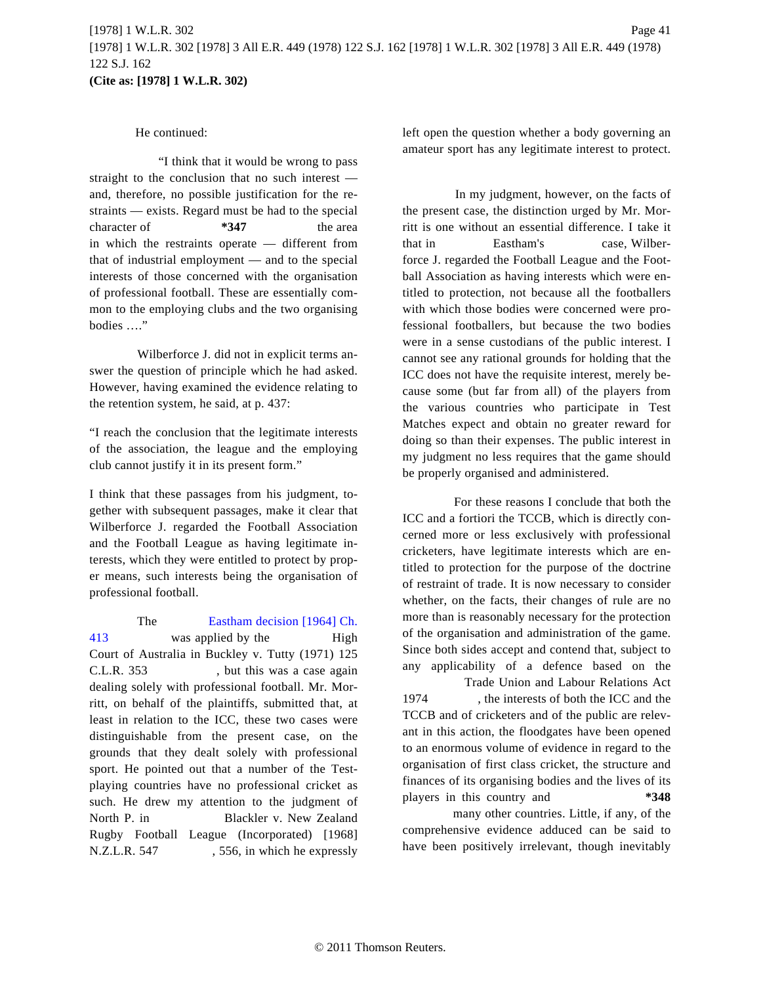## He continued:

"I think that it would be wrong to pass straight to the conclusion that no such interest and, therefore, no possible justification for the restraints — exists. Regard must be had to the special character of **\*347** the area in which the restraints operate — different from that of industrial employment — and to the special interests of those concerned with the organisation of professional football. These are essentially common to the employing clubs and the two organising bodies …."

Wilberforce J. did not in explicit terms answer the question of principle which he had asked. However, having examined the evidence relating to the retention system, he said, at p. 437:

"I reach the conclusion that the legitimate interests of the association, the league and the employing club cannot justify it in its present form."

I think that these passages from his judgment, together with subsequent passages, make it clear that Wilberforce J. regarded the Football Association and the Football League as having legitimate interests, which they were entitled to protect by proper means, such interests being the organisation of professional football.

The [Eastham decision \[1964\] Ch.](http://www.westlaw.com/Find/Default.wl?rs=dfa1.0&vr=2.0&DB=999&FindType=Y&SerialNum=1963016142) [413](http://www.westlaw.com/Find/Default.wl?rs=dfa1.0&vr=2.0&DB=999&FindType=Y&SerialNum=1963016142) was applied by the High Court of Australia in Buckley v. Tutty (1971) 125 C.L.R. 353 , but this was a case again dealing solely with professional football. Mr. Morritt, on behalf of the plaintiffs, submitted that, at least in relation to the ICC, these two cases were distinguishable from the present case, on the grounds that they dealt solely with professional sport. He pointed out that a number of the Testplaying countries have no professional cricket as such. He drew my attention to the judgment of North P. in Blackler v. New Zealand Rugby Football League (Incorporated) [1968] N.Z.L.R. 547 , 556, in which he expressly left open the question whether a body governing an amateur sport has any legitimate interest to protect.

In my judgment, however, on the facts of the present case, the distinction urged by Mr. Morritt is one without an essential difference. I take it that in Eastham's case, Wilberforce J. regarded the Football League and the Football Association as having interests which were entitled to protection, not because all the footballers with which those bodies were concerned were professional footballers, but because the two bodies were in a sense custodians of the public interest. I cannot see any rational grounds for holding that the ICC does not have the requisite interest, merely because some (but far from all) of the players from the various countries who participate in Test Matches expect and obtain no greater reward for doing so than their expenses. The public interest in my judgment no less requires that the game should be properly organised and administered.

For these reasons I conclude that both the ICC and a fortiori the TCCB, which is directly concerned more or less exclusively with professional cricketers, have legitimate interests which are entitled to protection for the purpose of the doctrine of restraint of trade. It is now necessary to consider whether, on the facts, their changes of rule are no more than is reasonably necessary for the protection of the organisation and administration of the game. Since both sides accept and contend that, subject to any applicability of a defence based on the

Trade Union and Labour Relations Act 1974 , the interests of both the ICC and the TCCB and of cricketers and of the public are relevant in this action, the floodgates have been opened to an enormous volume of evidence in regard to the organisation of first class cricket, the structure and finances of its organising bodies and the lives of its players in this country and **\*348**

many other countries. Little, if any, of the comprehensive evidence adduced can be said to have been positively irrelevant, though inevitably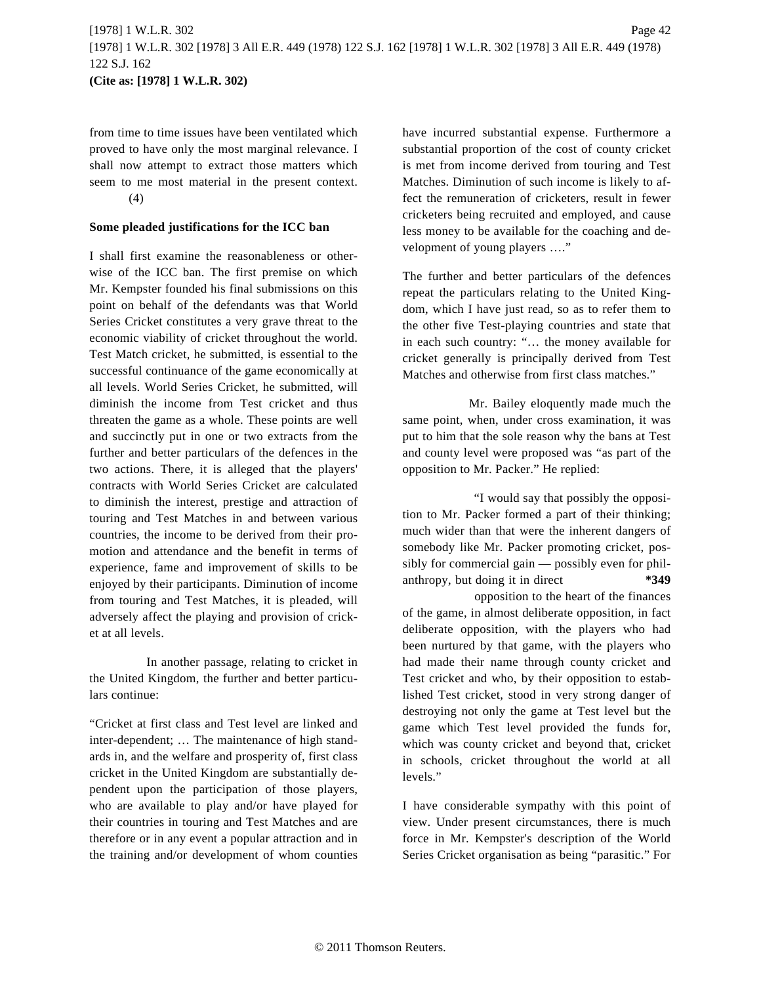from time to time issues have been ventilated which proved to have only the most marginal relevance. I shall now attempt to extract those matters which seem to me most material in the present context. (4)

#### **Some pleaded justifications for the ICC ban**

I shall first examine the reasonableness or otherwise of the ICC ban. The first premise on which Mr. Kempster founded his final submissions on this point on behalf of the defendants was that World Series Cricket constitutes a very grave threat to the economic viability of cricket throughout the world. Test Match cricket, he submitted, is essential to the successful continuance of the game economically at all levels. World Series Cricket, he submitted, will diminish the income from Test cricket and thus threaten the game as a whole. These points are well and succinctly put in one or two extracts from the further and better particulars of the defences in the two actions. There, it is alleged that the players' contracts with World Series Cricket are calculated to diminish the interest, prestige and attraction of touring and Test Matches in and between various countries, the income to be derived from their promotion and attendance and the benefit in terms of experience, fame and improvement of skills to be enjoyed by their participants. Diminution of income from touring and Test Matches, it is pleaded, will adversely affect the playing and provision of cricket at all levels.

In another passage, relating to cricket in the United Kingdom, the further and better particulars continue:

"Cricket at first class and Test level are linked and inter-dependent; … The maintenance of high standards in, and the welfare and prosperity of, first class cricket in the United Kingdom are substantially dependent upon the participation of those players, who are available to play and/or have played for their countries in touring and Test Matches and are therefore or in any event a popular attraction and in the training and/or development of whom counties have incurred substantial expense. Furthermore a substantial proportion of the cost of county cricket is met from income derived from touring and Test Matches. Diminution of such income is likely to affect the remuneration of cricketers, result in fewer cricketers being recruited and employed, and cause less money to be available for the coaching and development of young players …."

The further and better particulars of the defences repeat the particulars relating to the United Kingdom, which I have just read, so as to refer them to the other five Test-playing countries and state that in each such country: "… the money available for cricket generally is principally derived from Test Matches and otherwise from first class matches."

Mr. Bailey eloquently made much the same point, when, under cross examination, it was put to him that the sole reason why the bans at Test and county level were proposed was "as part of the opposition to Mr. Packer." He replied:

"I would say that possibly the opposition to Mr. Packer formed a part of their thinking; much wider than that were the inherent dangers of somebody like Mr. Packer promoting cricket, possibly for commercial gain — possibly even for philanthropy, but doing it in direct **\*349**

opposition to the heart of the finances of the game, in almost deliberate opposition, in fact deliberate opposition, with the players who had been nurtured by that game, with the players who had made their name through county cricket and Test cricket and who, by their opposition to established Test cricket, stood in very strong danger of destroying not only the game at Test level but the game which Test level provided the funds for, which was county cricket and beyond that, cricket in schools, cricket throughout the world at all levels."

I have considerable sympathy with this point of view. Under present circumstances, there is much force in Mr. Kempster's description of the World Series Cricket organisation as being "parasitic." For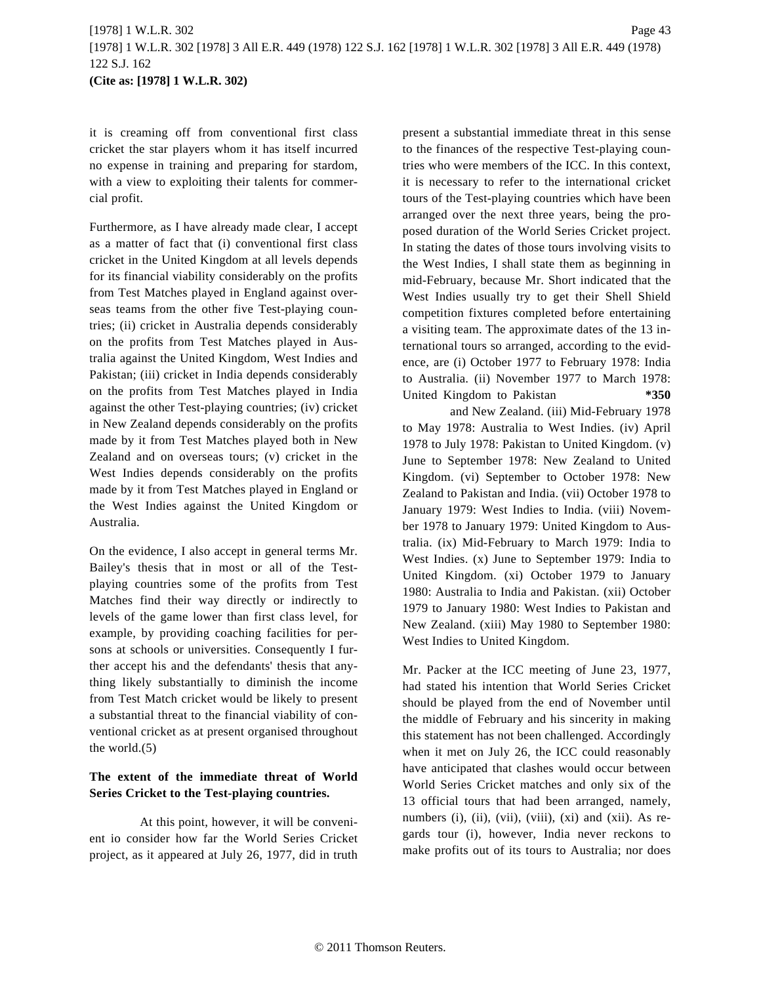it is creaming off from conventional first class cricket the star players whom it has itself incurred no expense in training and preparing for stardom, with a view to exploiting their talents for commercial profit.

Furthermore, as I have already made clear, I accept as a matter of fact that (i) conventional first class cricket in the United Kingdom at all levels depends for its financial viability considerably on the profits from Test Matches played in England against overseas teams from the other five Test-playing countries; (ii) cricket in Australia depends considerably on the profits from Test Matches played in Australia against the United Kingdom, West Indies and Pakistan; (iii) cricket in India depends considerably on the profits from Test Matches played in India against the other Test-playing countries; (iv) cricket in New Zealand depends considerably on the profits made by it from Test Matches played both in New Zealand and on overseas tours; (v) cricket in the West Indies depends considerably on the profits made by it from Test Matches played in England or the West Indies against the United Kingdom or Australia.

On the evidence, I also accept in general terms Mr. Bailey's thesis that in most or all of the Testplaying countries some of the profits from Test Matches find their way directly or indirectly to levels of the game lower than first class level, for example, by providing coaching facilities for persons at schools or universities. Consequently I further accept his and the defendants' thesis that anything likely substantially to diminish the income from Test Match cricket would be likely to present a substantial threat to the financial viability of conventional cricket as at present organised throughout the world.(5)

# **The extent of the immediate threat of World Series Cricket to the Test-playing countries.**

At this point, however, it will be convenient io consider how far the World Series Cricket project, as it appeared at July 26, 1977, did in truth present a substantial immediate threat in this sense to the finances of the respective Test-playing countries who were members of the ICC. In this context, it is necessary to refer to the international cricket tours of the Test-playing countries which have been arranged over the next three years, being the proposed duration of the World Series Cricket project. In stating the dates of those tours involving visits to the West Indies, I shall state them as beginning in mid-February, because Mr. Short indicated that the West Indies usually try to get their Shell Shield competition fixtures completed before entertaining a visiting team. The approximate dates of the 13 international tours so arranged, according to the evidence, are (i) October 1977 to February 1978: India to Australia. (ii) November 1977 to March 1978: United Kingdom to Pakistan **\*350**

and New Zealand. (iii) Mid-February 1978 to May 1978: Australia to West Indies. (iv) April 1978 to July 1978: Pakistan to United Kingdom. (v) June to September 1978: New Zealand to United Kingdom. (vi) September to October 1978: New Zealand to Pakistan and India. (vii) October 1978 to January 1979: West Indies to India. (viii) November 1978 to January 1979: United Kingdom to Australia. (ix) Mid-February to March 1979: India to West Indies. (x) June to September 1979: India to United Kingdom. (xi) October 1979 to January 1980: Australia to India and Pakistan. (xii) October 1979 to January 1980: West Indies to Pakistan and New Zealand. (xiii) May 1980 to September 1980: West Indies to United Kingdom.

Mr. Packer at the ICC meeting of June 23, 1977, had stated his intention that World Series Cricket should be played from the end of November until the middle of February and his sincerity in making this statement has not been challenged. Accordingly when it met on July 26, the ICC could reasonably have anticipated that clashes would occur between World Series Cricket matches and only six of the 13 official tours that had been arranged, namely, numbers (i), (ii), (vii), (viii), (xi) and (xii). As regards tour (i), however, India never reckons to make profits out of its tours to Australia; nor does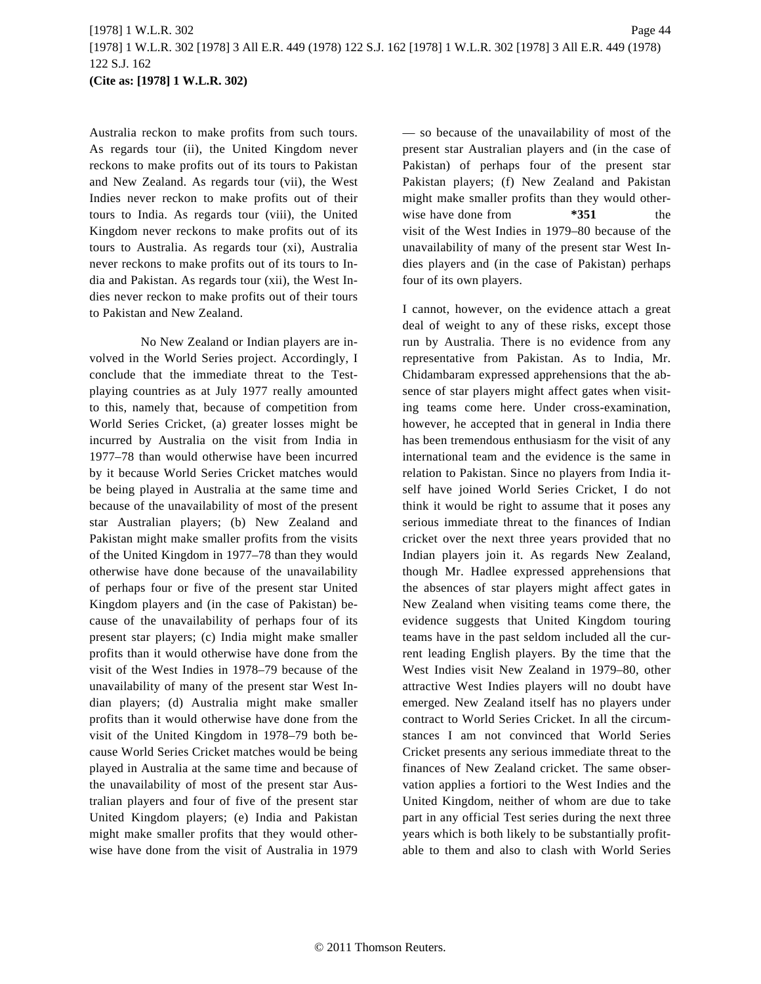Australia reckon to make profits from such tours. As regards tour (ii), the United Kingdom never reckons to make profits out of its tours to Pakistan and New Zealand. As regards tour (vii), the West Indies never reckon to make profits out of their tours to India. As regards tour (viii), the United Kingdom never reckons to make profits out of its tours to Australia. As regards tour (xi), Australia never reckons to make profits out of its tours to India and Pakistan. As regards tour (xii), the West Indies never reckon to make profits out of their tours to Pakistan and New Zealand.

No New Zealand or Indian players are involved in the World Series project. Accordingly, I conclude that the immediate threat to the Testplaying countries as at July 1977 really amounted to this, namely that, because of competition from World Series Cricket, (a) greater losses might be incurred by Australia on the visit from India in 1977–78 than would otherwise have been incurred by it because World Series Cricket matches would be being played in Australia at the same time and because of the unavailability of most of the present star Australian players; (b) New Zealand and Pakistan might make smaller profits from the visits of the United Kingdom in 1977–78 than they would otherwise have done because of the unavailability of perhaps four or five of the present star United Kingdom players and (in the case of Pakistan) because of the unavailability of perhaps four of its present star players; (c) India might make smaller profits than it would otherwise have done from the visit of the West Indies in 1978–79 because of the unavailability of many of the present star West Indian players; (d) Australia might make smaller profits than it would otherwise have done from the visit of the United Kingdom in 1978–79 both because World Series Cricket matches would be being played in Australia at the same time and because of the unavailability of most of the present star Australian players and four of five of the present star United Kingdom players; (e) India and Pakistan might make smaller profits that they would otherwise have done from the visit of Australia in 1979 — so because of the unavailability of most of the present star Australian players and (in the case of Pakistan) of perhaps four of the present star Pakistan players; (f) New Zealand and Pakistan might make smaller profits than they would otherwise have done from  $*351$  the visit of the West Indies in 1979–80 because of the unavailability of many of the present star West Indies players and (in the case of Pakistan) perhaps four of its own players.

I cannot, however, on the evidence attach a great deal of weight to any of these risks, except those run by Australia. There is no evidence from any representative from Pakistan. As to India, Mr. Chidambaram expressed apprehensions that the absence of star players might affect gates when visiting teams come here. Under cross-examination, however, he accepted that in general in India there has been tremendous enthusiasm for the visit of any international team and the evidence is the same in relation to Pakistan. Since no players from India itself have joined World Series Cricket, I do not think it would be right to assume that it poses any serious immediate threat to the finances of Indian cricket over the next three years provided that no Indian players join it. As regards New Zealand, though Mr. Hadlee expressed apprehensions that the absences of star players might affect gates in New Zealand when visiting teams come there, the evidence suggests that United Kingdom touring teams have in the past seldom included all the current leading English players. By the time that the West Indies visit New Zealand in 1979–80, other attractive West Indies players will no doubt have emerged. New Zealand itself has no players under contract to World Series Cricket. In all the circumstances I am not convinced that World Series Cricket presents any serious immediate threat to the finances of New Zealand cricket. The same observation applies a fortiori to the West Indies and the United Kingdom, neither of whom are due to take part in any official Test series during the next three years which is both likely to be substantially profitable to them and also to clash with World Series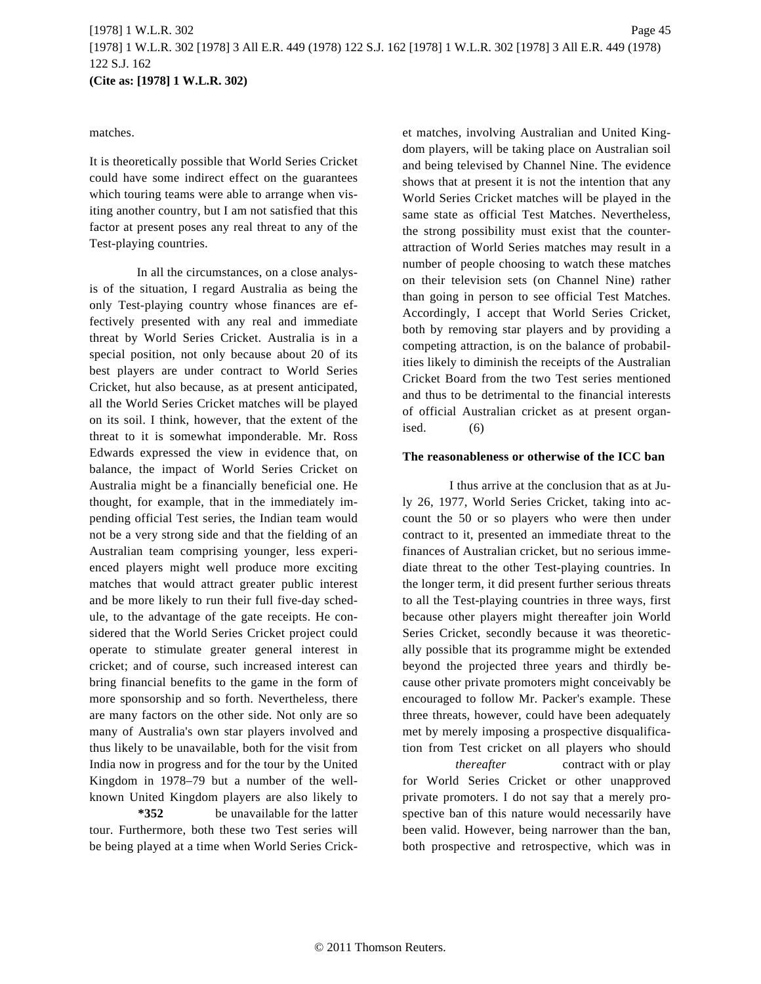#### matches.

It is theoretically possible that World Series Cricket could have some indirect effect on the guarantees which touring teams were able to arrange when visiting another country, but I am not satisfied that this factor at present poses any real threat to any of the Test-playing countries.

In all the circumstances, on a close analysis of the situation, I regard Australia as being the only Test-playing country whose finances are effectively presented with any real and immediate threat by World Series Cricket. Australia is in a special position, not only because about 20 of its best players are under contract to World Series Cricket, hut also because, as at present anticipated, all the World Series Cricket matches will be played on its soil. I think, however, that the extent of the threat to it is somewhat imponderable. Mr. Ross Edwards expressed the view in evidence that, on balance, the impact of World Series Cricket on Australia might be a financially beneficial one. He thought, for example, that in the immediately impending official Test series, the Indian team would not be a very strong side and that the fielding of an Australian team comprising younger, less experienced players might well produce more exciting matches that would attract greater public interest and be more likely to run their full five-day schedule, to the advantage of the gate receipts. He considered that the World Series Cricket project could operate to stimulate greater general interest in cricket; and of course, such increased interest can bring financial benefits to the game in the form of more sponsorship and so forth. Nevertheless, there are many factors on the other side. Not only are so many of Australia's own star players involved and thus likely to be unavailable, both for the visit from India now in progress and for the tour by the United Kingdom in 1978–79 but a number of the wellknown United Kingdom players are also likely to

**\*352** be unavailable for the latter tour. Furthermore, both these two Test series will be being played at a time when World Series Cricket matches, involving Australian and United Kingdom players, will be taking place on Australian soil and being televised by Channel Nine. The evidence shows that at present it is not the intention that any World Series Cricket matches will be played in the same state as official Test Matches. Nevertheless, the strong possibility must exist that the counterattraction of World Series matches may result in a number of people choosing to watch these matches on their television sets (on Channel Nine) rather than going in person to see official Test Matches. Accordingly, I accept that World Series Cricket, both by removing star players and by providing a competing attraction, is on the balance of probabilities likely to diminish the receipts of the Australian Cricket Board from the two Test series mentioned and thus to be detrimental to the financial interests of official Australian cricket as at present organised.  $(6)$ 

#### **The reasonableness or otherwise of the ICC ban**

I thus arrive at the conclusion that as at July 26, 1977, World Series Cricket, taking into account the 50 or so players who were then under contract to it, presented an immediate threat to the finances of Australian cricket, but no serious immediate threat to the other Test-playing countries. In the longer term, it did present further serious threats to all the Test-playing countries in three ways, first because other players might thereafter join World Series Cricket, secondly because it was theoretically possible that its programme might be extended beyond the projected three years and thirdly because other private promoters might conceivably be encouraged to follow Mr. Packer's example. These three threats, however, could have been adequately met by merely imposing a prospective disqualification from Test cricket on all players who should

*thereafter* contract with or play for World Series Cricket or other unapproved private promoters. I do not say that a merely prospective ban of this nature would necessarily have been valid. However, being narrower than the ban, both prospective and retrospective, which was in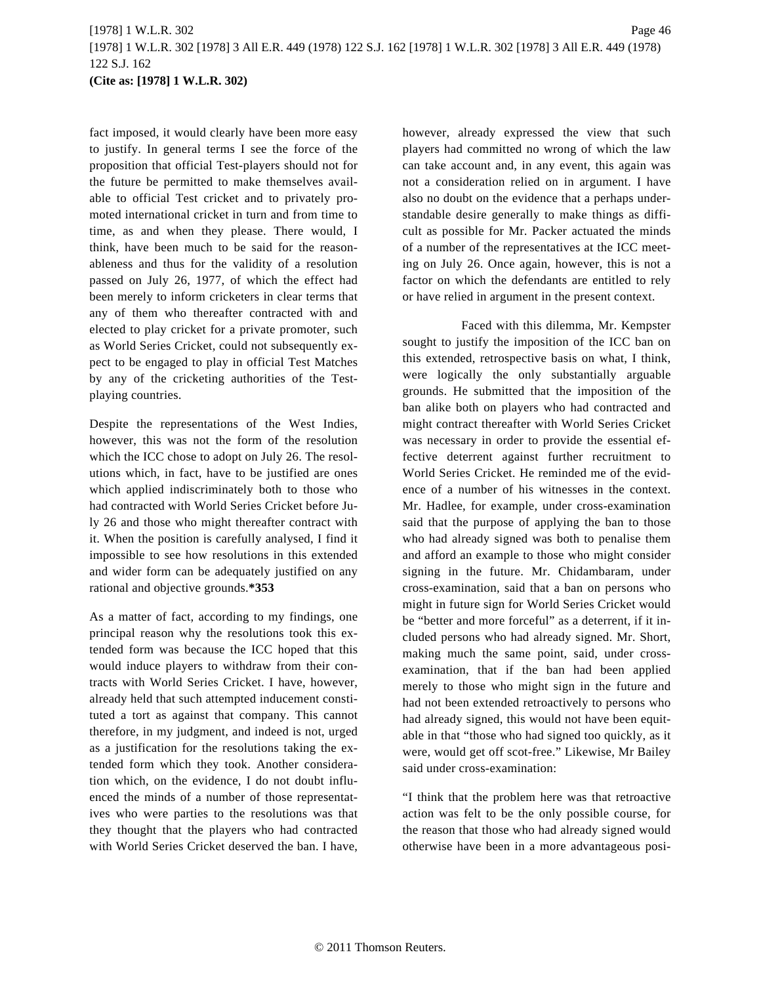fact imposed, it would clearly have been more easy to justify. In general terms I see the force of the proposition that official Test-players should not for the future be permitted to make themselves available to official Test cricket and to privately promoted international cricket in turn and from time to time, as and when they please. There would, I think, have been much to be said for the reasonableness and thus for the validity of a resolution passed on July 26, 1977, of which the effect had been merely to inform cricketers in clear terms that any of them who thereafter contracted with and elected to play cricket for a private promoter, such as World Series Cricket, could not subsequently expect to be engaged to play in official Test Matches by any of the cricketing authorities of the Testplaying countries.

Despite the representations of the West Indies, however, this was not the form of the resolution which the ICC chose to adopt on July 26. The resolutions which, in fact, have to be justified are ones which applied indiscriminately both to those who had contracted with World Series Cricket before July 26 and those who might thereafter contract with it. When the position is carefully analysed, I find it impossible to see how resolutions in this extended and wider form can be adequately justified on any rational and objective grounds.**\*353**

As a matter of fact, according to my findings, one principal reason why the resolutions took this extended form was because the ICC hoped that this would induce players to withdraw from their contracts with World Series Cricket. I have, however, already held that such attempted inducement constituted a tort as against that company. This cannot therefore, in my judgment, and indeed is not, urged as a justification for the resolutions taking the extended form which they took. Another consideration which, on the evidence, I do not doubt influenced the minds of a number of those representatives who were parties to the resolutions was that they thought that the players who had contracted with World Series Cricket deserved the ban. I have, however, already expressed the view that such players had committed no wrong of which the law can take account and, in any event, this again was not a consideration relied on in argument. I have also no doubt on the evidence that a perhaps understandable desire generally to make things as difficult as possible for Mr. Packer actuated the minds of a number of the representatives at the ICC meeting on July 26. Once again, however, this is not a factor on which the defendants are entitled to rely or have relied in argument in the present context.

Faced with this dilemma, Mr. Kempster sought to justify the imposition of the ICC ban on this extended, retrospective basis on what, I think, were logically the only substantially arguable grounds. He submitted that the imposition of the ban alike both on players who had contracted and might contract thereafter with World Series Cricket was necessary in order to provide the essential effective deterrent against further recruitment to World Series Cricket. He reminded me of the evidence of a number of his witnesses in the context. Mr. Hadlee, for example, under cross-examination said that the purpose of applying the ban to those who had already signed was both to penalise them and afford an example to those who might consider signing in the future. Mr. Chidambaram, under cross-examination, said that a ban on persons who might in future sign for World Series Cricket would be "better and more forceful" as a deterrent, if it included persons who had already signed. Mr. Short, making much the same point, said, under crossexamination, that if the ban had been applied merely to those who might sign in the future and had not been extended retroactively to persons who had already signed, this would not have been equitable in that "those who had signed too quickly, as it were, would get off scot-free." Likewise, Mr Bailey said under cross-examination:

"I think that the problem here was that retroactive action was felt to be the only possible course, for the reason that those who had already signed would otherwise have been in a more advantageous posi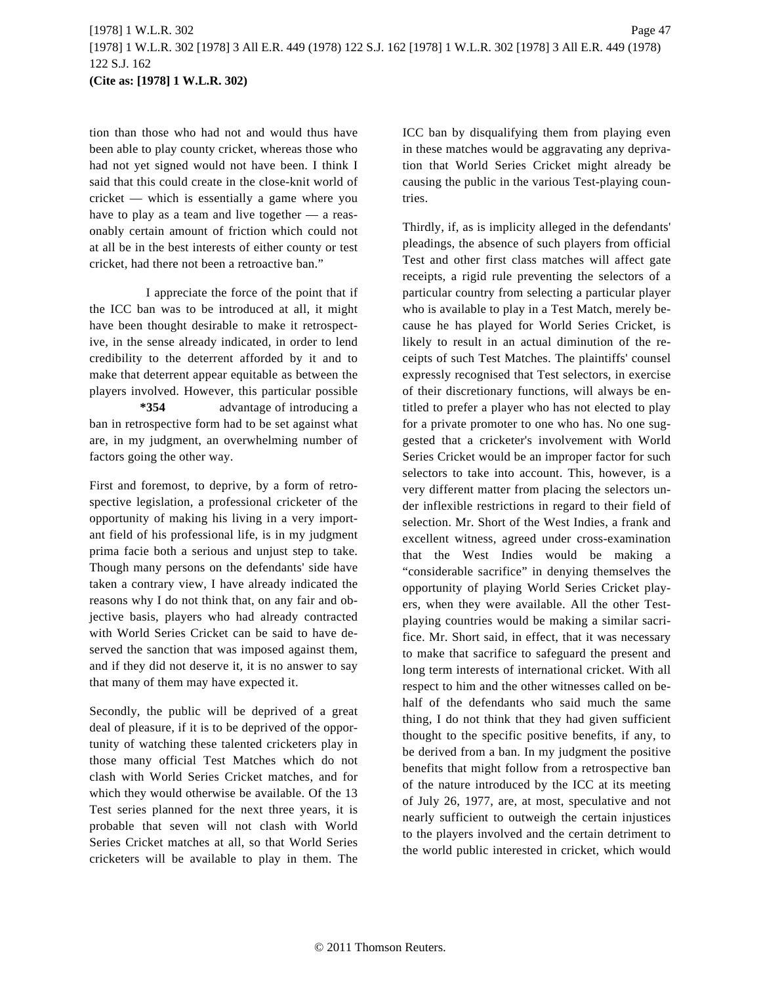tion than those who had not and would thus have been able to play county cricket, whereas those who had not yet signed would not have been. I think I said that this could create in the close-knit world of cricket — which is essentially a game where you have to play as a team and live together — a reasonably certain amount of friction which could not at all be in the best interests of either county or test cricket, had there not been a retroactive ban."

I appreciate the force of the point that if the ICC ban was to be introduced at all, it might have been thought desirable to make it retrospective, in the sense already indicated, in order to lend credibility to the deterrent afforded by it and to make that deterrent appear equitable as between the players involved. However, this particular possible **\*354** advantage of introducing a ban in retrospective form had to be set against what are, in my judgment, an overwhelming number of factors going the other way.

First and foremost, to deprive, by a form of retrospective legislation, a professional cricketer of the opportunity of making his living in a very important field of his professional life, is in my judgment prima facie both a serious and unjust step to take. Though many persons on the defendants' side have taken a contrary view, I have already indicated the reasons why I do not think that, on any fair and objective basis, players who had already contracted with World Series Cricket can be said to have deserved the sanction that was imposed against them, and if they did not deserve it, it is no answer to say that many of them may have expected it.

Secondly, the public will be deprived of a great deal of pleasure, if it is to be deprived of the opportunity of watching these talented cricketers play in those many official Test Matches which do not clash with World Series Cricket matches, and for which they would otherwise be available. Of the 13 Test series planned for the next three years, it is probable that seven will not clash with World Series Cricket matches at all, so that World Series cricketers will be available to play in them. The ICC ban by disqualifying them from playing even in these matches would be aggravating any deprivation that World Series Cricket might already be causing the public in the various Test-playing countries.

Thirdly, if, as is implicity alleged in the defendants' pleadings, the absence of such players from official Test and other first class matches will affect gate receipts, a rigid rule preventing the selectors of a particular country from selecting a particular player who is available to play in a Test Match, merely because he has played for World Series Cricket, is likely to result in an actual diminution of the receipts of such Test Matches. The plaintiffs' counsel expressly recognised that Test selectors, in exercise of their discretionary functions, will always be entitled to prefer a player who has not elected to play for a private promoter to one who has. No one suggested that a cricketer's involvement with World Series Cricket would be an improper factor for such selectors to take into account. This, however, is a very different matter from placing the selectors under inflexible restrictions in regard to their field of selection. Mr. Short of the West Indies, a frank and excellent witness, agreed under cross-examination that the West Indies would be making a "considerable sacrifice" in denying themselves the opportunity of playing World Series Cricket players, when they were available. All the other Testplaying countries would be making a similar sacrifice. Mr. Short said, in effect, that it was necessary to make that sacrifice to safeguard the present and long term interests of international cricket. With all respect to him and the other witnesses called on behalf of the defendants who said much the same thing, I do not think that they had given sufficient thought to the specific positive benefits, if any, to be derived from a ban. In my judgment the positive benefits that might follow from a retrospective ban of the nature introduced by the ICC at its meeting of July 26, 1977, are, at most, speculative and not nearly sufficient to outweigh the certain injustices to the players involved and the certain detriment to the world public interested in cricket, which would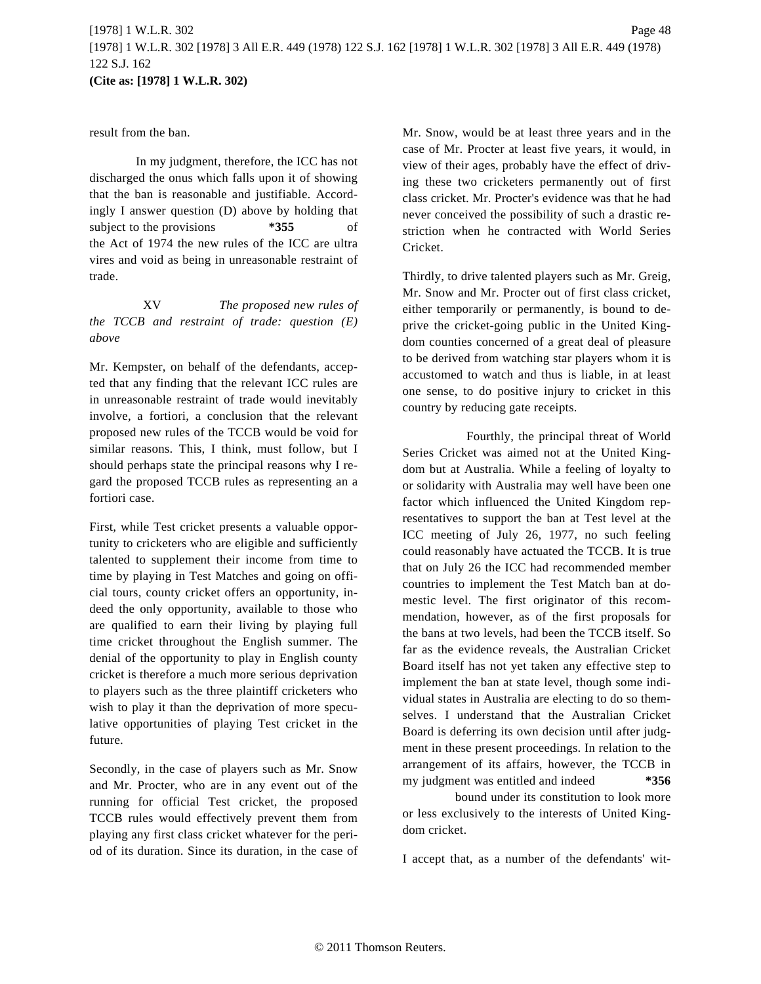# [1978] 1 W.L.R. 302 Page 48 [1978] 1 W.L.R. 302 [1978] 3 All E.R. 449 (1978) 122 S.J. 162 [1978] 1 W.L.R. 302 [1978] 3 All E.R. 449 (1978) 122 S.J. 162 **(Cite as: [1978] 1 W.L.R. 302)**

result from the ban.

In my judgment, therefore, the ICC has not discharged the onus which falls upon it of showing that the ban is reasonable and justifiable. Accordingly I answer question (D) above by holding that subject to the provisions  $*355$  of the Act of 1974 the new rules of the ICC are ultra vires and void as being in unreasonable restraint of trade.

XV *The proposed new rules of the TCCB and restraint of trade: question (E) above*

Mr. Kempster, on behalf of the defendants, accepted that any finding that the relevant ICC rules are in unreasonable restraint of trade would inevitably involve, a fortiori, a conclusion that the relevant proposed new rules of the TCCB would be void for similar reasons. This, I think, must follow, but I should perhaps state the principal reasons why I regard the proposed TCCB rules as representing an a fortiori case.

First, while Test cricket presents a valuable opportunity to cricketers who are eligible and sufficiently talented to supplement their income from time to time by playing in Test Matches and going on official tours, county cricket offers an opportunity, indeed the only opportunity, available to those who are qualified to earn their living by playing full time cricket throughout the English summer. The denial of the opportunity to play in English county cricket is therefore a much more serious deprivation to players such as the three plaintiff cricketers who wish to play it than the deprivation of more speculative opportunities of playing Test cricket in the future.

Secondly, in the case of players such as Mr. Snow and Mr. Procter, who are in any event out of the running for official Test cricket, the proposed TCCB rules would effectively prevent them from playing any first class cricket whatever for the period of its duration. Since its duration, in the case of Mr. Snow, would be at least three years and in the case of Mr. Procter at least five years, it would, in view of their ages, probably have the effect of driving these two cricketers permanently out of first class cricket. Mr. Procter's evidence was that he had never conceived the possibility of such a drastic restriction when he contracted with World Series Cricket.

Thirdly, to drive talented players such as Mr. Greig, Mr. Snow and Mr. Procter out of first class cricket, either temporarily or permanently, is bound to deprive the cricket-going public in the United Kingdom counties concerned of a great deal of pleasure to be derived from watching star players whom it is accustomed to watch and thus is liable, in at least one sense, to do positive injury to cricket in this country by reducing gate receipts.

Fourthly, the principal threat of World Series Cricket was aimed not at the United Kingdom but at Australia. While a feeling of loyalty to or solidarity with Australia may well have been one factor which influenced the United Kingdom representatives to support the ban at Test level at the ICC meeting of July 26, 1977, no such feeling could reasonably have actuated the TCCB. It is true that on July 26 the ICC had recommended member countries to implement the Test Match ban at domestic level. The first originator of this recommendation, however, as of the first proposals for the bans at two levels, had been the TCCB itself. So far as the evidence reveals, the Australian Cricket Board itself has not yet taken any effective step to implement the ban at state level, though some individual states in Australia are electing to do so themselves. I understand that the Australian Cricket Board is deferring its own decision until after judgment in these present proceedings. In relation to the arrangement of its affairs, however, the TCCB in my judgment was entitled and indeed **\*356**

bound under its constitution to look more or less exclusively to the interests of United Kingdom cricket.

I accept that, as a number of the defendants' wit-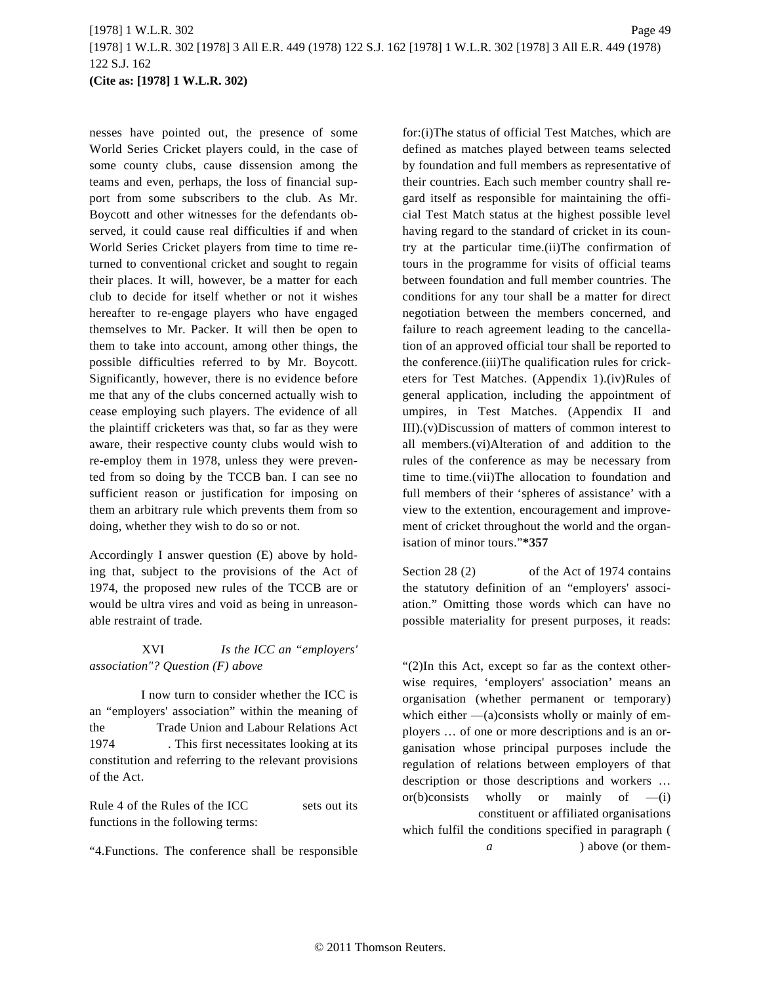nesses have pointed out, the presence of some World Series Cricket players could, in the case of some county clubs, cause dissension among the teams and even, perhaps, the loss of financial support from some subscribers to the club. As Mr. Boycott and other witnesses for the defendants observed, it could cause real difficulties if and when World Series Cricket players from time to time returned to conventional cricket and sought to regain their places. It will, however, be a matter for each club to decide for itself whether or not it wishes hereafter to re-engage players who have engaged themselves to Mr. Packer. It will then be open to them to take into account, among other things, the possible difficulties referred to by Mr. Boycott. Significantly, however, there is no evidence before me that any of the clubs concerned actually wish to cease employing such players. The evidence of all the plaintiff cricketers was that, so far as they were aware, their respective county clubs would wish to re-employ them in 1978, unless they were prevented from so doing by the TCCB ban. I can see no sufficient reason or justification for imposing on them an arbitrary rule which prevents them from so doing, whether they wish to do so or not.

Accordingly I answer question (E) above by holding that, subject to the provisions of the Act of 1974, the proposed new rules of the TCCB are or would be ultra vires and void as being in unreasonable restraint of trade.

XVI *Is the ICC an "employers' association"? Question (F) above*

I now turn to consider whether the ICC is an "employers' association" within the meaning of the Trade Union and Labour Relations Act 1974 . This first necessitates looking at its constitution and referring to the relevant provisions of the Act.

Rule 4 of the Rules of the ICC sets out its functions in the following terms:

"4.Functions. The conference shall be responsible

for:(i)The status of official Test Matches, which are defined as matches played between teams selected by foundation and full members as representative of their countries. Each such member country shall regard itself as responsible for maintaining the official Test Match status at the highest possible level having regard to the standard of cricket in its country at the particular time.(ii)The confirmation of tours in the programme for visits of official teams between foundation and full member countries. The conditions for any tour shall be a matter for direct negotiation between the members concerned, and failure to reach agreement leading to the cancellation of an approved official tour shall be reported to the conference.(iii)The qualification rules for cricketers for Test Matches. (Appendix 1).(iv)Rules of general application, including the appointment of umpires, in Test Matches. (Appendix II and III).(v)Discussion of matters of common interest to all members.(vi)Alteration of and addition to the rules of the conference as may be necessary from time to time.(vii)The allocation to foundation and full members of their 'spheres of assistance' with a view to the extention, encouragement and improvement of cricket throughout the world and the organisation of minor tours."**\*357**

Section 28 (2) of the Act of 1974 contains the statutory definition of an "employers' association." Omitting those words which can have no possible materiality for present purposes, it reads:

"(2)In this Act, except so far as the context otherwise requires, 'employers' association' means an organisation (whether permanent or temporary) which either  $-$ (a)consists wholly or mainly of employers … of one or more descriptions and is an organisation whose principal purposes include the regulation of relations between employers of that description or those descriptions and workers … or(b)consists wholly or mainly of  $-(i)$ constituent or affiliated organisations which fulfil the conditions specified in paragraph ( *a* ) above (or them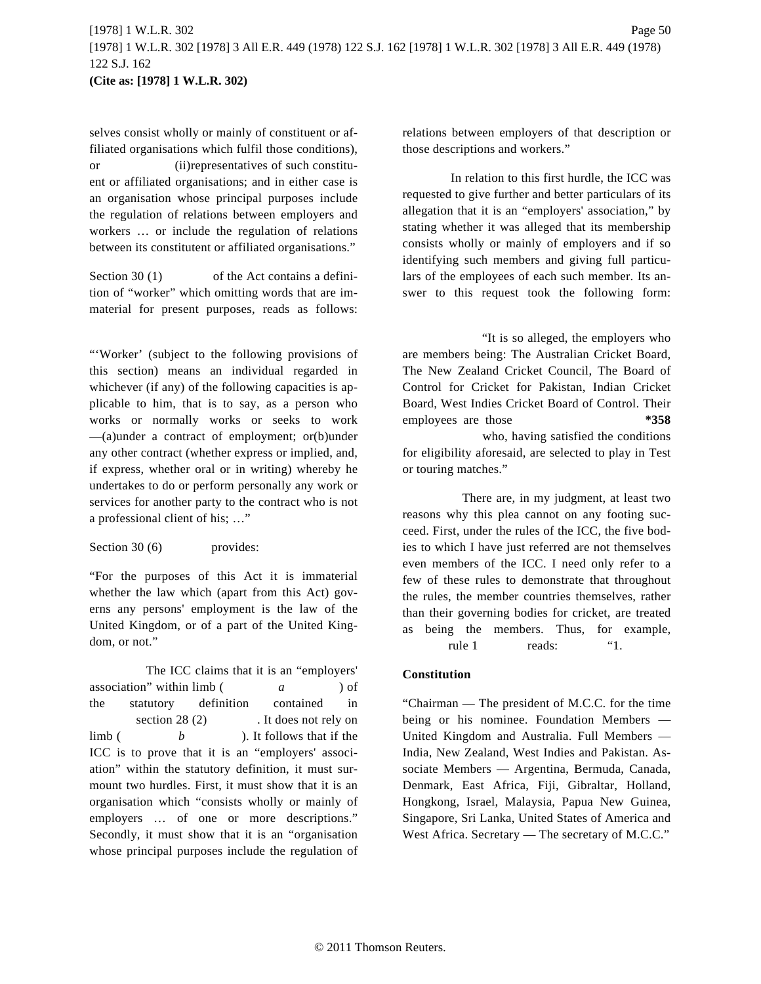selves consist wholly or mainly of constituent or affiliated organisations which fulfil those conditions), or (ii)representatives of such constituent or affiliated organisations; and in either case is an organisation whose principal purposes include the regulation of relations between employers and workers … or include the regulation of relations between its constitutent or affiliated organisations."

Section 30 (1) of the Act contains a definition of "worker" which omitting words that are immaterial for present purposes, reads as follows:

"'Worker' (subject to the following provisions of this section) means an individual regarded in whichever (if any) of the following capacities is applicable to him, that is to say, as a person who works or normally works or seeks to work —(a)under a contract of employment; or(b)under any other contract (whether express or implied, and, if express, whether oral or in writing) whereby he undertakes to do or perform personally any work or services for another party to the contract who is not a professional client of his; …"

Section 30 (6) provides:

"For the purposes of this Act it is immaterial whether the law which (apart from this Act) governs any persons' employment is the law of the United Kingdom, or of a part of the United Kingdom, or not."

The ICC claims that it is an "employers' association" within limb ( a ) of the statutory definition contained in section 28 (2) . It does not rely on limb ( *b* ). It follows that if the ICC is to prove that it is an "employers' association" within the statutory definition, it must surmount two hurdles. First, it must show that it is an organisation which "consists wholly or mainly of employers … of one or more descriptions." Secondly, it must show that it is an "organisation whose principal purposes include the regulation of

relations between employers of that description or those descriptions and workers."

In relation to this first hurdle, the ICC was requested to give further and better particulars of its allegation that it is an "employers' association," by stating whether it was alleged that its membership consists wholly or mainly of employers and if so identifying such members and giving full particulars of the employees of each such member. Its answer to this request took the following form:

"It is so alleged, the employers who are members being: The Australian Cricket Board, The New Zealand Cricket Council, The Board of Control for Cricket for Pakistan, Indian Cricket Board, West Indies Cricket Board of Control. Their employees are those **\*358** who, having satisfied the conditions for eligibility aforesaid, are selected to play in Test or touring matches."

There are, in my judgment, at least two reasons why this plea cannot on any footing succeed. First, under the rules of the ICC, the five bodies to which I have just referred are not themselves even members of the ICC. I need only refer to a few of these rules to demonstrate that throughout the rules, the member countries themselves, rather than their governing bodies for cricket, are treated as being the members. Thus, for example, rule 1 reads: "1.

# **Constitution**

"Chairman — The president of M.C.C. for the time being or his nominee. Foundation Members — United Kingdom and Australia. Full Members — India, New Zealand, West Indies and Pakistan. Associate Members — Argentina, Bermuda, Canada, Denmark, East Africa, Fiji, Gibraltar, Holland, Hongkong, Israel, Malaysia, Papua New Guinea, Singapore, Sri Lanka, United States of America and West Africa. Secretary — The secretary of M.C.C."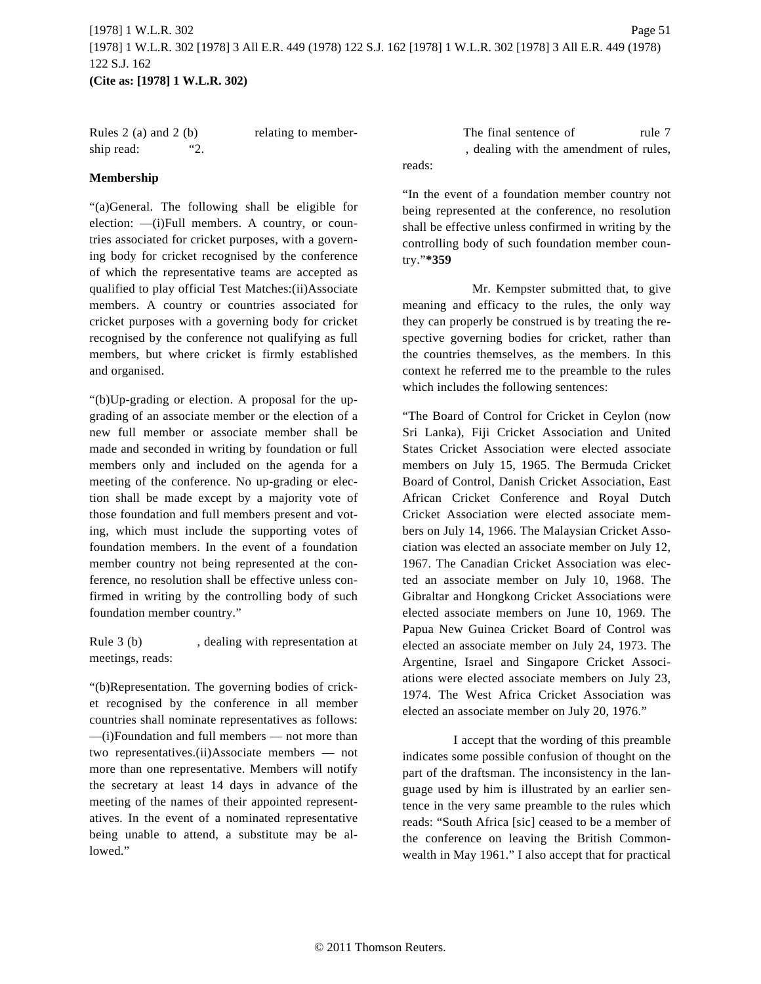Rules 2 (a) and 2 (b) relating to membership read: "2.

## **Membership**

"(a)General. The following shall be eligible for election: —(i)Full members. A country, or countries associated for cricket purposes, with a governing body for cricket recognised by the conference of which the representative teams are accepted as qualified to play official Test Matches:(ii)Associate members. A country or countries associated for cricket purposes with a governing body for cricket recognised by the conference not qualifying as full members, but where cricket is firmly established and organised.

"(b)Up-grading or election. A proposal for the upgrading of an associate member or the election of a new full member or associate member shall be made and seconded in writing by foundation or full members only and included on the agenda for a meeting of the conference. No up-grading or election shall be made except by a majority vote of those foundation and full members present and voting, which must include the supporting votes of foundation members. In the event of a foundation member country not being represented at the conference, no resolution shall be effective unless confirmed in writing by the controlling body of such foundation member country."

Rule 3 (b) , dealing with representation at meetings, reads:

"(b)Representation. The governing bodies of cricket recognised by the conference in all member countries shall nominate representatives as follows: —(i)Foundation and full members — not more than two representatives.(ii)Associate members — not more than one representative. Members will notify the secretary at least 14 days in advance of the meeting of the names of their appointed representatives. In the event of a nominated representative being unable to attend, a substitute may be allowed."

The final sentence of rule 7 , dealing with the amendment of rules, reads:

"In the event of a foundation member country not being represented at the conference, no resolution shall be effective unless confirmed in writing by the controlling body of such foundation member country."**\*359**

Mr. Kempster submitted that, to give meaning and efficacy to the rules, the only way they can properly be construed is by treating the respective governing bodies for cricket, rather than the countries themselves, as the members. In this context he referred me to the preamble to the rules which includes the following sentences:

"The Board of Control for Cricket in Ceylon (now Sri Lanka), Fiji Cricket Association and United States Cricket Association were elected associate members on July 15, 1965. The Bermuda Cricket Board of Control, Danish Cricket Association, East African Cricket Conference and Royal Dutch Cricket Association were elected associate members on July 14, 1966. The Malaysian Cricket Association was elected an associate member on July 12, 1967. The Canadian Cricket Association was elected an associate member on July 10, 1968. The Gibraltar and Hongkong Cricket Associations were elected associate members on June 10, 1969. The Papua New Guinea Cricket Board of Control was elected an associate member on July 24, 1973. The Argentine, Israel and Singapore Cricket Associations were elected associate members on July 23, 1974. The West Africa Cricket Association was elected an associate member on July 20, 1976."

I accept that the wording of this preamble indicates some possible confusion of thought on the part of the draftsman. The inconsistency in the language used by him is illustrated by an earlier sentence in the very same preamble to the rules which reads: "South Africa [sic] ceased to be a member of the conference on leaving the British Commonwealth in May 1961." I also accept that for practical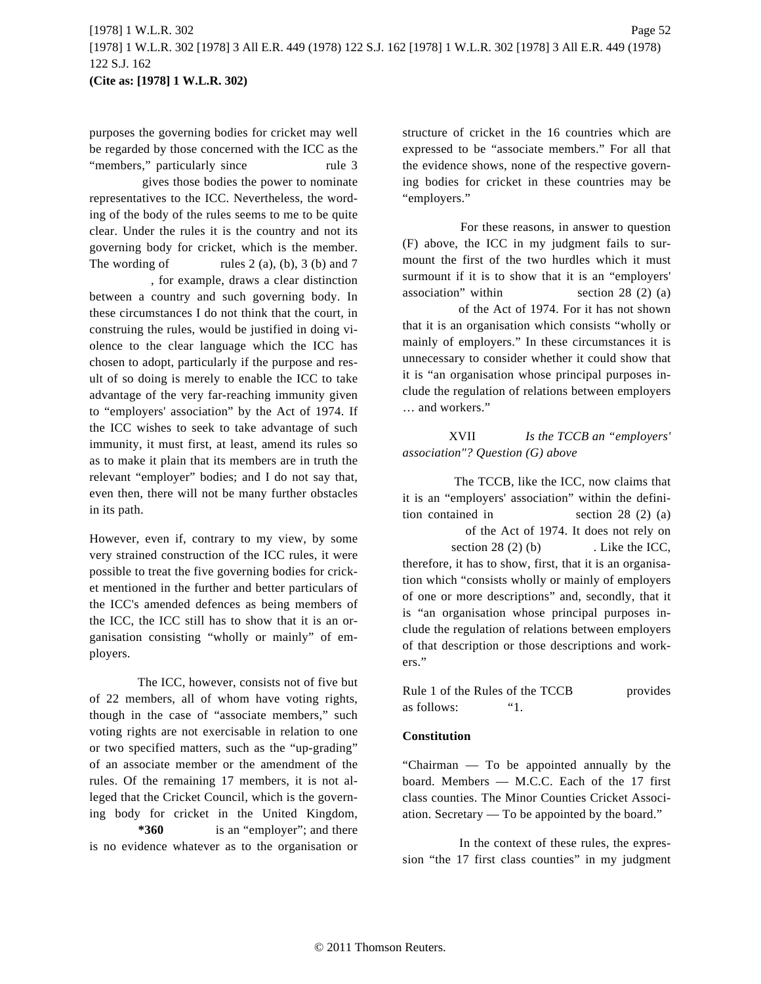purposes the governing bodies for cricket may well be regarded by those concerned with the ICC as the "members," particularly since rule 3

gives those bodies the power to nominate representatives to the ICC. Nevertheless, the wording of the body of the rules seems to me to be quite clear. Under the rules it is the country and not its governing body for cricket, which is the member. The wording of rules  $2(a)$ ,  $(b)$ ,  $3(b)$  and  $7$ , for example, draws a clear distinction between a country and such governing body. In these circumstances I do not think that the court, in construing the rules, would be justified in doing violence to the clear language which the ICC has chosen to adopt, particularly if the purpose and result of so doing is merely to enable the ICC to take advantage of the very far-reaching immunity given to "employers' association" by the Act of 1974. If the ICC wishes to seek to take advantage of such immunity, it must first, at least, amend its rules so as to make it plain that its members are in truth the relevant "employer" bodies; and I do not say that, even then, there will not be many further obstacles in its path.

However, even if, contrary to my view, by some very strained construction of the ICC rules, it were possible to treat the five governing bodies for cricket mentioned in the further and better particulars of the ICC's amended defences as being members of the ICC, the ICC still has to show that it is an organisation consisting "wholly or mainly" of employers.

The ICC, however, consists not of five but of 22 members, all of whom have voting rights, though in the case of "associate members," such voting rights are not exercisable in relation to one or two specified matters, such as the "up-grading" of an associate member or the amendment of the rules. Of the remaining 17 members, it is not alleged that the Cricket Council, which is the governing body for cricket in the United Kingdom, **\*360** is an "employer"; and there is no evidence whatever as to the organisation or structure of cricket in the 16 countries which are expressed to be "associate members." For all that the evidence shows, none of the respective governing bodies for cricket in these countries may be "employers."

For these reasons, in answer to question (F) above, the ICC in my judgment fails to surmount the first of the two hurdles which it must surmount if it is to show that it is an "employers' association" within section 28 (2) (a) of the Act of 1974. For it has not shown that it is an organisation which consists "wholly or mainly of employers." In these circumstances it is

unnecessary to consider whether it could show that it is "an organisation whose principal purposes include the regulation of relations between employers … and workers."

XVII *Is the TCCB an "employers' association"? Question (G) above*

The TCCB, like the ICC, now claims that it is an "employers' association" within the definition contained in section 28 (2) (a) of the Act of 1974. It does not rely on section 28 (2) (b) . Like the ICC, therefore, it has to show, first, that it is an organisation which "consists wholly or mainly of employers of one or more descriptions" and, secondly, that it is "an organisation whose principal purposes include the regulation of relations between employers of that description or those descriptions and workers."

Rule 1 of the Rules of the TCCB provides as follows: "1.

#### **Constitution**

"Chairman — To be appointed annually by the board. Members — M.C.C. Each of the 17 first class counties. The Minor Counties Cricket Association. Secretary — To be appointed by the board."

In the context of these rules, the expression "the 17 first class counties" in my judgment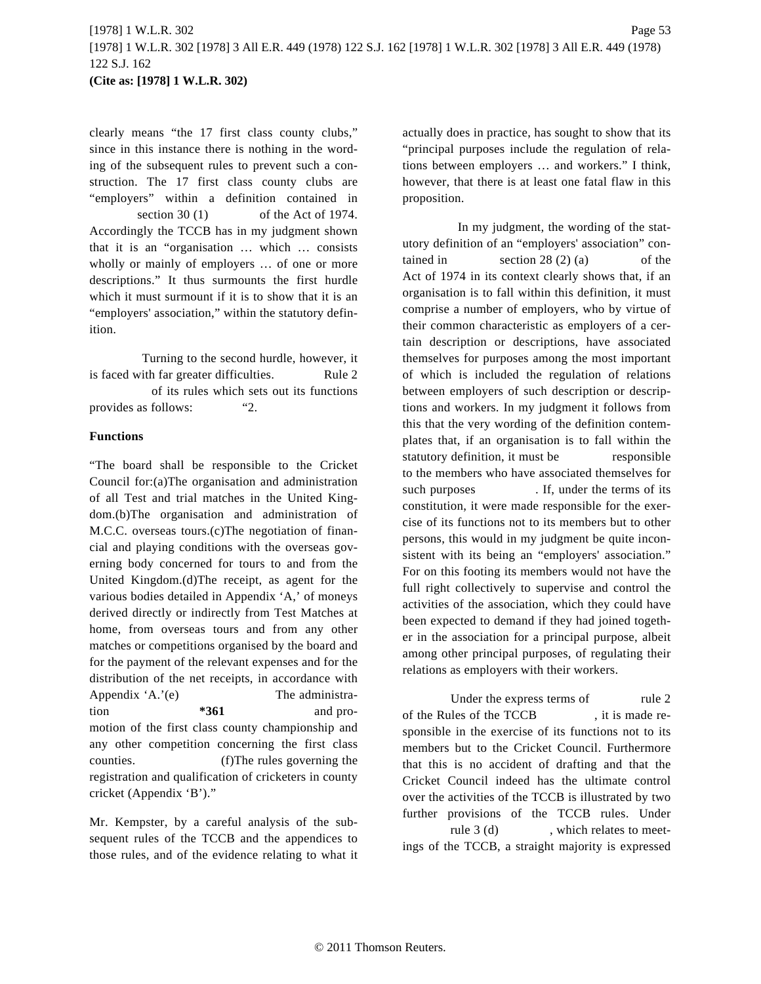clearly means "the 17 first class county clubs," since in this instance there is nothing in the wording of the subsequent rules to prevent such a construction. The 17 first class county clubs are "employers" within a definition contained in section 30 (1) of the Act of 1974. Accordingly the TCCB has in my judgment shown that it is an "organisation … which … consists wholly or mainly of employers … of one or more descriptions." It thus surmounts the first hurdle which it must surmount if it is to show that it is an "employers' association," within the statutory definition.

Turning to the second hurdle, however, it is faced with far greater difficulties. Rule 2 of its rules which sets out its functions provides as follows: "2.

#### **Functions**

"The board shall be responsible to the Cricket Council for:(a)The organisation and administration of all Test and trial matches in the United Kingdom.(b)The organisation and administration of M.C.C. overseas tours.(c)The negotiation of financial and playing conditions with the overseas governing body concerned for tours to and from the United Kingdom.(d)The receipt, as agent for the various bodies detailed in Appendix 'A,' of moneys derived directly or indirectly from Test Matches at home, from overseas tours and from any other matches or competitions organised by the board and for the payment of the relevant expenses and for the distribution of the net receipts, in accordance with Appendix 'A.'(e) The administration **\*361** and promotion of the first class county championship and any other competition concerning the first class counties. (f)The rules governing the registration and qualification of cricketers in county cricket (Appendix 'B')."

Mr. Kempster, by a careful analysis of the subsequent rules of the TCCB and the appendices to those rules, and of the evidence relating to what it actually does in practice, has sought to show that its "principal purposes include the regulation of relations between employers … and workers." I think, however, that there is at least one fatal flaw in this proposition.

In my judgment, the wording of the statutory definition of an "employers' association" contained in section  $28(2)(a)$  of the Act of 1974 in its context clearly shows that, if an organisation is to fall within this definition, it must comprise a number of employers, who by virtue of their common characteristic as employers of a certain description or descriptions, have associated themselves for purposes among the most important of which is included the regulation of relations between employers of such description or descriptions and workers. In my judgment it follows from this that the very wording of the definition contemplates that, if an organisation is to fall within the statutory definition, it must be responsible to the members who have associated themselves for such purposes . If, under the terms of its constitution, it were made responsible for the exercise of its functions not to its members but to other persons, this would in my judgment be quite inconsistent with its being an "employers' association." For on this footing its members would not have the full right collectively to supervise and control the activities of the association, which they could have been expected to demand if they had joined together in the association for a principal purpose, albeit among other principal purposes, of regulating their relations as employers with their workers.

Under the express terms of rule 2 of the Rules of the TCCB , it is made responsible in the exercise of its functions not to its members but to the Cricket Council. Furthermore that this is no accident of drafting and that the Cricket Council indeed has the ultimate control over the activities of the TCCB is illustrated by two further provisions of the TCCB rules. Under rule 3 (d) , which relates to meet-

ings of the TCCB, a straight majority is expressed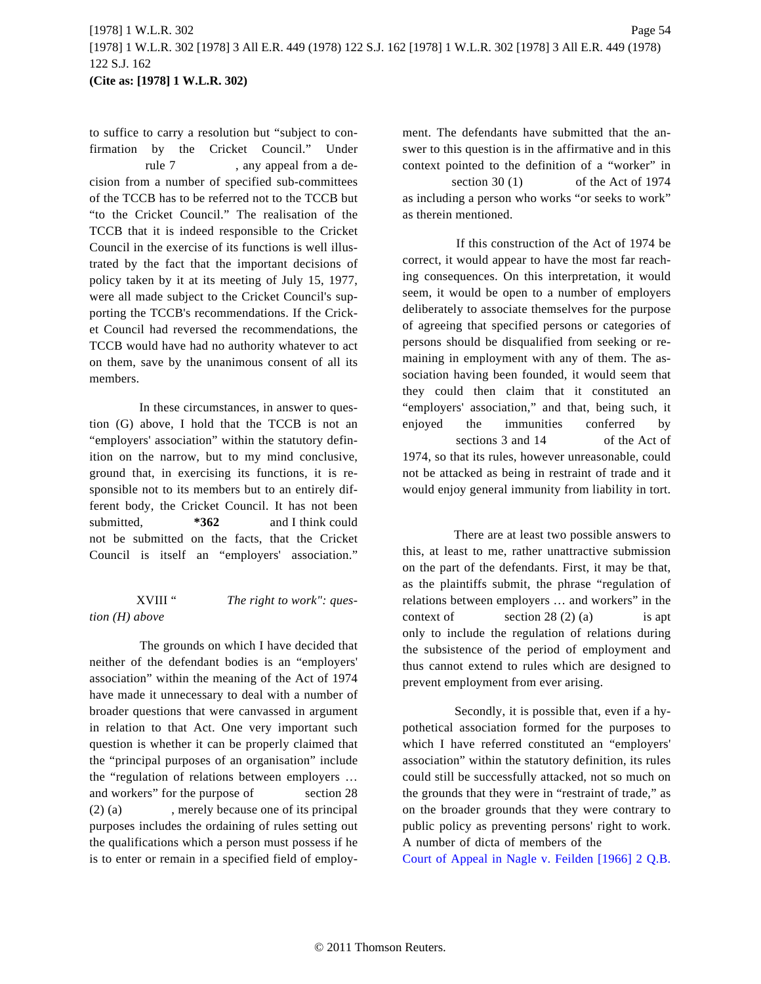to suffice to carry a resolution but "subject to confirmation by the Cricket Council." Under rule 7 , any appeal from a decision from a number of specified sub-committees of the TCCB has to be referred not to the TCCB but "to the Cricket Council." The realisation of the TCCB that it is indeed responsible to the Cricket Council in the exercise of its functions is well illustrated by the fact that the important decisions of policy taken by it at its meeting of July 15, 1977, were all made subject to the Cricket Council's supporting the TCCB's recommendations. If the Cricket Council had reversed the recommendations, the TCCB would have had no authority whatever to act on them, save by the unanimous consent of all its members.

In these circumstances, in answer to question (G) above, I hold that the TCCB is not an "employers' association" within the statutory definition on the narrow, but to my mind conclusive, ground that, in exercising its functions, it is responsible not to its members but to an entirely different body, the Cricket Council. It has not been submitted, **\*362** and I think could not be submitted on the facts, that the Cricket Council is itself an "employers' association."

#### XVIII " *The right to work": question (H) above*

The grounds on which I have decided that neither of the defendant bodies is an "employers' association" within the meaning of the Act of 1974 have made it unnecessary to deal with a number of broader questions that were canvassed in argument in relation to that Act. One very important such question is whether it can be properly claimed that the "principal purposes of an organisation" include the "regulation of relations between employers … and workers" for the purpose of section 28 (2) (a) , merely because one of its principal purposes includes the ordaining of rules setting out the qualifications which a person must possess if he is to enter or remain in a specified field of employment. The defendants have submitted that the answer to this question is in the affirmative and in this context pointed to the definition of a "worker" in

section 30 (1) of the Act of 1974 as including a person who works "or seeks to work" as therein mentioned.

If this construction of the Act of 1974 be correct, it would appear to have the most far reaching consequences. On this interpretation, it would seem, it would be open to a number of employers deliberately to associate themselves for the purpose of agreeing that specified persons or categories of persons should be disqualified from seeking or remaining in employment with any of them. The association having been founded, it would seem that they could then claim that it constituted an "employers' association," and that, being such, it enjoyed the immunities conferred by sections 3 and 14 of the Act of 1974, so that its rules, however unreasonable, could not be attacked as being in restraint of trade and it would enjoy general immunity from liability in tort.

There are at least two possible answers to this, at least to me, rather unattractive submission on the part of the defendants. First, it may be that, as the plaintiffs submit, the phrase "regulation of relations between employers … and workers" in the context of section  $28(2)(a)$  is apt only to include the regulation of relations during the subsistence of the period of employment and thus cannot extend to rules which are designed to prevent employment from ever arising.

Secondly, it is possible that, even if a hypothetical association formed for the purposes to which I have referred constituted an "employers' association" within the statutory definition, its rules could still be successfully attacked, not so much on the grounds that they were in "restraint of trade," as on the broader grounds that they were contrary to public policy as preventing persons' right to work. A number of dicta of members of the

Court of Appeal in Nagle v. Feilden [1966] 2 Q.B.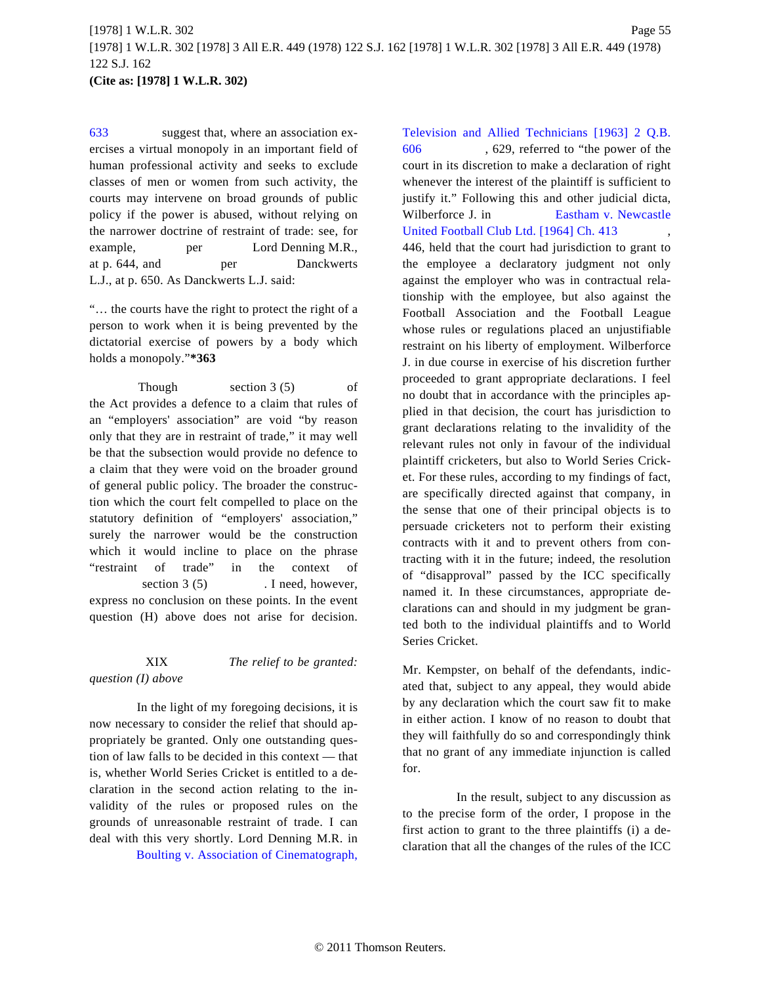[633](http://www.westlaw.com/Find/Default.wl?rs=dfa1.0&vr=2.0&DB=999&FindType=Y&SerialNum=1966015840) suggest that, where an association exercises a virtual monopoly in an important field of human professional activity and seeks to exclude classes of men or women from such activity, the courts may intervene on broad grounds of public policy if the power is abused, without relying on the narrower doctrine of restraint of trade: see, for example, per Lord Denning M.R., at p. 644, and per Danckwerts L.J., at p. 650. As Danckwerts L.J. said:

"… the courts have the right to protect the right of a person to work when it is being prevented by the dictatorial exercise of powers by a body which holds a monopoly."**\*363**

Though section 3 (5) of the Act provides a defence to a claim that rules of an "employers' association" are void "by reason only that they are in restraint of trade," it may well be that the subsection would provide no defence to a claim that they were void on the broader ground of general public policy. The broader the construction which the court felt compelled to place on the statutory definition of "employers' association," surely the narrower would be the construction which it would incline to place on the phrase "restraint of trade" in the context of section 3 (5) . I need, however, express no conclusion on these points. In the event question (H) above does not arise for decision.

XIX *The relief to be granted: question (I) above*

In the light of my foregoing decisions, it is now necessary to consider the relief that should appropriately be granted. Only one outstanding question of law falls to be decided in this context — that is, whether World Series Cricket is entitled to a declaration in the second action relating to the invalidity of the rules or proposed rules on the grounds of unreasonable restraint of trade. I can deal with this very shortly. Lord Denning M.R. in Boulting v. Association of Cinematograph,

[Television and Allied Technicians \[1963\] 2 Q](http://www.westlaw.com/Find/Default.wl?rs=dfa1.0&vr=2.0&DB=999&FindType=Y&SerialNum=1963016750).B. [606](http://www.westlaw.com/Find/Default.wl?rs=dfa1.0&vr=2.0&DB=999&FindType=Y&SerialNum=1963016750) , 629, referred to "the power of the court in its discretion to make a declaration of right whenever the interest of the plaintiff is sufficient to justify it." Following this and other judicial dicta, Wilberforce J. in [Eastham v. Newcastle](http://www.westlaw.com/Find/Default.wl?rs=dfa1.0&vr=2.0&DB=999&FindType=Y&SerialNum=1963016142) [United Football Club Ltd. \[1964\] Ch. 413](http://www.westlaw.com/Find/Default.wl?rs=dfa1.0&vr=2.0&DB=999&FindType=Y&SerialNum=1963016142) 446, held that the court had jurisdiction to grant to the employee a declaratory judgment not only against the employer who was in contractual relationship with the employee, but also against the Football Association and the Football League whose rules or regulations placed an unjustifiable restraint on his liberty of employment. Wilberforce J. in due course in exercise of his discretion further proceeded to grant appropriate declarations. I feel no doubt that in accordance with the principles applied in that decision, the court has jurisdiction to grant declarations relating to the invalidity of the relevant rules not only in favour of the individual plaintiff cricketers, but also to World Series Cricket. For these rules, according to my findings of fact, are specifically directed against that company, in the sense that one of their principal objects is to persuade cricketers not to perform their existing contracts with it and to prevent others from contracting with it in the future; indeed, the resolution of "disapproval" passed by the ICC specifically named it. In these circumstances, appropriate declarations can and should in my judgment be granted both to the individual plaintiffs and to World Series Cricket.

Mr. Kempster, on behalf of the defendants, indicated that, subject to any appeal, they would abide by any declaration which the court saw fit to make in either action. I know of no reason to doubt that they will faithfully do so and correspondingly think that no grant of any immediate injunction is called for.

In the result, subject to any discussion as to the precise form of the order, I propose in the first action to grant to the three plaintiffs (i) a declaration that all the changes of the rules of the ICC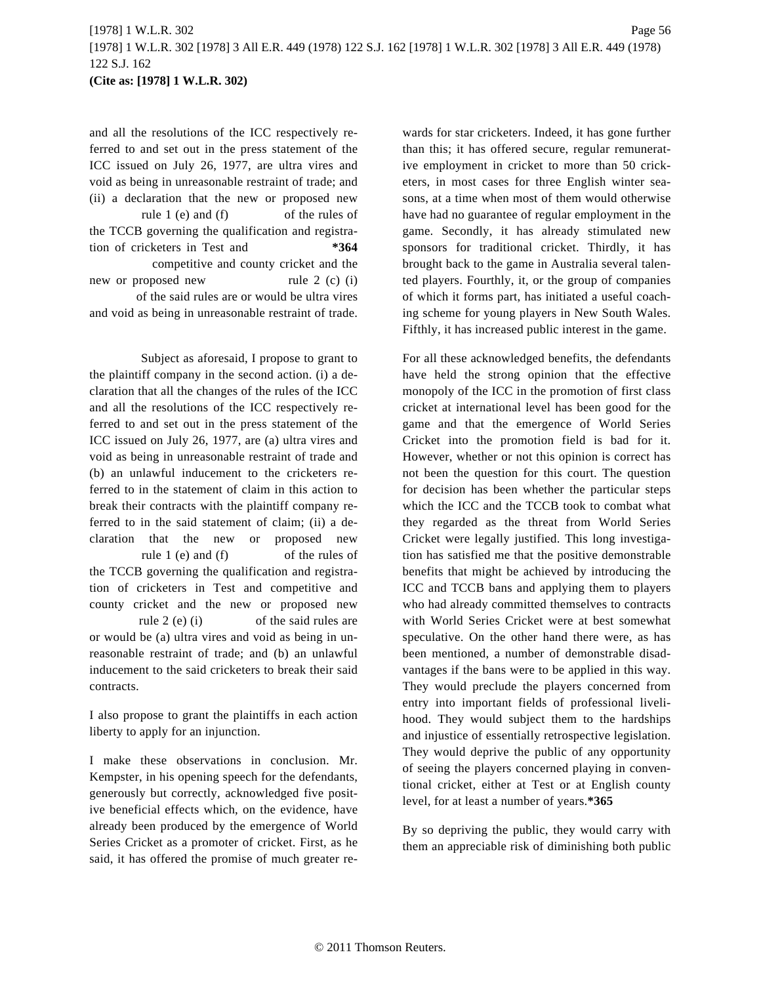and all the resolutions of the ICC respectively referred to and set out in the press statement of the ICC issued on July 26, 1977, are ultra vires and void as being in unreasonable restraint of trade; and (ii) a declaration that the new or proposed new rule 1 (e) and (f) of the rules of the TCCB governing the qualification and registration of cricketers in Test and **\*364** competitive and county cricket and the new or proposed new rule 2 (c) (i) of the said rules are or would be ultra vires

and void as being in unreasonable restraint of trade.

Subject as aforesaid, I propose to grant to the plaintiff company in the second action. (i) a declaration that all the changes of the rules of the ICC and all the resolutions of the ICC respectively referred to and set out in the press statement of the ICC issued on July 26, 1977, are (a) ultra vires and void as being in unreasonable restraint of trade and (b) an unlawful inducement to the cricketers referred to in the statement of claim in this action to break their contracts with the plaintiff company referred to in the said statement of claim; (ii) a declaration that the new or proposed new rule 1 (e) and (f) of the rules of the TCCB governing the qualification and registration of cricketers in Test and competitive and county cricket and the new or proposed new rule 2 (e) (i) of the said rules are or would be (a) ultra vires and void as being in unreasonable restraint of trade; and (b) an unlawful inducement to the said cricketers to break their said contracts.

I also propose to grant the plaintiffs in each action liberty to apply for an injunction.

I make these observations in conclusion. Mr. Kempster, in his opening speech for the defendants, generously but correctly, acknowledged five positive beneficial effects which, on the evidence, have already been produced by the emergence of World Series Cricket as a promoter of cricket. First, as he said, it has offered the promise of much greater rewards for star cricketers. Indeed, it has gone further than this; it has offered secure, regular remunerative employment in cricket to more than 50 cricketers, in most cases for three English winter seasons, at a time when most of them would otherwise have had no guarantee of regular employment in the game. Secondly, it has already stimulated new sponsors for traditional cricket. Thirdly, it has brought back to the game in Australia several talented players. Fourthly, it, or the group of companies of which it forms part, has initiated a useful coaching scheme for young players in New South Wales. Fifthly, it has increased public interest in the game.

For all these acknowledged benefits, the defendants have held the strong opinion that the effective monopoly of the ICC in the promotion of first class cricket at international level has been good for the game and that the emergence of World Series Cricket into the promotion field is bad for it. However, whether or not this opinion is correct has not been the question for this court. The question for decision has been whether the particular steps which the ICC and the TCCB took to combat what they regarded as the threat from World Series Cricket were legally justified. This long investigation has satisfied me that the positive demonstrable benefits that might be achieved by introducing the ICC and TCCB bans and applying them to players who had already committed themselves to contracts with World Series Cricket were at best somewhat speculative. On the other hand there were, as has been mentioned, a number of demonstrable disadvantages if the bans were to be applied in this way. They would preclude the players concerned from entry into important fields of professional livelihood. They would subject them to the hardships and injustice of essentially retrospective legislation. They would deprive the public of any opportunity of seeing the players concerned playing in conventional cricket, either at Test or at English county level, for at least a number of years.**\*365**

By so depriving the public, they would carry with them an appreciable risk of diminishing both public